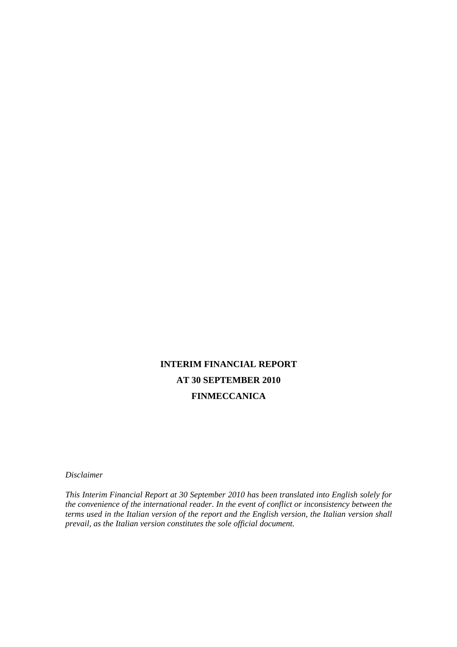# **INTERIM FINANCIAL REPORT AT 30 SEPTEMBER 2010 FINMECCANICA**

*Disclaimer* 

*This Interim Financial Report at 30 September 2010 has been translated into English solely for the convenience of the international reader. In the event of conflict or inconsistency between the terms used in the Italian version of the report and the English version, the Italian version shall prevail, as the Italian version constitutes the sole official document.*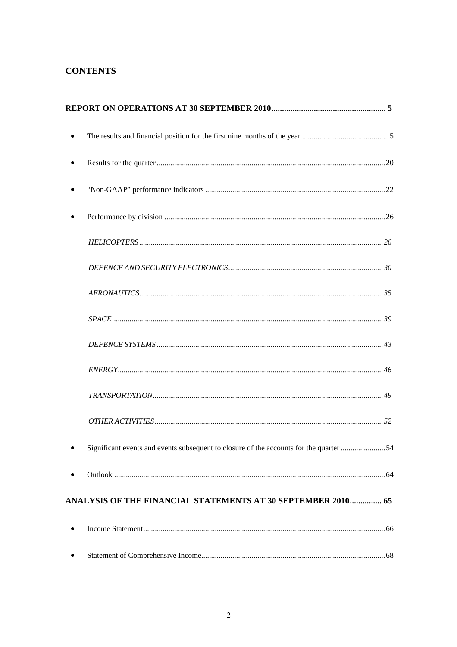# **CONTENTS**

| Significant events and events subsequent to closure of the accounts for the quarter 54 |  |
|----------------------------------------------------------------------------------------|--|
|                                                                                        |  |
| ANALYSIS OF THE FINANCIAL STATEMENTS AT 30 SEPTEMBER 2010 65                           |  |
|                                                                                        |  |
|                                                                                        |  |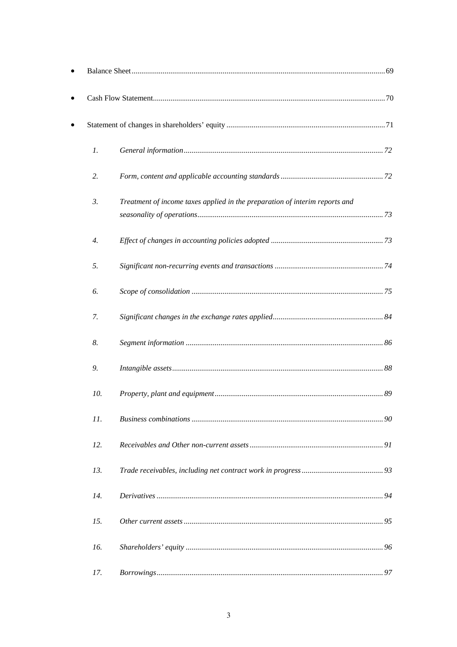| 1.               |                                                                             |  |
|------------------|-----------------------------------------------------------------------------|--|
| 2.               |                                                                             |  |
| 3.               | Treatment of income taxes applied in the preparation of interim reports and |  |
| $\overline{4}$ . |                                                                             |  |
| 5.               |                                                                             |  |
| 6.               |                                                                             |  |
| 7.               |                                                                             |  |
| 8.               |                                                                             |  |
| 9.               |                                                                             |  |
| 10.              |                                                                             |  |
| 11.              |                                                                             |  |
| 12.              |                                                                             |  |
| 13.              |                                                                             |  |
| 14.              |                                                                             |  |
| 15.              |                                                                             |  |
| 16.              |                                                                             |  |
| 17.              |                                                                             |  |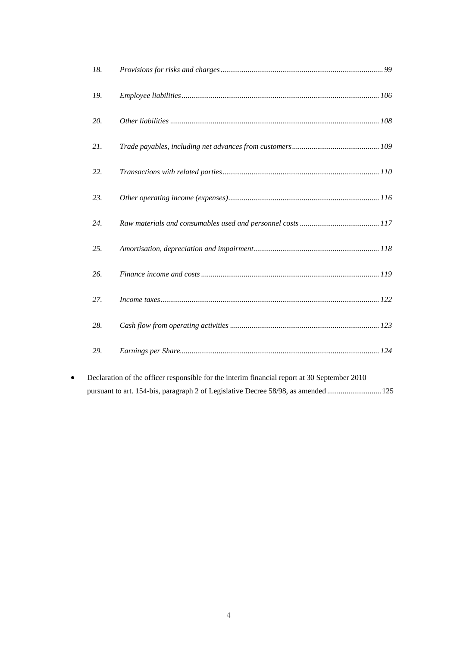| 18. |  |
|-----|--|
| 19. |  |
| 20. |  |
| 21. |  |
| 22. |  |
| 23. |  |
| 24. |  |
| 25. |  |
| 26. |  |
| 27. |  |
| 28. |  |
| 29. |  |
|     |  |

 Declaration of the officer responsible for the interim financial report at 30 September 2010 pursuant to art. 154-bis, paragraph 2 of Legislative Decree 58/98, as amended ............................ 125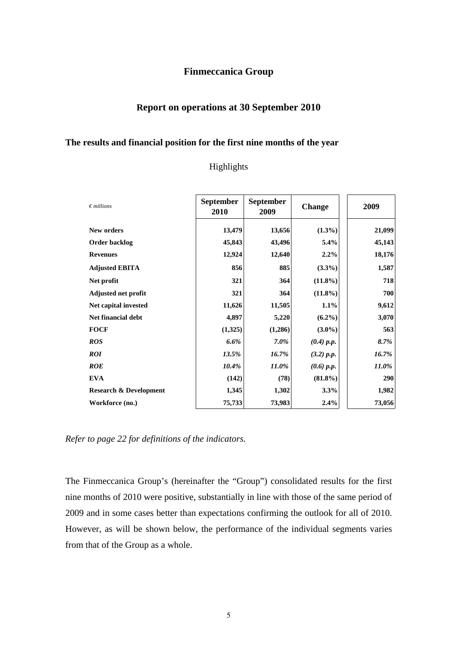## **Finmeccanica Group**

# **Report on operations at 30 September 2010**

#### **The results and financial position for the first nine months of the year**

## Highlights

| $\epsilon$ millions               | <b>September</b><br>2010 | <b>September</b><br>2009 | <b>Change</b> | 2009   |
|-----------------------------------|--------------------------|--------------------------|---------------|--------|
| New orders                        | 13,479                   | 13,656                   | $(1.3\%)$     | 21,099 |
| Order backlog                     | 45,843                   | 43,496                   | 5.4%          | 45,143 |
| <b>Revenues</b>                   | 12,924                   | 12,640                   | $2.2\%$       | 18,176 |
| <b>Adjusted EBITA</b>             | 856                      | 885                      | $(3.3\%)$     | 1,587  |
| Net profit                        | 321                      | 364                      | $(11.8\%)$    | 718    |
| <b>Adjusted net profit</b>        | 321                      | 364                      | $(11.8\%)$    | 700    |
| Net capital invested              | 11,626                   | 11,505                   | 1.1%          | 9,612  |
| <b>Net financial debt</b>         | 4,897                    | 5,220                    | $(6.2\%)$     | 3,070  |
| <b>FOCF</b>                       | (1,325)                  | (1,286)                  | $(3.0\%)$     | 563    |
| <b>ROS</b>                        | $6.6\%$                  | $7.0\%$                  | $(0.4)$ p.p.  | 8.7%   |
| <b>ROI</b>                        | 13.5%                    | 16.7%                    | (3.2) p.p.    | 16.7%  |
| <b>ROE</b>                        | 10.4%                    | 11.0%                    | $(0.6)$ p.p.  | 11.0%  |
| <b>EVA</b>                        | (142)                    | (78)                     | $(81.8\%)$    | 290    |
| <b>Research &amp; Development</b> | 1,345                    | 1,302                    | 3.3%          | 1,982  |
| Workforce (no.)                   | 75,733                   | 73,983                   | 2.4%          | 73,056 |

*Refer to page 22 for definitions of the indicators.* 

The Finmeccanica Group's (hereinafter the "Group") consolidated results for the first nine months of 2010 were positive, substantially in line with those of the same period of 2009 and in some cases better than expectations confirming the outlook for all of 2010. However, as will be shown below, the performance of the individual segments varies from that of the Group as a whole.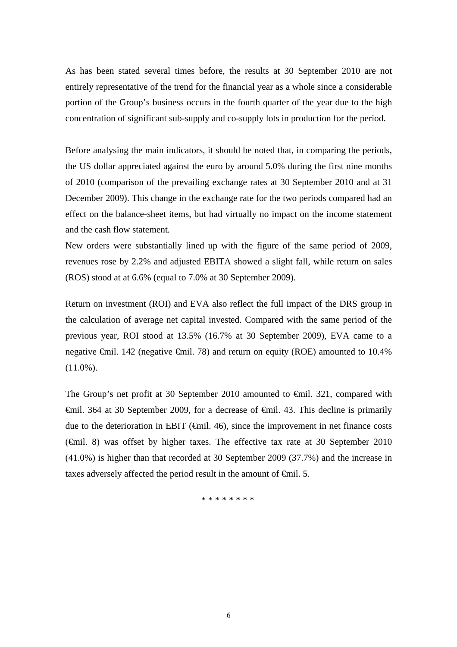As has been stated several times before, the results at 30 September 2010 are not entirely representative of the trend for the financial year as a whole since a considerable portion of the Group's business occurs in the fourth quarter of the year due to the high concentration of significant sub-supply and co-supply lots in production for the period.

Before analysing the main indicators, it should be noted that, in comparing the periods, the US dollar appreciated against the euro by around 5.0% during the first nine months of 2010 (comparison of the prevailing exchange rates at 30 September 2010 and at 31 December 2009). This change in the exchange rate for the two periods compared had an effect on the balance-sheet items, but had virtually no impact on the income statement and the cash flow statement*.*

New orders were substantially lined up with the figure of the same period of 2009, revenues rose by 2.2% and adjusted EBITA showed a slight fall, while return on sales (ROS) stood at at 6.6% (equal to 7.0% at 30 September 2009).

Return on investment (ROI) and EVA also reflect the full impact of the DRS group in the calculation of average net capital invested. Compared with the same period of the previous year, ROI stood at 13.5% (16.7% at 30 September 2009), EVA came to a negative €mil. 142 (negative €mil. 78) and return on equity (ROE) amounted to 10.4%  $(11.0\%)$ .

The Group's net profit at 30 September 2010 amounted to €mil. 321, compared with  $\theta$   $\theta$ iil. 364 at 30 September 2009, for a decrease of  $\theta$   $\theta$ iil. 43. This decline is primarily due to the deterioration in EBIT ( $\epsilon$ mil. 46), since the improvement in net finance costs (€mil. 8) was offset by higher taxes. The effective tax rate at 30 September 2010 (41.0%) is higher than that recorded at 30 September 2009 (37.7%) and the increase in taxes adversely affected the period result in the amount of <del>€m</del>il. 5.

\* \* \* \* \* \* \* \*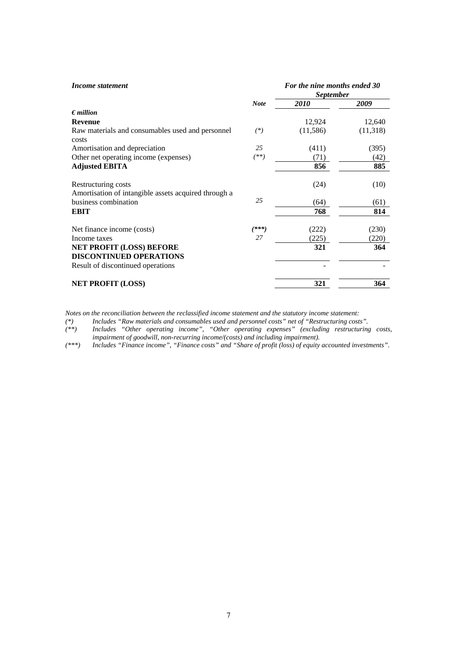| Income statement                                                                                       |             | For the nine months ended 30<br><b>September</b> |          |  |
|--------------------------------------------------------------------------------------------------------|-------------|--------------------------------------------------|----------|--|
|                                                                                                        | <b>Note</b> | 2010                                             | 2009     |  |
| $\epsilon$ <i>million</i>                                                                              |             |                                                  |          |  |
| <b>Revenue</b>                                                                                         |             | 12,924                                           | 12,640   |  |
| Raw materials and consumables used and personnel<br>costs                                              | $(*)$       | (11, 586)                                        | (11,318) |  |
| Amortisation and depreciation                                                                          | 25          | (411)                                            | (395)    |  |
| Other net operating income (expenses)                                                                  | $^{(**)}$   | (71)                                             | (42)     |  |
| <b>Adjusted EBITA</b>                                                                                  |             | 856                                              | 885      |  |
| Restructuring costs<br>Amortisation of intangible assets acquired through a                            |             | (24)                                             | (10)     |  |
| business combination                                                                                   | 25          | (64)                                             | (61)     |  |
| <b>EBIT</b>                                                                                            |             | 768                                              | 814      |  |
| Net finance income (costs)                                                                             | $(***)$     | (222)                                            | (230)    |  |
| Income taxes                                                                                           | 27          | (225)                                            | (220)    |  |
| <b>NET PROFIT (LOSS) BEFORE</b><br><b>DISCONTINUED OPERATIONS</b><br>Result of discontinued operations |             | 321                                              | 364      |  |
| <b>NET PROFIT (LOSS)</b>                                                                               |             | 321                                              | 364      |  |

*Notes on the reconciliation between the reclassified income statement and the statutory income statement:* 

*(\*) Includes "Raw materials and consumables used and personnel costs" net of "Restructuring costs".* 

*(\*\*) Includes "Other operating income", "Other operating expenses" (excluding restructuring costs,* 

*impairment of goodwill, non-recurring income/(costs) and including impairment).* 

*(\*\*\*) Includes "Finance income", "Finance costs" and "Share of profit (loss) of equity accounted investments".*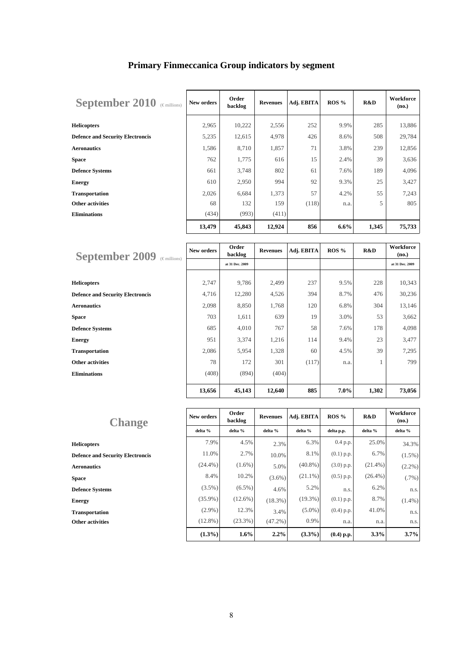| September 2010 (Emillions)              | New orders | Order<br>backlog | <b>Revenues</b> | Adj. EBITA | $ROS\%$ | R&D   | Workforce<br>(no.) |
|-----------------------------------------|------------|------------------|-----------------|------------|---------|-------|--------------------|
| <b>Helicopters</b>                      | 2,965      | 10,222           | 2,556           | 252        | 9.9%    | 285   | 13,886             |
| <b>Defence and Security Electroncis</b> | 5,235      | 12,615           | 4,978           | 426        | 8.6%    | 508   | 29,784             |
| <b>Aeronautics</b>                      | 1,586      | 8,710            | 1,857           | 71         | 3.8%    | 239   | 12,856             |
| <b>Space</b>                            | 762        | 1,775            | 616             | 15         | 2.4%    | 39    | 3,636              |
| <b>Defence Systems</b>                  | 661        | 3,748            | 802             | 61         | 7.6%    | 189   | 4,096              |
| <b>Energy</b>                           | 610        | 2,950            | 994             | 92         | 9.3%    | 25    | 3,427              |
| <b>Transportation</b>                   | 2,026      | 6,684            | 1,373           | 57         | 4.2%    | 55    | 7,243              |
| <b>Other activities</b>                 | 68         | 132              | 159             | (118)      | n.a.    | 5     | 805                |
| <b>Eliminations</b>                     | (434)      | (993)            | (411)           |            |         |       |                    |
|                                         | 13,479     | 45,843           | 12,924          | 856        | 6.6%    | 1,345 | 75,733             |

| <b>September 2009</b><br>$(\in$ millions) | New orders | Order<br>backlog | <b>Revenues</b> | Adj. EBITA | ROS %   | R&D   | Workforce<br>(no.) |
|-------------------------------------------|------------|------------------|-----------------|------------|---------|-------|--------------------|
|                                           |            | at 31 Dec. 2009  |                 |            |         |       | at 31 Dec. 2009    |
|                                           |            |                  |                 |            |         |       |                    |
| <b>Helicopters</b>                        | 2,747      | 9,786            | 2,499           | 237        | 9.5%    | 228   | 10,343             |
| <b>Defence and Security Electroncis</b>   | 4,716      | 12,280           | 4,526           | 394        | 8.7%    | 476   | 30,236             |
| <b>Aeronautics</b>                        | 2,098      | 8,850            | 1,768           | 120        | 6.8%    | 304   | 13,146             |
| Space                                     | 703        | 1,611            | 639             | 19         | 3.0%    | 53    | 3,662              |
| <b>Defence Systems</b>                    | 685        | 4,010            | 767             | 58         | 7.6%    | 178   | 4,098              |
| Energy                                    | 951        | 3,374            | 1,216           | 114        | 9.4%    | 23    | 3,477              |
| <b>Transportation</b>                     | 2,086      | 5,954            | 1,328           | 60         | 4.5%    | 39    | 7,295              |
| <b>Other activities</b>                   | 78         | 172              | 301             | (117)      | n.a.    | 1     | 799                |
| <b>Eliminations</b>                       | (408)      | (894)            | (404)           |            |         |       |                    |
|                                           | 13,656     | 45,143           | 12,640          | 885        | $7.0\%$ | 1,302 | 73,056             |

| <b>Change</b>                           | New orders | Order<br>backlog | <b>Revenues</b> | Adj. EBITA | ROS %        | R&D        | Workforce<br>(no.) |
|-----------------------------------------|------------|------------------|-----------------|------------|--------------|------------|--------------------|
|                                         | delta %    | delta %          | delta %         | delta %    | delta p.p.   | delta %    | delta %            |
| <b>Helicopters</b>                      | 7.9%       | 4.5%             | 2.3%            | 6.3%       | $0.4$ p.p.   | 25.0%      | 34.3%              |
| <b>Defence and Security Electroncis</b> | 11.0%      | 2.7%             | 10.0%           | 8.1%       | $(0.1)$ p.p. | 6.7%       | $(1.5\%)$          |
| <b>Aeronautics</b>                      | $(24.4\%)$ | $(1.6\%)$        | 5.0%            | $(40.8\%)$ | $(3.0)$ p.p. | $(21.4\%)$ | $(2.2\%)$          |
| <b>Space</b>                            | 8.4%       | 10.2%            | $(3.6\%)$       | $(21.1\%)$ | $(0.5)$ p.p. | $(26.4\%)$ | $(.7\%)$           |
| <b>Defence Systems</b>                  | $(3.5\%)$  | $(6.5\%)$        | 4.6%            | 5.2%       | n.s.         | 6.2%       | n.s.               |
| <b>Energy</b>                           | $(35.9\%)$ | $(12.6\%)$       | $(18.3\%)$      | $(19.3\%)$ | $(0.1)$ p.p. | 8.7%       | $(1.4\%)$          |
| <b>Transportation</b>                   | $(2.9\%)$  | 12.3%            | 3.4%            | $(5.0\%)$  | $(0.4)$ p.p. | 41.0%      | n.s.               |
| <b>Other activities</b>                 | $(12.8\%)$ | $(23.3\%)$       | $(47.2\%)$      | 0.9%       | n.a.         | n.a.       | n.s.               |
|                                         | $(1.3\%)$  | $1.6\%$          | 2.2%            | $(3.3\%)$  | $(0.4)$ p.p. | 3.3%       | 3.7%               |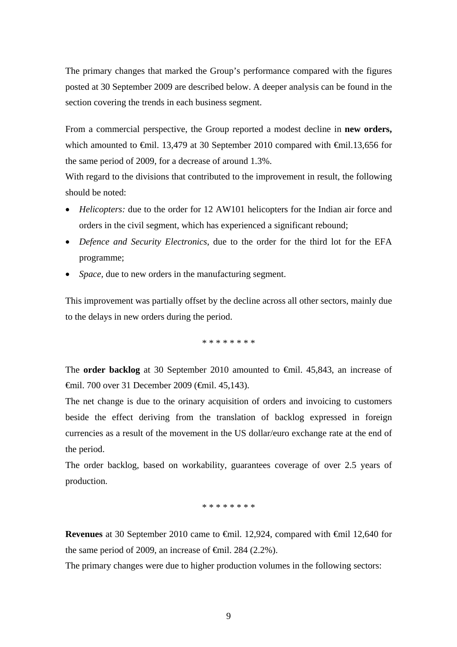The primary changes that marked the Group's performance compared with the figures posted at 30 September 2009 are described below. A deeper analysis can be found in the section covering the trends in each business segment.

From a commercial perspective, the Group reported a modest decline in **new orders,** which amounted to €mil. 13,479 at 30 September 2010 compared with €mil.13,656 for the same period of 2009, for a decrease of around 1.3%.

With regard to the divisions that contributed to the improvement in result, the following should be noted:

- *Helicopters:* due to the order for 12 AW101 helicopters for the Indian air force and orders in the civil segment, which has experienced a significant rebound;
- *Defence and Security Electronics*, due to the order for the third lot for the EFA programme;
- *Space*, due to new orders in the manufacturing segment.

This improvement was partially offset by the decline across all other sectors, mainly due to the delays in new orders during the period.

\* \* \* \* \* \* \* \*

The **order backlog** at 30 September 2010 amounted to €mil. 45,843, an increase of €mil. 700 over 31 December 2009 (€mil. 45,143).

The net change is due to the orinary acquisition of orders and invoicing to customers beside the effect deriving from the translation of backlog expressed in foreign currencies as a result of the movement in the US dollar/euro exchange rate at the end of the period.

The order backlog, based on workability, guarantees coverage of over 2.5 years of production.

\* \* \* \* \* \* \* \*

**Revenues** at 30 September 2010 came to €mil. 12,924, compared with €mil 12,640 for the same period of 2009, an increase of  $\epsilon$ mil. 284 (2.2%).

The primary changes were due to higher production volumes in the following sectors: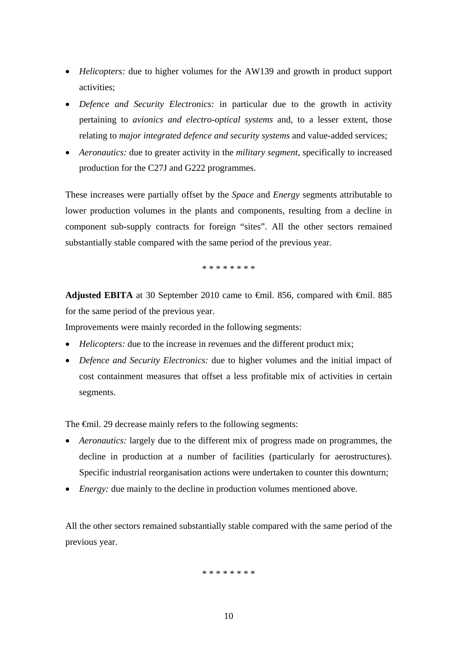- *Helicopters:* due to higher volumes for the AW139 and growth in product support activities;
- *Defence and Security Electronics:* in particular due to the growth in activity pertaining to *avionics and electro-optical systems* and, to a lesser extent, those relating to *major integrated defence and security systems* and value-added services;
- *Aeronautics:* due to greater activity in the *military segment,* specifically to increased production for the C27J and G222 programmes.

These increases were partially offset by the *Space* and *Energy* segments attributable to lower production volumes in the plants and components, resulting from a decline in component sub-supply contracts for foreign "sites". All the other sectors remained substantially stable compared with the same period of the previous year.

\* \* \* \* \* \* \* \*

Adjusted EBITA at 30 September 2010 came to €mil. 856, compared with €mil. 885 for the same period of the previous year.

Improvements were mainly recorded in the following segments:

- *Helicopters:* due to the increase in revenues and the different product mix;
- *Defence and Security Electronics:* due to higher volumes and the initial impact of cost containment measures that offset a less profitable mix of activities in certain segments.

The <del>€mil</del>. 29 decrease mainly refers to the following segments:

- *Aeronautics:* largely due to the different mix of progress made on programmes, the decline in production at a number of facilities (particularly for aerostructures). Specific industrial reorganisation actions were undertaken to counter this downturn;
- *Energy:* due mainly to the decline in production volumes mentioned above.

All the other sectors remained substantially stable compared with the same period of the previous year.

#### \* \* \* \* \* \* \* \*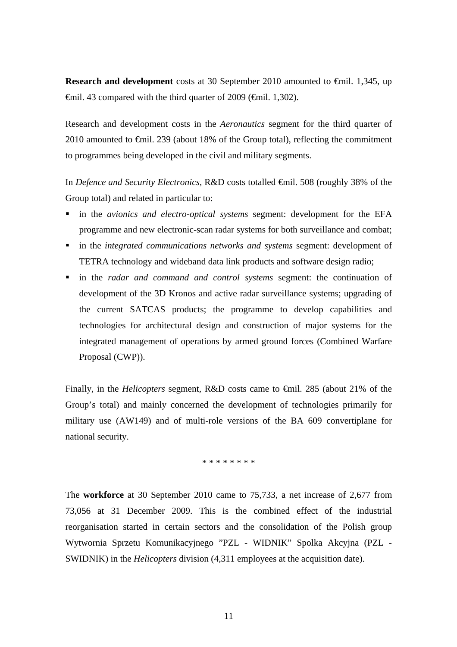**Research and development** costs at 30 September 2010 amounted to <del>€</del>mil. 1,345, up  $\theta$ mil. 43 compared with the third quarter of 2009 ( $\theta$ mil. 1,302).

Research and development costs in the *Aeronautics* segment for the third quarter of 2010 amounted to €mil. 239 (about 18% of the Group total), reflecting the commitment to programmes being developed in the civil and military segments.

In *Defence and Security Electronics,* R&D costs totalled €mil. 508 (roughly 38% of the Group total) and related in particular to:

- in the *avionics and electro-optical systems* segment: development for the EFA programme and new electronic-scan radar systems for both surveillance and combat;
- in the *integrated communications networks and systems* segment: development of TETRA technology and wideband data link products and software design radio;
- in the *radar and command and control systems* segment: the continuation of development of the 3D Kronos and active radar surveillance systems; upgrading of the current SATCAS products; the programme to develop capabilities and technologies for architectural design and construction of major systems for the integrated management of operations by armed ground forces (Combined Warfare Proposal (CWP)).

Finally, in the *Helicopters* segment*,* R&D costs came to €mil. 285 (about 21% of the Group's total) and mainly concerned the development of technologies primarily for military use (AW149) and of multi-role versions of the BA 609 convertiplane for national security.

\* \* \* \* \* \* \* \*

The **workforce** at 30 September 2010 came to 75,733, a net increase of 2,677 from 73,056 at 31 December 2009. This is the combined effect of the industrial reorganisation started in certain sectors and the consolidation of the Polish group Wytwornia Sprzetu Komunikacyjnego "PZL - WIDNIK" Spolka Akcyjna (PZL - SWIDNIK) in the *Helicopters* division (4,311 employees at the acquisition date).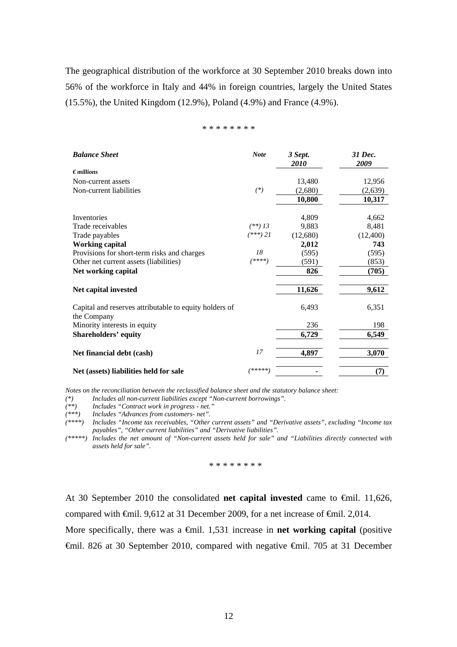The geographical distribution of the workforce at 30 September 2010 breaks down into 56% of the workforce in Italy and 44% in foreign countries, largely the United States (15.5%), the United Kingdom (12.9%), Poland (4.9%) and France (4.9%).

#### \* \* \* \* \* \* \* \*

| <b>Balance Sheet</b>                                                  | <b>Note</b> | 3 Sept.<br>2010 | 31 Dec.<br>2009 |
|-----------------------------------------------------------------------|-------------|-----------------|-----------------|
| $\epsilon$ <i>millions</i>                                            |             |                 |                 |
| Non-current assets                                                    |             | 13,480          | 12,956          |
| Non-current liabilities                                               | $(*)$       | (2,680)         | (2,639)         |
|                                                                       |             | 10,800          | 10,317          |
| Inventories                                                           |             | 4,809           | 4,662           |
| Trade receivables                                                     | $(**)$ 13   | 9,883           | 8,481           |
| Trade payables                                                        | (***) 21    | (12,680)        | (12,400)        |
| <b>Working capital</b>                                                |             | 2,012           | 743             |
| Provisions for short-term risks and charges                           | 18          | (595)           | (595)           |
| Other net current assets (liabilities)                                | $(****)$    | (591)           | (853)           |
| Net working capital                                                   |             | 826             | (705)           |
| Net capital invested                                                  |             | 11,626          | 9,612           |
| Capital and reserves attributable to equity holders of<br>the Company |             | 6,493           | 6,351           |
| Minority interests in equity                                          |             | 236             | 198             |
| <b>Shareholders' equity</b>                                           |             | 6,729           | 6,549           |
| Net financial debt (cash)                                             | 17          | 4,897           | 3,070           |
| Net (assets) liabilities held for sale                                | /*****]     |                 | (7)             |

*Notes on the reconciliation between the reclassified balance sheet and the statutory balance sheet:* 

*(\*) Includes all non-current liabilities except "Non-current borrowings".* 

*(\*\*) Includes "Contract work in progress - net."* 

*(\*\*\*) Includes "Advances from customers- net".* 

*(\*\*\*\*) Includes "Income tax receivables, "Other current assets" and "Derivative assets", excluding "Income tax payables", "Other current liabilities" and "Derivative liabilities".* 

*(\*\*\*\*\*) Includes the net amount of "Non-current assets held for sale" and "Liabilities directly connected with assets held for sale".* 

\* \* \* \* \* \* \* \*

At 30 September 2010 the consolidated **net capital invested** came to €mil. 11,626, compared with €mil. 9,612 at 31 December 2009, for a net increase of €mil. 2,014.

More specifically, there was a €mil. 1,531 increase in **net working capital** (positive €mil. 826 at 30 September 2010, compared with negative €mil. 705 at 31 December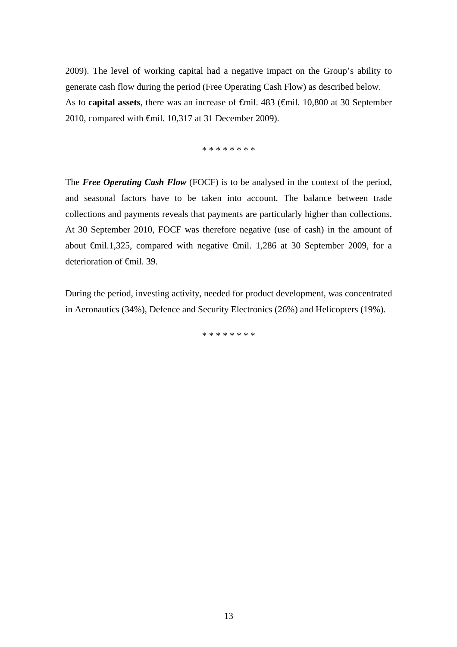2009). The level of working capital had a negative impact on the Group's ability to generate cash flow during the period (Free Operating Cash Flow) as described below. As to **capital assets**, there was an increase of €mil. 483 (€mil. 10,800 at 30 September 2010, compared with €mil. 10,317 at 31 December 2009).

\* \* \* \* \* \* \* \*

The *Free Operating Cash Flow* (FOCF) is to be analysed in the context of the period, and seasonal factors have to be taken into account. The balance between trade collections and payments reveals that payments are particularly higher than collections. At 30 September 2010, FOCF was therefore negative (use of cash) in the amount of about €mil.1,325, compared with negative €mil. 1,286 at 30 September 2009, for a deterioration of <del>€</del>mil. 39.

During the period, investing activity, needed for product development, was concentrated in Aeronautics (34%), Defence and Security Electronics (26%) and Helicopters (19%).

\* \* \* \* \* \* \* \*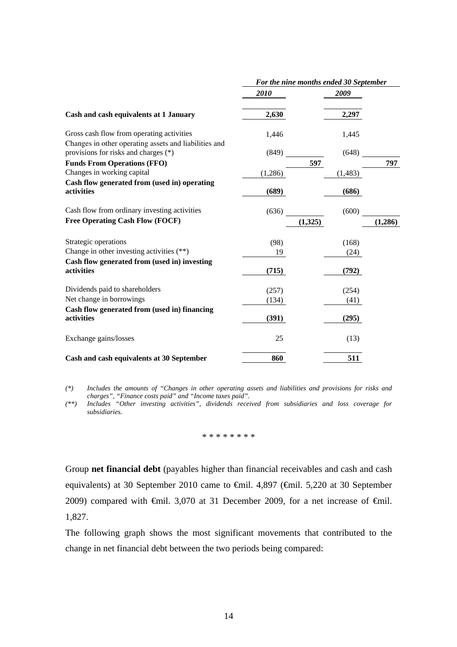|                                                                                               | For the nine months ended 30 September |         |         |  |
|-----------------------------------------------------------------------------------------------|----------------------------------------|---------|---------|--|
|                                                                                               | 2010                                   | 2009    |         |  |
| Cash and cash equivalents at 1 January                                                        | 2,630                                  | 2,297   |         |  |
| Gross cash flow from operating activities                                                     | 1,446                                  | 1,445   |         |  |
| Changes in other operating assets and liabilities and<br>provisions for risks and charges (*) | (849)                                  | (648)   |         |  |
| <b>Funds From Operations (FFO)</b>                                                            |                                        | 597     | 797     |  |
| Changes in working capital                                                                    | (1,286)                                | (1,483) |         |  |
| Cash flow generated from (used in) operating                                                  |                                        |         |         |  |
| activities                                                                                    | (689)                                  | (686)   |         |  |
| Cash flow from ordinary investing activities                                                  | (636)                                  | (600)   |         |  |
| <b>Free Operating Cash Flow (FOCF)</b>                                                        |                                        | (1,325) | (1,286) |  |
| Strategic operations                                                                          | (98)                                   | (168)   |         |  |
| Change in other investing activities (**)                                                     | 19                                     | (24)    |         |  |
| Cash flow generated from (used in) investing                                                  |                                        |         |         |  |
| activities                                                                                    | (715)                                  | (792)   |         |  |
| Dividends paid to shareholders                                                                | (257)                                  | (254)   |         |  |
| Net change in borrowings                                                                      | (134)                                  | (41)    |         |  |
| Cash flow generated from (used in) financing<br>activities                                    | (391)                                  | (295)   |         |  |
| Exchange gains/losses                                                                         | 25                                     | (13)    |         |  |
| Cash and cash equivalents at 30 September                                                     | 860                                    | 511     |         |  |

*(\*) Includes the amounts of "Changes in other operating assets and liabilities and provisions for risks and charges", "Finance costs paid" and "Income taxes paid".* 

*(\*\*) Includes "Other investing activities", dividends received from subsidiaries and loss coverage for subsidiaries.* 

\* \* \* \* \* \* \* \*

Group **net financial debt** (payables higher than financial receivables and cash and cash equivalents) at 30 September 2010 came to €mil. 4,897 (€mil. 5,220 at 30 September 2009) compared with  $\epsilon$ mil. 3,070 at 31 December 2009, for a net increase of  $\epsilon$ mil. 1,827.

The following graph shows the most significant movements that contributed to the change in net financial debt between the two periods being compared: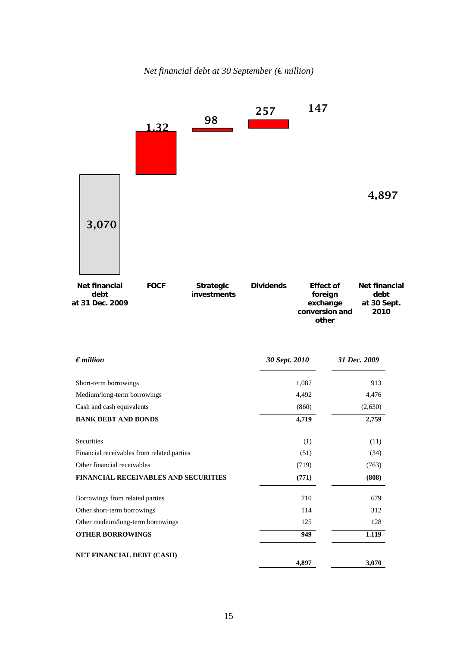



| $\epsilon$ <i>million</i>                   | 30 Sept. 2010 | 31 Dec. 2009 |
|---------------------------------------------|---------------|--------------|
| Short-term borrowings                       | 1,087         | 913          |
| Medium/long-term borrowings                 | 4,492         | 4,476        |
| Cash and cash equivalents                   | (860)         | (2,630)      |
| <b>BANK DEBT AND BONDS</b>                  | 4,719         | 2,759        |
| Securities                                  | (1)           | (11)         |
| Financial receivables from related parties  | (51)          | (34)         |
| Other financial receivables                 | (719)         | (763)        |
| <b>FINANCIAL RECEIVABLES AND SECURITIES</b> | (771)         | (808)        |
| Borrowings from related parties             | 710           | 679          |
| Other short-term borrowings                 | 114           | 312          |
| Other medium/long-term borrowings           | 125           | 128          |
| <b>OTHER BORROWINGS</b>                     | 949           | 1.119        |
| NET FINANCIAL DEBT (CASH)                   | 4,897         | 3,070        |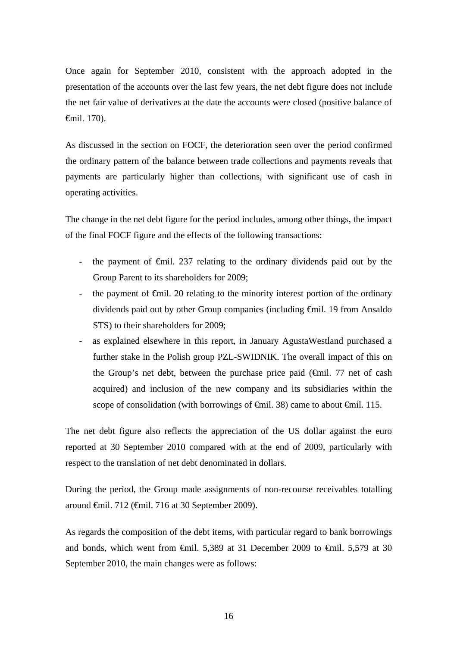Once again for September 2010, consistent with the approach adopted in the presentation of the accounts over the last few years, the net debt figure does not include the net fair value of derivatives at the date the accounts were closed (positive balance of €mil. 170).

As discussed in the section on FOCF, the deterioration seen over the period confirmed the ordinary pattern of the balance between trade collections and payments reveals that payments are particularly higher than collections, with significant use of cash in operating activities.

The change in the net debt figure for the period includes, among other things, the impact of the final FOCF figure and the effects of the following transactions:

- the payment of €mil. 237 relating to the ordinary dividends paid out by the Group Parent to its shareholders for 2009;
- the payment of  $\epsilon$ mil. 20 relating to the minority interest portion of the ordinary dividends paid out by other Group companies (including €mil. 19 from Ansaldo STS) to their shareholders for 2009;
- as explained elsewhere in this report, in January AgustaWestland purchased a further stake in the Polish group PZL-SWIDNIK. The overall impact of this on the Group's net debt, between the purchase price paid  $(\text{f})$ . 77 net of cash acquired) and inclusion of the new company and its subsidiaries within the scope of consolidation (with borrowings of  $\epsilon$ mil. 38) came to about  $\epsilon$ mil. 115.

The net debt figure also reflects the appreciation of the US dollar against the euro reported at 30 September 2010 compared with at the end of 2009, particularly with respect to the translation of net debt denominated in dollars.

During the period, the Group made assignments of non-recourse receivables totalling around €mil. 712 (€mil. 716 at 30 September 2009).

As regards the composition of the debt items, with particular regard to bank borrowings and bonds, which went from  $\epsilon$ mil. 5,389 at 31 December 2009 to  $\epsilon$ mil. 5,579 at 30 September 2010, the main changes were as follows: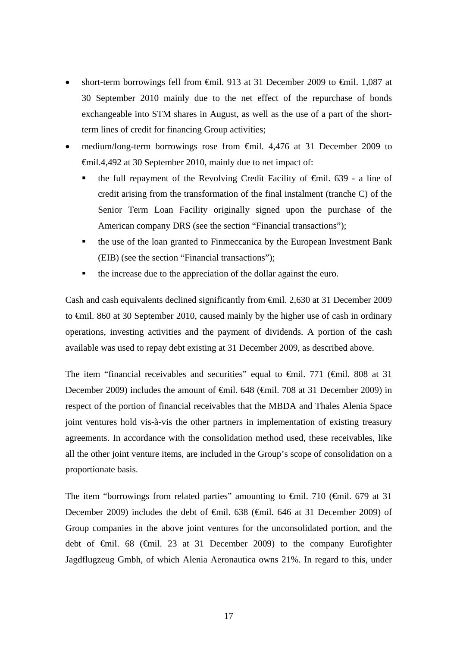- short-term borrowings fell from €mil. 913 at 31 December 2009 to €mil. 1,087 at 30 September 2010 mainly due to the net effect of the repurchase of bonds exchangeable into STM shares in August, as well as the use of a part of the shortterm lines of credit for financing Group activities;
- medium/long-term borrowings rose from €mil. 4,476 at 31 December 2009 to €mil.4,492 at 30 September 2010, mainly due to net impact of:
	- the full repayment of the Revolving Credit Facility of €mil. 639 a line of credit arising from the transformation of the final instalment (tranche C) of the Senior Term Loan Facility originally signed upon the purchase of the American company DRS (see the section "Financial transactions");
	- the use of the loan granted to Finmeccanica by the European Investment Bank (EIB) (see the section "Financial transactions");
	- the increase due to the appreciation of the dollar against the euro.

Cash and cash equivalents declined significantly from €mil. 2,630 at 31 December 2009 to €mil. 860 at 30 September 2010, caused mainly by the higher use of cash in ordinary operations, investing activities and the payment of dividends. A portion of the cash available was used to repay debt existing at 31 December 2009, as described above.

The item "financial receivables and securities" equal to  $\theta$ mil. 771 ( $\theta$ mil. 808 at 31 December 2009) includes the amount of <del>€m</del>il. 648 (€mil. 708 at 31 December 2009) in respect of the portion of financial receivables that the MBDA and Thales Alenia Space joint ventures hold vis-à-vis the other partners in implementation of existing treasury agreements. In accordance with the consolidation method used, these receivables, like all the other joint venture items, are included in the Group's scope of consolidation on a proportionate basis.

The item "borrowings from related parties" amounting to  $\theta$ mil. 710 ( $\theta$ mil. 679 at 31 December 2009) includes the debt of <del>€</del>mil. 638 (€mil. 646 at 31 December 2009) of Group companies in the above joint ventures for the unconsolidated portion, and the debt of €mil. 68 (€mil. 23 at 31 December 2009) to the company Eurofighter Jagdflugzeug Gmbh, of which Alenia Aeronautica owns 21%. In regard to this, under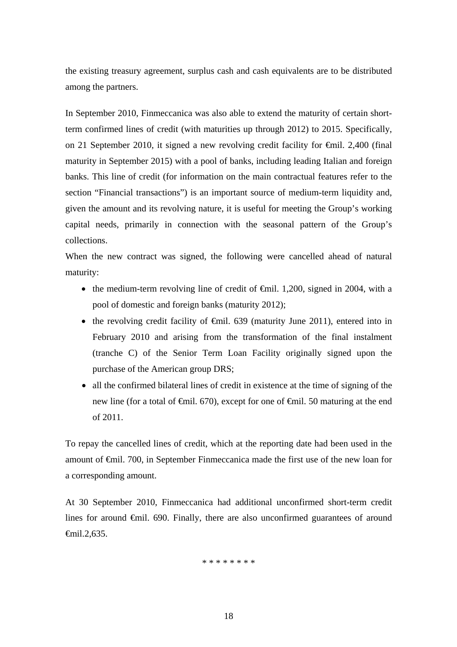the existing treasury agreement, surplus cash and cash equivalents are to be distributed among the partners.

In September 2010, Finmeccanica was also able to extend the maturity of certain shortterm confirmed lines of credit (with maturities up through 2012) to 2015. Specifically, on 21 September 2010, it signed a new revolving credit facility for €mil. 2,400 (final maturity in September 2015) with a pool of banks, including leading Italian and foreign banks. This line of credit (for information on the main contractual features refer to the section "Financial transactions") is an important source of medium-term liquidity and, given the amount and its revolving nature, it is useful for meeting the Group's working capital needs, primarily in connection with the seasonal pattern of the Group's collections.

When the new contract was signed, the following were cancelled ahead of natural maturity:

- the medium-term revolving line of credit of  $\epsilon$ mil. 1,200, signed in 2004, with a pool of domestic and foreign banks (maturity 2012);
- the revolving credit facility of  $\epsilon$ mil. 639 (maturity June 2011), entered into in February 2010 and arising from the transformation of the final instalment (tranche C) of the Senior Term Loan Facility originally signed upon the purchase of the American group DRS;
- all the confirmed bilateral lines of credit in existence at the time of signing of the new line (for a total of  $\epsilon$ mil. 670), except for one of  $\epsilon$ mil. 50 maturing at the end of 2011.

To repay the cancelled lines of credit, which at the reporting date had been used in the amount of €mil. 700, in September Finmeccanica made the first use of the new loan for a corresponding amount.

At 30 September 2010, Finmeccanica had additional unconfirmed short-term credit lines for around €mil. 690. Finally, there are also unconfirmed guarantees of around €mil.2,635.

\* \* \* \* \* \* \* \*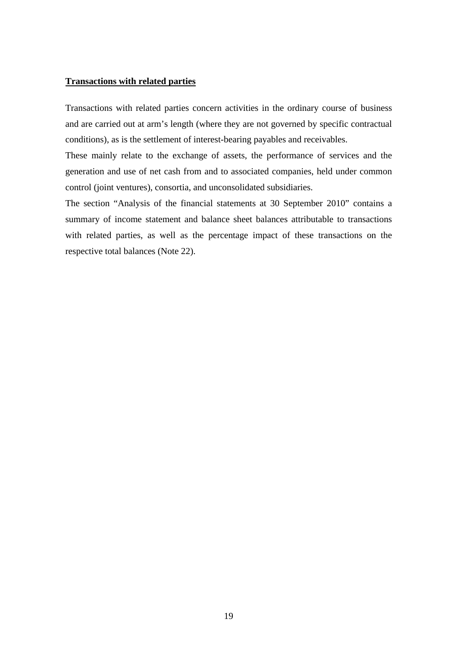#### **Transactions with related parties**

Transactions with related parties concern activities in the ordinary course of business and are carried out at arm's length (where they are not governed by specific contractual conditions), as is the settlement of interest-bearing payables and receivables.

These mainly relate to the exchange of assets, the performance of services and the generation and use of net cash from and to associated companies, held under common control (joint ventures), consortia, and unconsolidated subsidiaries.

The section "Analysis of the financial statements at 30 September 2010" contains a summary of income statement and balance sheet balances attributable to transactions with related parties, as well as the percentage impact of these transactions on the respective total balances (Note 22).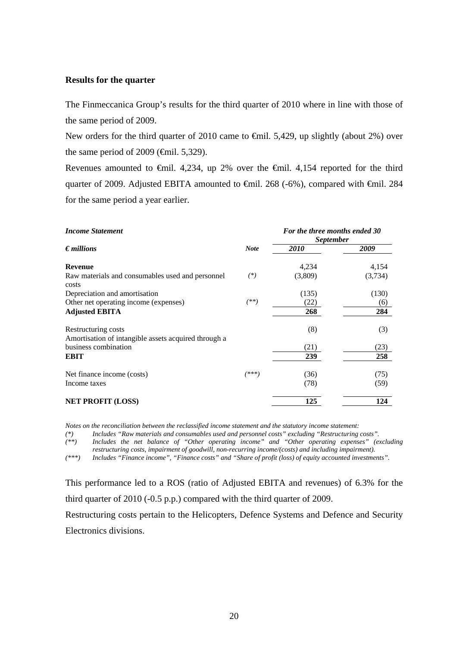#### **Results for the quarter**

The Finmeccanica Group's results for the third quarter of 2010 where in line with those of the same period of 2009.

New orders for the third quarter of 2010 came to €mil. 5,429, up slightly (about 2%) over the same period of 2009 ( $\epsilon$ mil. 5,329).

Revenues amounted to  $\epsilon$ mil. 4,234, up 2% over the  $\epsilon$ mil. 4,154 reported for the third quarter of 2009. Adjusted EBITA amounted to <del>€</del>mil. 268 (-6%), compared with <del>€</del>mil. 284 for the same period a year earlier.

| <b>Income Statement</b>                                                     | For the three months ended 30<br><i>September</i> |         |         |  |
|-----------------------------------------------------------------------------|---------------------------------------------------|---------|---------|--|
| $\epsilon$ <i>millions</i>                                                  | <b>Note</b>                                       | 2010    | 2009    |  |
| <b>Revenue</b>                                                              |                                                   | 4,234   | 4,154   |  |
| Raw materials and consumables used and personnel<br>costs                   | $(*)$                                             | (3,809) | (3,734) |  |
| Depreciation and amortisation                                               |                                                   | (135)   | (130)   |  |
| Other net operating income (expenses)                                       | $(**)$                                            | (22)    | (6)     |  |
| <b>Adjusted EBITA</b>                                                       |                                                   | 268     | 284     |  |
| Restructuring costs<br>Amortisation of intangible assets acquired through a |                                                   | (8)     | (3)     |  |
| business combination                                                        |                                                   | (21)    | (23)    |  |
| <b>EBIT</b>                                                                 |                                                   | 239     | 258     |  |
| Net finance income (costs)                                                  | (***)                                             | (36)    | (75)    |  |
| Income taxes                                                                |                                                   | (78)    | (59)    |  |
| <b>NET PROFIT (LOSS)</b>                                                    |                                                   | 125     | 124     |  |

*Notes on the reconciliation between the reclassified income statement and the statutory income statement:* 

*(\*) Includes "Raw materials and consumables used and personnel costs" excluding "Restructuring costs".* 

*(\*\*) Includes the net balance of "Other operating income" and "Other operating expenses" (excluding restructuring costs, impairment of goodwill, non-recurring income/(costs) and including impairment).* 

*(\*\*\*) Includes "Finance income", "Finance costs" and "Share of profit (loss) of equity accounted investments".* 

This performance led to a ROS (ratio of Adjusted EBITA and revenues) of 6.3% for the third quarter of 2010 (-0.5 p.p.) compared with the third quarter of 2009.

Restructuring costs pertain to the Helicopters, Defence Systems and Defence and Security Electronics divisions.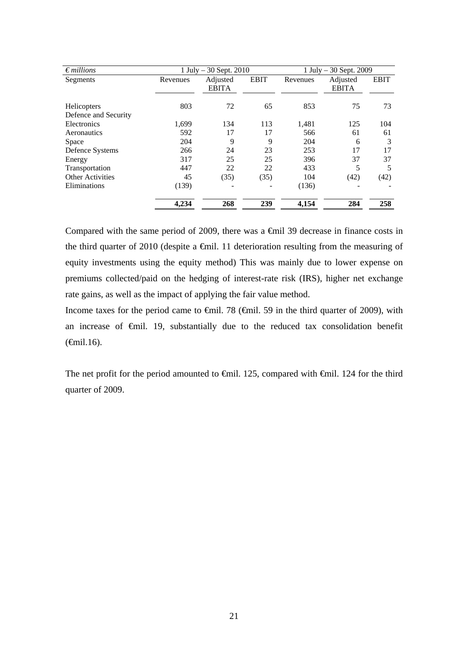| $\epsilon$ millions                 |          | 1 July $-30$ Sept. 2010  |             | 1 July $-30$ Sept. 2009 |                          |             |  |
|-------------------------------------|----------|--------------------------|-------------|-------------------------|--------------------------|-------------|--|
| Segments                            | Revenues | Adjusted<br><b>EBITA</b> | <b>EBIT</b> | Revenues                | Adjusted<br><b>EBITA</b> | <b>EBIT</b> |  |
| Helicopters<br>Defence and Security | 803      | 72                       | 65          | 853                     | 75                       | 73          |  |
| Electronics                         | 1,699    | 134                      | 113         | 1,481                   | 125                      | 104         |  |
| Aeronautics                         | 592      | 17                       | 17          | 566                     | 61                       | 61          |  |
| Space                               | 204      | 9                        | 9           | 204                     | 6                        | 3           |  |
| Defence Systems                     | 266      | 24                       | 23          | 253                     | 17                       | 17          |  |
| Energy                              | 317      | 25                       | 25          | 396                     | 37                       | 37          |  |
| Transportation                      | 447      | 22                       | 22          | 433                     | 5                        |             |  |
| <b>Other Activities</b>             | 45       | (35)                     | (35)        | 104                     | (42)                     | (42)        |  |
| Eliminations                        | (139)    |                          |             | (136)                   |                          |             |  |
|                                     | 4,234    | 268                      | 239         | 4,154                   | 284                      | 258         |  |

Compared with the same period of 2009, there was a €mil 39 decrease in finance costs in the third quarter of 2010 (despite a  $\epsilon$ mil. 11 deterioration resulting from the measuring of equity investments using the equity method) This was mainly due to lower expense on premiums collected/paid on the hedging of interest-rate risk (IRS), higher net exchange rate gains, as well as the impact of applying the fair value method.

Income taxes for the period came to €mil. 78 (€mil. 59 in the third quarter of 2009), with an increase of €mil. 19, substantially due to the reduced tax consolidation benefit  $(\text{6cm}1.16)$ .

The net profit for the period amounted to <del>€</del>mil. 125, compared with <del>€</del>mil. 124 for the third quarter of 2009.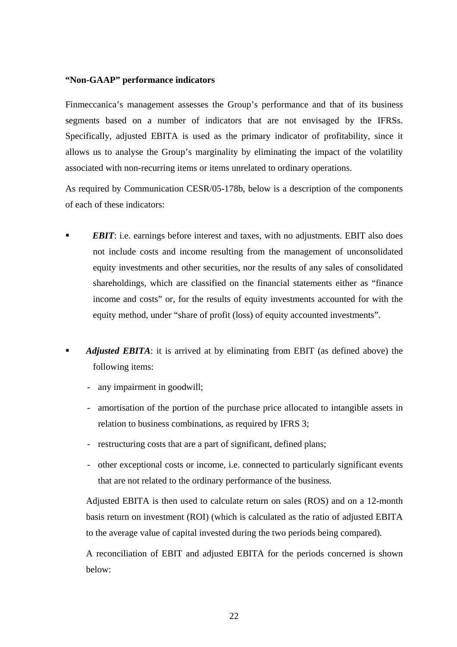### **"Non-GAAP" performance indicators**

Finmeccanica's management assesses the Group's performance and that of its business segments based on a number of indicators that are not envisaged by the IFRSs. Specifically, adjusted EBITA is used as the primary indicator of profitability, since it allows us to analyse the Group's marginality by eliminating the impact of the volatility associated with non-recurring items or items unrelated to ordinary operations.

As required by Communication CESR/05-178b, below is a description of the components of each of these indicators:

- *EBIT*: i.e. earnings before interest and taxes, with no adjustments. EBIT also does not include costs and income resulting from the management of unconsolidated equity investments and other securities, nor the results of any sales of consolidated shareholdings, which are classified on the financial statements either as "finance income and costs" or, for the results of equity investments accounted for with the equity method, under "share of profit (loss) of equity accounted investments".
- *Adjusted EBITA*: it is arrived at by eliminating from EBIT (as defined above) the following items:
	- any impairment in goodwill;
	- amortisation of the portion of the purchase price allocated to intangible assets in relation to business combinations, as required by IFRS 3;
	- restructuring costs that are a part of significant, defined plans;
	- other exceptional costs or income, i.e. connected to particularly significant events that are not related to the ordinary performance of the business.

Adjusted EBITA is then used to calculate return on sales (ROS) and on a 12-month basis return on investment (ROI) (which is calculated as the ratio of adjusted EBITA to the average value of capital invested during the two periods being compared)*.*

A reconciliation of EBIT and adjusted EBITA for the periods concerned is shown below: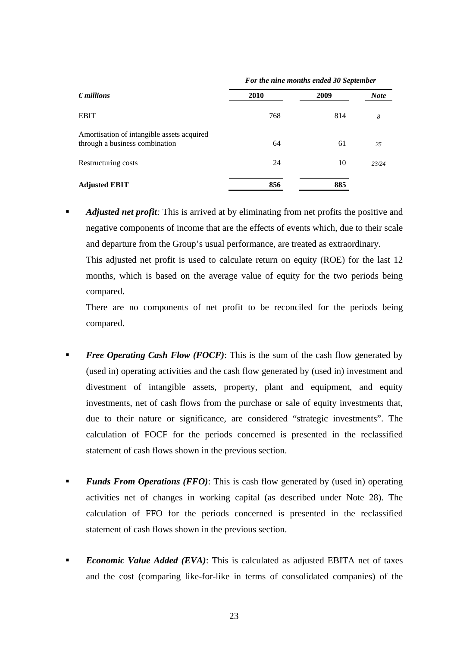| $\epsilon$ <i>millions</i>                                                   | 2010 | 2009 | <b>Note</b> |
|------------------------------------------------------------------------------|------|------|-------------|
| <b>EBIT</b>                                                                  | 768  | 814  | 8           |
| Amortisation of intangible assets acquired<br>through a business combination | 64   | 61   | 25          |
| Restructuring costs                                                          | 24   | 10   | 23/24       |
| <b>Adjusted EBIT</b>                                                         | 856  | 885  |             |

*For the nine months ended 30 September* 

 *Adjusted net profit:* This is arrived at by eliminating from net profits the positive and negative components of income that are the effects of events which, due to their scale and departure from the Group's usual performance, are treated as extraordinary.

This adjusted net profit is used to calculate return on equity (ROE) for the last 12 months, which is based on the average value of equity for the two periods being compared.

There are no components of net profit to be reconciled for the periods being compared.

- **Free Operating Cash Flow (FOCF):** This is the sum of the cash flow generated by (used in) operating activities and the cash flow generated by (used in) investment and divestment of intangible assets, property, plant and equipment, and equity investments, net of cash flows from the purchase or sale of equity investments that, due to their nature or significance, are considered "strategic investments". The calculation of FOCF for the periods concerned is presented in the reclassified statement of cash flows shown in the previous section.
- *Funds From Operations (FFO)*: This is cash flow generated by (used in) operating activities net of changes in working capital (as described under Note 28). The calculation of FFO for the periods concerned is presented in the reclassified statement of cash flows shown in the previous section.
- **Economic Value Added (EVA):** This is calculated as adjusted EBITA net of taxes and the cost (comparing like-for-like in terms of consolidated companies) of the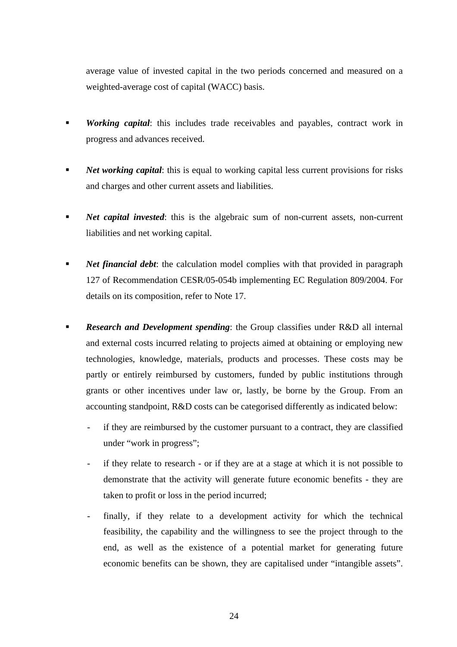average value of invested capital in the two periods concerned and measured on a weighted-average cost of capital (WACC) basis.

- *Working capital*: this includes trade receivables and payables, contract work in progress and advances received.
- **Net working capital:** this is equal to working capital less current provisions for risks and charges and other current assets and liabilities.
- **Net capital invested:** this is the algebraic sum of non-current assets, non-current liabilities and net working capital.
- *Net financial debt*: the calculation model complies with that provided in paragraph 127 of Recommendation CESR/05-054b implementing EC Regulation 809/2004. For details on its composition, refer to Note 17.
- **Research and Development spending:** the Group classifies under R&D all internal and external costs incurred relating to projects aimed at obtaining or employing new technologies, knowledge, materials, products and processes. These costs may be partly or entirely reimbursed by customers, funded by public institutions through grants or other incentives under law or, lastly, be borne by the Group. From an accounting standpoint, R&D costs can be categorised differently as indicated below:
	- if they are reimbursed by the customer pursuant to a contract, they are classified under "work in progress";
	- if they relate to research or if they are at a stage at which it is not possible to demonstrate that the activity will generate future economic benefits - they are taken to profit or loss in the period incurred;
	- finally, if they relate to a development activity for which the technical feasibility, the capability and the willingness to see the project through to the end, as well as the existence of a potential market for generating future economic benefits can be shown, they are capitalised under "intangible assets".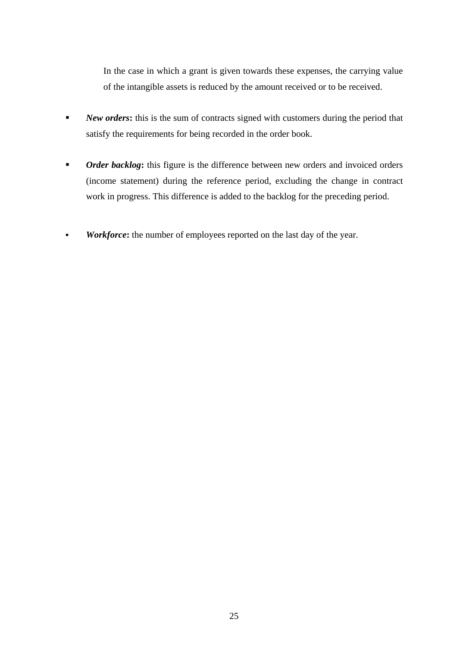In the case in which a grant is given towards these expenses, the carrying value of the intangible assets is reduced by the amount received or to be received.

- **New orders:** this is the sum of contracts signed with customers during the period that satisfy the requirements for being recorded in the order book.
- *Order backlog*: this figure is the difference between new orders and invoiced orders (income statement) during the reference period, excluding the change in contract work in progress. This difference is added to the backlog for the preceding period.
- **Workforce:** the number of employees reported on the last day of the year.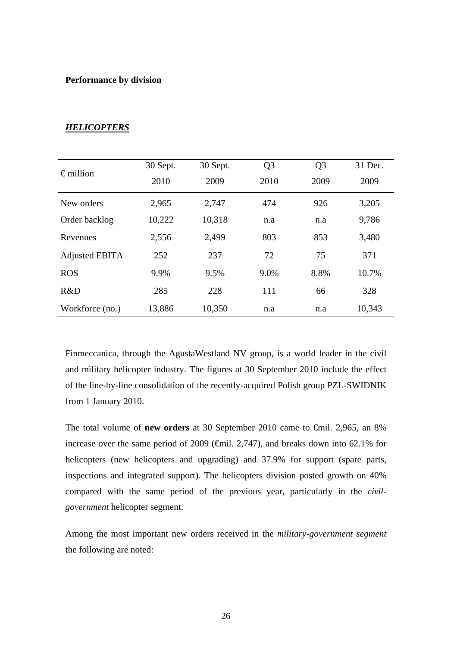#### **Performance by division**

| $\epsilon$ million | 30 Sept. | 30 Sept. | Q <sub>3</sub> | Q <sub>3</sub> | 31 Dec. |
|--------------------|----------|----------|----------------|----------------|---------|
|                    | 2010     | 2009     | 2010           | 2009           | 2009    |
| New orders         | 2,965    | 2,747    | 474            | 926            | 3,205   |
| Order backlog      | 10,222   | 10,318   | n.a            | n.a            | 9,786   |
| Revenues           | 2,556    | 2,499    | 803            | 853            | 3,480   |
| Adjusted EBITA     | 252      | 237      | 72             | 75             | 371     |
| <b>ROS</b>         | 9.9%     | 9.5%     | 9.0%           | 8.8%           | 10.7%   |
| R&D                | 285      | 228      | 111            | 66             | 328     |
| Workforce (no.)    | 13,886   | 10,350   | n.a            | n.a            | 10,343  |

#### *HELICOPTERS*

Finmeccanica, through the AgustaWestland NV group, is a world leader in the civil and military helicopter industry. The figures at 30 September 2010 include the effect of the line-by-line consolidation of the recently-acquired Polish group PZL-SWIDNIK from 1 January 2010.

The total volume of **new orders** at 30 September 2010 came to €mil. 2,965, an 8% increase over the same period of 2009 ( $\epsilon$ mil. 2,747), and breaks down into 62.1% for helicopters (new helicopters and upgrading) and 37.9% for support (spare parts, inspections and integrated support). The helicopters division posted growth on 40% compared with the same period of the previous year, particularly in the *civilgovernment* helicopter segment.

Among the most important new orders received in the *military-government segment* the following are noted: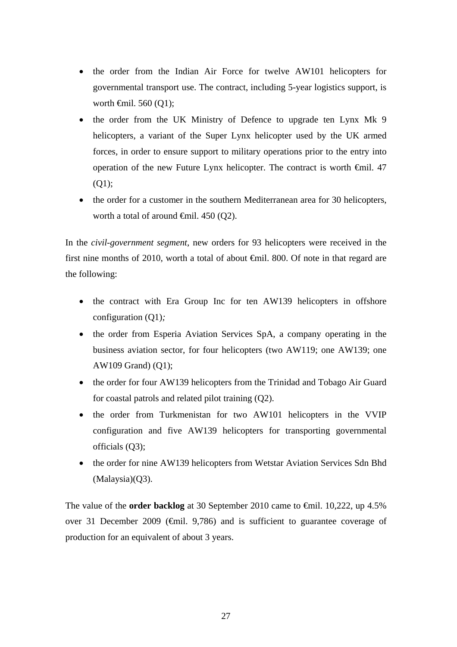- the order from the Indian Air Force for twelve AW101 helicopters for governmental transport use. The contract, including 5-year logistics support, is worth  $\widehat{\mathsf{f}}$ mil. 560 (Q1);
- the order from the UK Ministry of Defence to upgrade ten Lynx Mk 9 helicopters, a variant of the Super Lynx helicopter used by the UK armed forces, in order to ensure support to military operations prior to the entry into operation of the new Future Lynx helicopter. The contract is worth €mil. 47 (Q1);
- the order for a customer in the southern Mediterranean area for 30 helicopters, worth a total of around  $\oplus$ mil. 450 (O2).

In the *civil-government segment*, new orders for 93 helicopters were received in the first nine months of 2010, worth a total of about  $\bigoplus$  and  $\bigoplus$  and  $\bigoplus$  and  $\bigoplus$  are finite. the following:

- the contract with Era Group Inc for ten AW139 helicopters in offshore configuration (Q1)*;*
- the order from Esperia Aviation Services SpA, a company operating in the business aviation sector, for four helicopters (two AW119; one AW139; one AW109 Grand) (Q1);
- the order for four AW139 helicopters from the Trinidad and Tobago Air Guard for coastal patrols and related pilot training (Q2).
- the order from Turkmenistan for two AW101 helicopters in the VVIP configuration and five AW139 helicopters for transporting governmental officials (Q3);
- the order for nine AW139 helicopters from Wetstar Aviation Services Sdn Bhd (Malaysia)(Q3).

The value of the **order backlog** at 30 September 2010 came to €mil. 10,222, up 4.5% over 31 December 2009 ( $\bigoplus$ mil. 9,786) and is sufficient to guarantee coverage of production for an equivalent of about 3 years.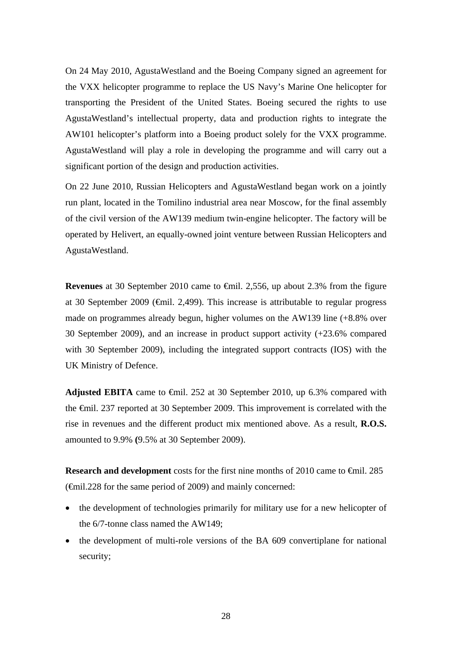On 24 May 2010, AgustaWestland and the Boeing Company signed an agreement for the VXX helicopter programme to replace the US Navy's Marine One helicopter for transporting the President of the United States. Boeing secured the rights to use AgustaWestland's intellectual property, data and production rights to integrate the AW101 helicopter's platform into a Boeing product solely for the VXX programme. AgustaWestland will play a role in developing the programme and will carry out a significant portion of the design and production activities.

On 22 June 2010, Russian Helicopters and AgustaWestland began work on a jointly run plant, located in the Tomilino industrial area near Moscow, for the final assembly of the civil version of the AW139 medium twin-engine helicopter. The factory will be operated by Helivert, an equally-owned joint venture between Russian Helicopters and AgustaWestland.

**Revenues** at 30 September 2010 came to <del>€mil.</del> 2,556, up about 2.3% from the figure at 30 September 2009 (€mil. 2,499). This increase is attributable to regular progress made on programmes already begun, higher volumes on the AW139 line (+8.8% over 30 September 2009), and an increase in product support activity (+23.6% compared with 30 September 2009), including the integrated support contracts (IOS) with the UK Ministry of Defence.

**Adjusted EBITA** came to €mil. 252 at 30 September 2010, up 6.3% compared with the €mil. 237 reported at 30 September 2009. This improvement is correlated with the rise in revenues and the different product mix mentioned above. As a result, **R.O.S.**  amounted to 9.9% **(**9.5% at 30 September 2009).

**Research and development** costs for the first nine months of 2010 came to €mil. 285 (€mil.228 for the same period of 2009) and mainly concerned:

- the development of technologies primarily for military use for a new helicopter of the 6/7-tonne class named the AW149;
- the development of multi-role versions of the BA 609 convertiplane for national security;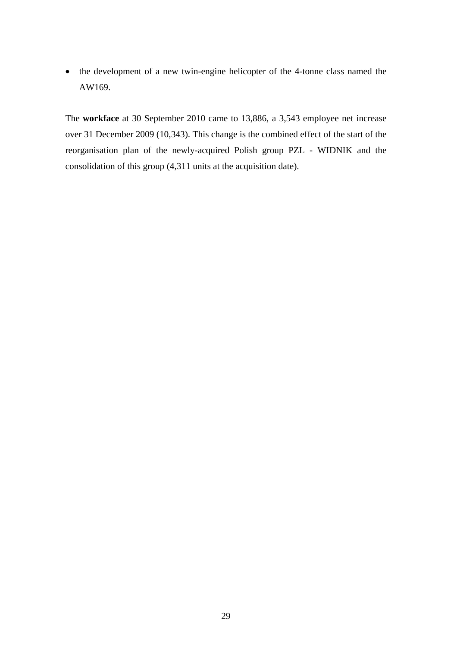• the development of a new twin-engine helicopter of the 4-tonne class named the AW169.

The **workface** at 30 September 2010 came to 13,886, a 3,543 employee net increase over 31 December 2009 (10,343). This change is the combined effect of the start of the reorganisation plan of the newly-acquired Polish group PZL - WIDNIK and the consolidation of this group (4,311 units at the acquisition date).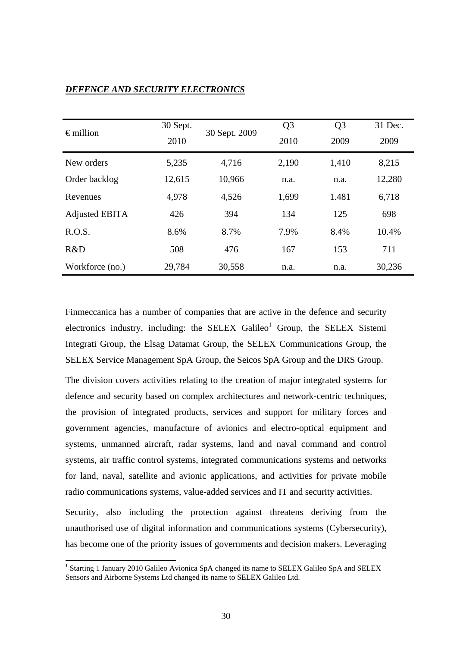| $\epsilon$ million    | 30 Sept.<br>2010 | 30 Sept. 2009 | Q <sub>3</sub><br>2010 | Q <sub>3</sub><br>2009 | 31 Dec.<br>2009 |
|-----------------------|------------------|---------------|------------------------|------------------------|-----------------|
| New orders            | 5,235            | 4,716         | 2,190                  | 1,410                  | 8,215           |
| Order backlog         | 12,615           | 10,966        | n.a.                   | n.a.                   | 12,280          |
| Revenues              | 4,978            | 4,526         | 1,699                  | 1.481                  | 6,718           |
| <b>Adjusted EBITA</b> | 426              | 394           | 134                    | 125                    | 698             |
| R.O.S.                | 8.6%             | 8.7%          | 7.9%                   | 8.4%                   | 10.4%           |
| R&D                   | 508              | 476           | 167                    | 153                    | 711             |
| Workforce (no.)       | 29,784           | 30,558        | n.a.                   | n.a.                   | 30,236          |

## *DEFENCE AND SECURITY ELECTRONICS*

Finmeccanica has a number of companies that are active in the defence and security electronics industry, including: the SELEX Galileo<sup>1</sup> Group, the SELEX Sistemi Integrati Group, the Elsag Datamat Group, the SELEX Communications Group, the SELEX Service Management SpA Group, the Seicos SpA Group and the DRS Group.

The division covers activities relating to the creation of major integrated systems for defence and security based on complex architectures and network-centric techniques, the provision of integrated products, services and support for military forces and government agencies, manufacture of avionics and electro-optical equipment and systems, unmanned aircraft, radar systems, land and naval command and control systems, air traffic control systems, integrated communications systems and networks for land, naval, satellite and avionic applications, and activities for private mobile radio communications systems, value-added services and IT and security activities.

Security, also including the protection against threatens deriving from the unauthorised use of digital information and communications systems (Cybersecurity), has become one of the priority issues of governments and decision makers. Leveraging

l

<sup>&</sup>lt;sup>1</sup> Starting 1 January 2010 Galileo Avionica SpA changed its name to SELEX Galileo SpA and SELEX Sensors and Airborne Systems Ltd changed its name to SELEX Galileo Ltd.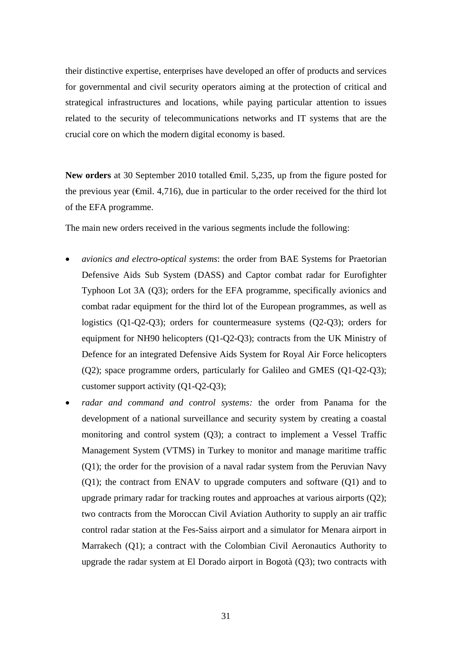their distinctive expertise, enterprises have developed an offer of products and services for governmental and civil security operators aiming at the protection of critical and strategical infrastructures and locations, while paying particular attention to issues related to the security of telecommunications networks and IT systems that are the crucial core on which the modern digital economy is based.

New orders at 30 September 2010 totalled <del>€</del>mil. 5,235, up from the figure posted for the previous year ( $\epsilon$ mil. 4,716), due in particular to the order received for the third lot of the EFA programme.

The main new orders received in the various segments include the following:

- *avionics and electro-optical systems*: the order from BAE Systems for Praetorian Defensive Aids Sub System (DASS) and Captor combat radar for Eurofighter Typhoon Lot 3A (Q3); orders for the EFA programme, specifically avionics and combat radar equipment for the third lot of the European programmes, as well as logistics (Q1-Q2-Q3); orders for countermeasure systems (Q2-Q3); orders for equipment for NH90 helicopters (Q1-Q2-Q3); contracts from the UK Ministry of Defence for an integrated Defensive Aids System for Royal Air Force helicopters (Q2); space programme orders, particularly for Galileo and GMES (Q1-Q2-Q3); customer support activity (Q1-Q2-Q3);
- *radar and command and control systems:* the order from Panama for the development of a national surveillance and security system by creating a coastal monitoring and control system (Q3); a contract to implement a Vessel Traffic Management System (VTMS) in Turkey to monitor and manage maritime traffic (Q1); the order for the provision of a naval radar system from the Peruvian Navy (Q1); the contract from ENAV to upgrade computers and software (Q1) and to upgrade primary radar for tracking routes and approaches at various airports (Q2); two contracts from the Moroccan Civil Aviation Authority to supply an air traffic control radar station at the Fes-Saiss airport and a simulator for Menara airport in Marrakech (Q1); a contract with the Colombian Civil Aeronautics Authority to upgrade the radar system at El Dorado airport in Bogotà (Q3); two contracts with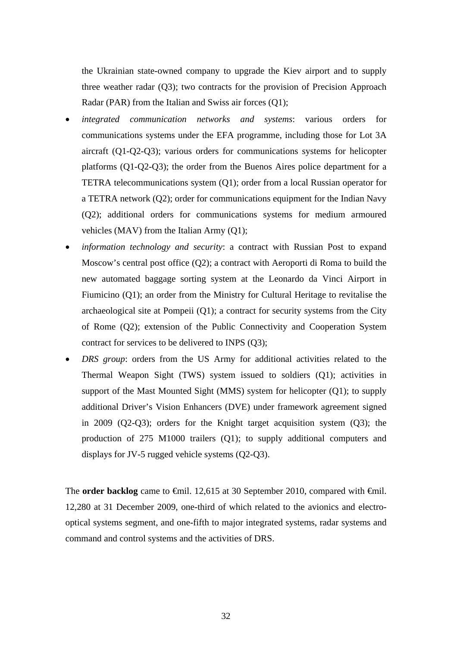the Ukrainian state-owned company to upgrade the Kiev airport and to supply three weather radar (Q3); two contracts for the provision of Precision Approach Radar (PAR) from the Italian and Swiss air forces (Q1);

- *integrated communication networks and systems*: various orders for communications systems under the EFA programme, including those for Lot 3A aircraft (Q1-Q2-Q3); various orders for communications systems for helicopter platforms (Q1-Q2-Q3); the order from the Buenos Aires police department for a TETRA telecommunications system (Q1); order from a local Russian operator for a TETRA network (Q2); order for communications equipment for the Indian Navy (Q2); additional orders for communications systems for medium armoured vehicles (MAV) from the Italian Army (Q1);
- *information technology and security*: a contract with Russian Post to expand Moscow's central post office (Q2); a contract with Aeroporti di Roma to build the new automated baggage sorting system at the Leonardo da Vinci Airport in Fiumicino (Q1); an order from the Ministry for Cultural Heritage to revitalise the archaeological site at Pompeii  $(Q1)$ ; a contract for security systems from the City of Rome (Q2); extension of the Public Connectivity and Cooperation System contract for services to be delivered to INPS (Q3);
- *DRS group*: orders from the US Army for additional activities related to the Thermal Weapon Sight (TWS) system issued to soldiers (Q1); activities in support of the Mast Mounted Sight (MMS) system for helicopter (Q1); to supply additional Driver's Vision Enhancers (DVE) under framework agreement signed in 2009 (Q2-Q3); orders for the Knight target acquisition system (Q3); the production of 275 M1000 trailers (Q1); to supply additional computers and displays for JV-5 rugged vehicle systems (Q2-Q3).

The **order backlog** came to €mil. 12,615 at 30 September 2010, compared with €mil. 12,280 at 31 December 2009, one-third of which related to the avionics and electrooptical systems segment, and one-fifth to major integrated systems, radar systems and command and control systems and the activities of DRS.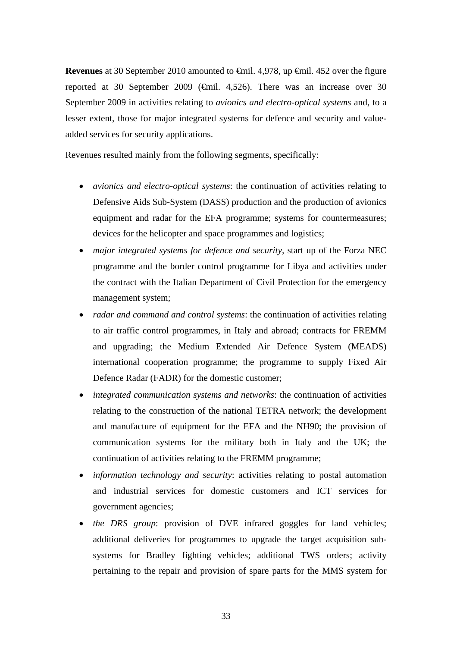**Revenues** at 30 September 2010 amounted to €mil. 4,978, up €mil. 452 over the figure reported at 30 September 2009 (€mil. 4,526). There was an increase over 30 September 2009 in activities relating to *avionics and electro-optical systems* and, to a lesser extent, those for major integrated systems for defence and security and valueadded services for security applications.

Revenues resulted mainly from the following segments, specifically:

- *avionics and electro-optical systems*: the continuation of activities relating to Defensive Aids Sub-System (DASS) production and the production of avionics equipment and radar for the EFA programme; systems for countermeasures; devices for the helicopter and space programmes and logistics;
- *major integrated systems for defence and security,* start up of the Forza NEC programme and the border control programme for Libya and activities under the contract with the Italian Department of Civil Protection for the emergency management system;
- *radar and command and control systems*: the continuation of activities relating to air traffic control programmes, in Italy and abroad; contracts for FREMM and upgrading; the Medium Extended Air Defence System (MEADS) international cooperation programme; the programme to supply Fixed Air Defence Radar (FADR) for the domestic customer;
- *integrated communication systems and networks*: the continuation of activities relating to the construction of the national TETRA network; the development and manufacture of equipment for the EFA and the NH90; the provision of communication systems for the military both in Italy and the UK; the continuation of activities relating to the FREMM programme;
- *information technology and security*: activities relating to postal automation and industrial services for domestic customers and ICT services for government agencies;
- *the DRS group*: provision of DVE infrared goggles for land vehicles; additional deliveries for programmes to upgrade the target acquisition subsystems for Bradley fighting vehicles; additional TWS orders; activity pertaining to the repair and provision of spare parts for the MMS system for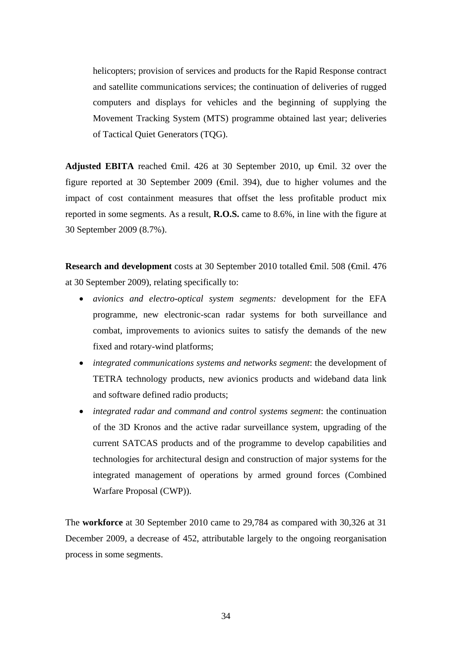helicopters; provision of services and products for the Rapid Response contract and satellite communications services; the continuation of deliveries of rugged computers and displays for vehicles and the beginning of supplying the Movement Tracking System (MTS) programme obtained last year; deliveries of Tactical Quiet Generators (TQG).

Adjusted EBITA reached  $\epsilon$ mil. 426 at 30 September 2010, up  $\epsilon$ mil. 32 over the figure reported at 30 September 2009 ( $\bigoplus$ mil. 394), due to higher volumes and the impact of cost containment measures that offset the less profitable product mix reported in some segments. As a result, **R.O.S.** came to 8.6%, in line with the figure at 30 September 2009 (8.7%).

**Research and development** costs at 30 September 2010 totalled €mil. 508 (€mil. 476 at 30 September 2009), relating specifically to:

- *avionics and electro-optical system segments:* development for the EFA programme, new electronic-scan radar systems for both surveillance and combat, improvements to avionics suites to satisfy the demands of the new fixed and rotary-wind platforms;
- *integrated communications systems and networks segment*: the development of TETRA technology products, new avionics products and wideband data link and software defined radio products;
- *integrated radar and command and control systems segment*: the continuation of the 3D Kronos and the active radar surveillance system, upgrading of the current SATCAS products and of the programme to develop capabilities and technologies for architectural design and construction of major systems for the integrated management of operations by armed ground forces (Combined Warfare Proposal (CWP)).

The **workforce** at 30 September 2010 came to 29,784 as compared with 30,326 at 31 December 2009, a decrease of 452, attributable largely to the ongoing reorganisation process in some segments.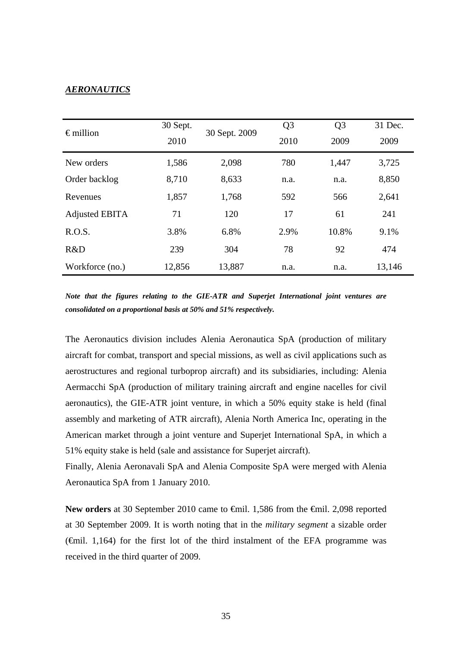#### *AERONAUTICS*

| $\epsilon$ million | 30 Sept.<br>2010 | 30 Sept. 2009 | Q <sub>3</sub><br>2010 | Q <sub>3</sub><br>2009 | 31 Dec.<br>2009 |
|--------------------|------------------|---------------|------------------------|------------------------|-----------------|
| New orders         | 1,586            | 2,098         | 780                    | 1,447                  | 3,725           |
| Order backlog      | 8,710            | 8,633         | n.a.                   | n.a.                   | 8,850           |
| Revenues           | 1,857            | 1,768         | 592                    | 566                    | 2,641           |
| Adjusted EBITA     | 71               | 120           | 17                     | 61                     | 241             |
| R.O.S.             | 3.8%             | 6.8%          | 2.9%                   | 10.8%                  | 9.1%            |
| R&D                | 239              | 304           | 78                     | 92                     | 474             |
| Workforce (no.)    | 12,856           | 13,887        | n.a.                   | n.a.                   | 13,146          |

*Note that the figures relating to the GIE-ATR and Superjet International joint ventures are consolidated on a proportional basis at 50% and 51% respectively.* 

The Aeronautics division includes Alenia Aeronautica SpA (production of military aircraft for combat, transport and special missions, as well as civil applications such as aerostructures and regional turboprop aircraft) and its subsidiaries, including: Alenia Aermacchi SpA (production of military training aircraft and engine nacelles for civil aeronautics), the GIE-ATR joint venture, in which a 50% equity stake is held (final assembly and marketing of ATR aircraft), Alenia North America Inc, operating in the American market through a joint venture and Superjet International SpA, in which a 51% equity stake is held (sale and assistance for Superjet aircraft).

Finally, Alenia Aeronavali SpA and Alenia Composite SpA were merged with Alenia Aeronautica SpA from 1 January 2010.

New orders at 30 September 2010 came to <del>€</del>mil. 1,586 from the <del>€</del>mil. 2,098 reported at 30 September 2009. It is worth noting that in the *military segment* a sizable order  $(\text{6)$ . 1,164) for the first lot of the third instalment of the EFA programme was received in the third quarter of 2009.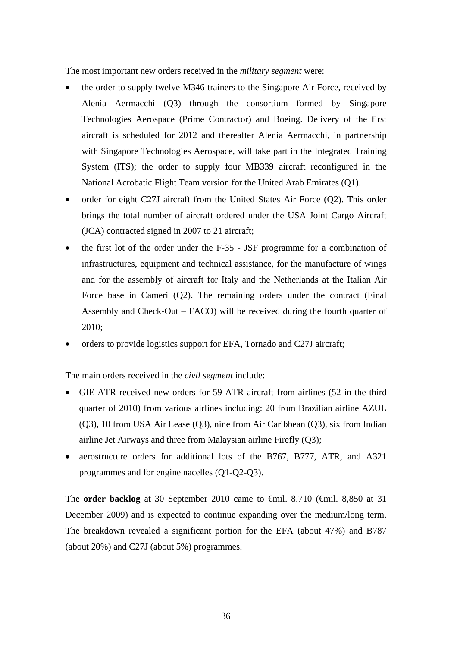The most important new orders received in the *military segment* were:

- the order to supply twelve M346 trainers to the Singapore Air Force, received by Alenia Aermacchi (Q3) through the consortium formed by Singapore Technologies Aerospace (Prime Contractor) and Boeing. Delivery of the first aircraft is scheduled for 2012 and thereafter Alenia Aermacchi, in partnership with Singapore Technologies Aerospace, will take part in the Integrated Training System (ITS); the order to supply four MB339 aircraft reconfigured in the National Acrobatic Flight Team version for the United Arab Emirates (Q1).
- order for eight C27J aircraft from the United States Air Force (Q2). This order brings the total number of aircraft ordered under the USA Joint Cargo Aircraft (JCA) contracted signed in 2007 to 21 aircraft;
- the first lot of the order under the F-35 JSF programme for a combination of infrastructures, equipment and technical assistance, for the manufacture of wings and for the assembly of aircraft for Italy and the Netherlands at the Italian Air Force base in Cameri (Q2). The remaining orders under the contract (Final Assembly and Check-Out – FACO) will be received during the fourth quarter of 2010;
- orders to provide logistics support for EFA, Tornado and C27J aircraft;

The main orders received in the *civil segment* include:

- GIE-ATR received new orders for 59 ATR aircraft from airlines (52 in the third quarter of 2010) from various airlines including: 20 from Brazilian airline AZUL (Q3), 10 from USA Air Lease (Q3), nine from Air Caribbean (Q3), six from Indian airline Jet Airways and three from Malaysian airline Firefly (Q3);
- aerostructure orders for additional lots of the B767, B777, ATR, and A321 programmes and for engine nacelles (Q1-Q2-Q3).

The **order backlog** at 30 September 2010 came to €mil. 8,710 (€mil. 8,850 at 31 December 2009) and is expected to continue expanding over the medium/long term. The breakdown revealed a significant portion for the EFA (about 47%) and B787 (about 20%) and C27J (about 5%) programmes.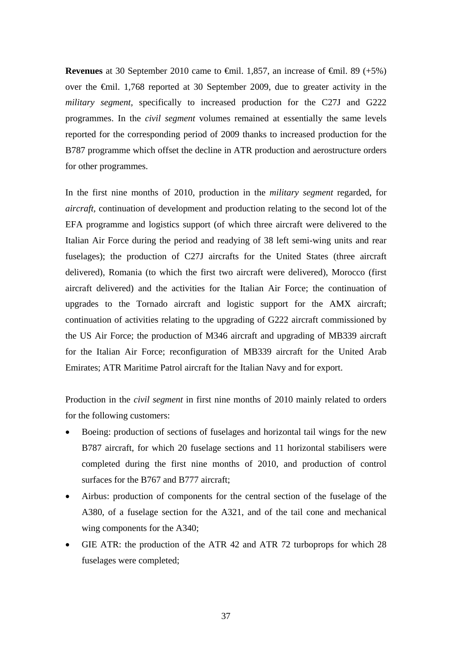**Revenues** at 30 September 2010 came to  $\theta$ mil. 1,857, an increase of  $\theta$ mil. 89 (+5%) over the €mil. 1,768 reported at 30 September 2009, due to greater activity in the *military segment,* specifically to increased production for the C27J and G222 programmes. In the *civil segment* volumes remained at essentially the same levels reported for the corresponding period of 2009 thanks to increased production for the B787 programme which offset the decline in ATR production and aerostructure orders for other programmes.

In the first nine months of 2010, production in the *military segment* regarded, for *aircraft,* continuation of development and production relating to the second lot of the EFA programme and logistics support (of which three aircraft were delivered to the Italian Air Force during the period and readying of 38 left semi-wing units and rear fuselages); the production of C27J aircrafts for the United States (three aircraft delivered), Romania (to which the first two aircraft were delivered), Morocco (first aircraft delivered) and the activities for the Italian Air Force; the continuation of upgrades to the Tornado aircraft and logistic support for the AMX aircraft; continuation of activities relating to the upgrading of G222 aircraft commissioned by the US Air Force; the production of M346 aircraft and upgrading of MB339 aircraft for the Italian Air Force; reconfiguration of MB339 aircraft for the United Arab Emirates; ATR Maritime Patrol aircraft for the Italian Navy and for export.

Production in the *civil segment* in first nine months of 2010 mainly related to orders for the following customers:

- Boeing: production of sections of fuselages and horizontal tail wings for the new B787 aircraft, for which 20 fuselage sections and 11 horizontal stabilisers were completed during the first nine months of 2010, and production of control surfaces for the B767 and B777 aircraft;
- Airbus: production of components for the central section of the fuselage of the A380, of a fuselage section for the A321, and of the tail cone and mechanical wing components for the A340;
- GIE ATR: the production of the ATR 42 and ATR 72 turboprops for which 28 fuselages were completed;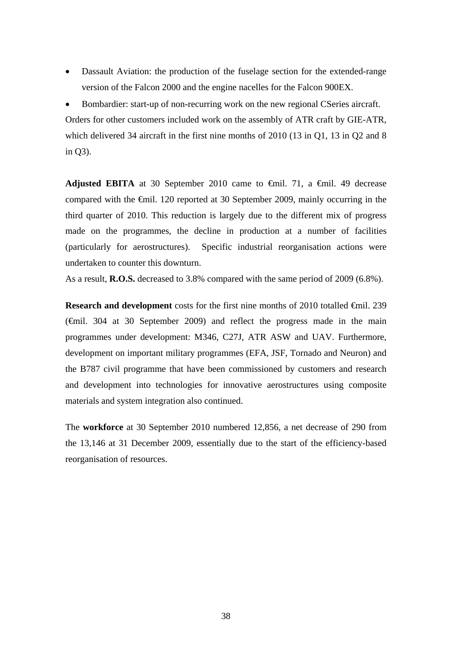Dassault Aviation: the production of the fuselage section for the extended-range version of the Falcon 2000 and the engine nacelles for the Falcon 900EX.

 Bombardier: start-up of non-recurring work on the new regional CSeries aircraft. Orders for other customers included work on the assembly of ATR craft by GIE-ATR, which delivered 34 aircraft in the first nine months of 2010 (13 in Q1, 13 in Q2 and 8 in Q3).

**Adjusted EBITA** at 30 September 2010 came to  $\theta$ mil. 71, a  $\theta$ mil. 49 decrease compared with the €mil. 120 reported at 30 September 2009, mainly occurring in the third quarter of 2010. This reduction is largely due to the different mix of progress made on the programmes, the decline in production at a number of facilities (particularly for aerostructures). Specific industrial reorganisation actions were undertaken to counter this downturn.

As a result, **R.O.S.** decreased to 3.8% compared with the same period of 2009 (6.8%).

**Research and development** costs for the first nine months of 2010 totalled €mil. 239 (€mil. 304 at 30 September 2009) and reflect the progress made in the main programmes under development: M346, C27J, ATR ASW and UAV. Furthermore, development on important military programmes (EFA, JSF, Tornado and Neuron) and the B787 civil programme that have been commissioned by customers and research and development into technologies for innovative aerostructures using composite materials and system integration also continued.

The **workforce** at 30 September 2010 numbered 12,856, a net decrease of 290 from the 13,146 at 31 December 2009, essentially due to the start of the efficiency-based reorganisation of resources.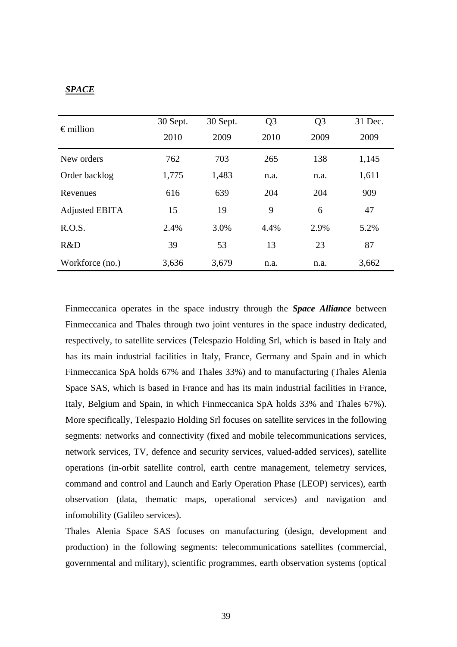## *SPACE*

| $\epsilon$ million    | 30 Sept. | 30 Sept.     | Q <sub>3</sub> | Q <sub>3</sub> | 31 Dec. |
|-----------------------|----------|--------------|----------------|----------------|---------|
|                       | 2010     | 2009<br>2010 |                | 2009           | 2009    |
| New orders            | 762      | 703          | 265            | 138            | 1,145   |
| Order backlog         | 1,775    | 1,483        | n.a.           | n.a.           | 1,611   |
| Revenues              | 616      | 639          | 204            | 204            | 909     |
| <b>Adjusted EBITA</b> | 15       | 19           | 9              | 6              | 47      |
| R.O.S.                | 2.4%     | 3.0%         | 4.4%           | 2.9%           | 5.2%    |
| R&D                   | 39       | 53           | 13             | 23             | 87      |
| Workforce (no.)       | 3,636    | 3,679        | n.a.           | n.a.           | 3,662   |

Finmeccanica operates in the space industry through the *Space Alliance* between Finmeccanica and Thales through two joint ventures in the space industry dedicated, respectively, to satellite services (Telespazio Holding Srl, which is based in Italy and has its main industrial facilities in Italy, France, Germany and Spain and in which Finmeccanica SpA holds 67% and Thales 33%) and to manufacturing (Thales Alenia Space SAS, which is based in France and has its main industrial facilities in France, Italy, Belgium and Spain, in which Finmeccanica SpA holds 33% and Thales 67%). More specifically, Telespazio Holding Srl focuses on satellite services in the following segments: networks and connectivity (fixed and mobile telecommunications services, network services, TV, defence and security services, valued-added services), satellite operations (in-orbit satellite control, earth centre management, telemetry services, command and control and Launch and Early Operation Phase (LEOP) services), earth observation (data, thematic maps, operational services) and navigation and infomobility (Galileo services).

Thales Alenia Space SAS focuses on manufacturing (design, development and production) in the following segments: telecommunications satellites (commercial, governmental and military), scientific programmes, earth observation systems (optical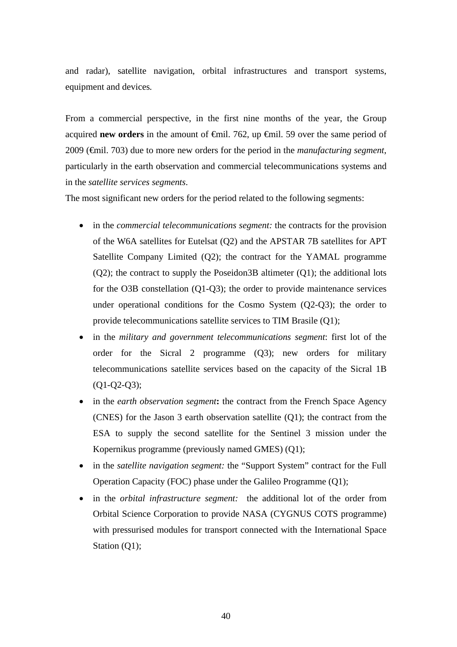and radar), satellite navigation, orbital infrastructures and transport systems, equipment and devices*.*

From a commercial perspective, in the first nine months of the year, the Group acquired **new orders** in the amount of €mil. 762, up €mil. 59 over the same period of 2009 (€mil. 703) due to more new orders for the period in the *manufacturing segment*, particularly in the earth observation and commercial telecommunications systems and in the *satellite services segments*.

The most significant new orders for the period related to the following segments:

- in the *commercial telecommunications segment*: the contracts for the provision of the W6A satellites for Eutelsat (Q2) and the APSTAR 7B satellites for APT Satellite Company Limited (Q2); the contract for the YAMAL programme (Q2); the contract to supply the Poseidon3B altimeter (Q1); the additional lots for the O3B constellation (Q1-Q3); the order to provide maintenance services under operational conditions for the Cosmo System (Q2-Q3); the order to provide telecommunications satellite services to TIM Brasile (Q1);
- in the *military and government telecommunications segment*: first lot of the order for the Sicral 2 programme (Q3); new orders for military telecommunications satellite services based on the capacity of the Sicral 1B (Q1-Q2-Q3);
- in the *earth observation segment***:** the contract from the French Space Agency (CNES) for the Jason 3 earth observation satellite (Q1); the contract from the ESA to supply the second satellite for the Sentinel 3 mission under the Kopernikus programme (previously named GMES) (Q1);
- in the *satellite navigation segment:* the "Support System" contract for the Full Operation Capacity (FOC) phase under the Galileo Programme (Q1);
- in the *orbital infrastructure segment:* the additional lot of the order from Orbital Science Corporation to provide NASA (CYGNUS COTS programme) with pressurised modules for transport connected with the International Space Station (Q1);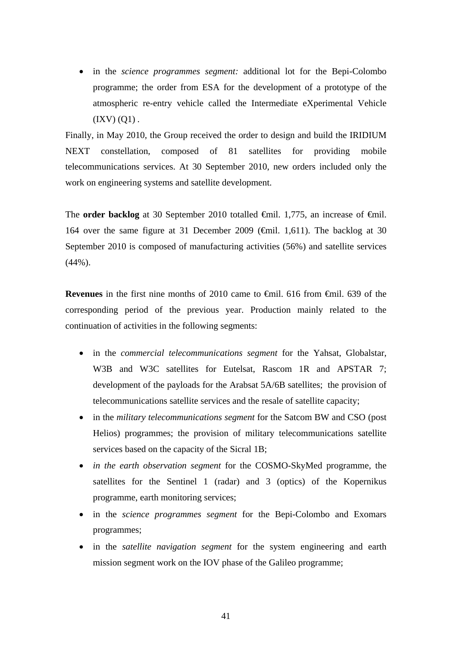in the *science programmes segment:* additional lot for the Bepi-Colombo programme; the order from ESA for the development of a prototype of the atmospheric re-entry vehicle called the Intermediate eXperimental Vehicle  $(IXV) (Q1)$ .

Finally, in May 2010, the Group received the order to design and build the IRIDIUM NEXT constellation, composed of 81 satellites for providing mobile telecommunications services. At 30 September 2010, new orders included only the work on engineering systems and satellite development.

The **order backlog** at 30 September 2010 totalled <del>€</del>mil. 1,775, an increase of <del>€</del>mil. 164 over the same figure at 31 December 2009 (€mil. 1,611). The backlog at 30 September 2010 is composed of manufacturing activities (56%) and satellite services (44%).

**Revenues** in the first nine months of 2010 came to €mil. 616 from €mil. 639 of the corresponding period of the previous year. Production mainly related to the continuation of activities in the following segments:

- in the *commercial telecommunications segment* for the Yahsat, Globalstar, W3B and W3C satellites for Eutelsat, Rascom 1R and APSTAR 7; development of the payloads for the Arabsat 5A/6B satellites; the provision of telecommunications satellite services and the resale of satellite capacity;
- in the *military telecommunications segment* for the Satcom BW and CSO (post Helios) programmes; the provision of military telecommunications satellite services based on the capacity of the Sicral 1B;
- *in the earth observation segment* for the COSMO-SkyMed programme, the satellites for the Sentinel 1 (radar) and 3 (optics) of the Kopernikus programme, earth monitoring services;
- in the *science programmes segment* for the Bepi-Colombo and Exomars programmes;
- in the *satellite navigation segment* for the system engineering and earth mission segment work on the IOV phase of the Galileo programme;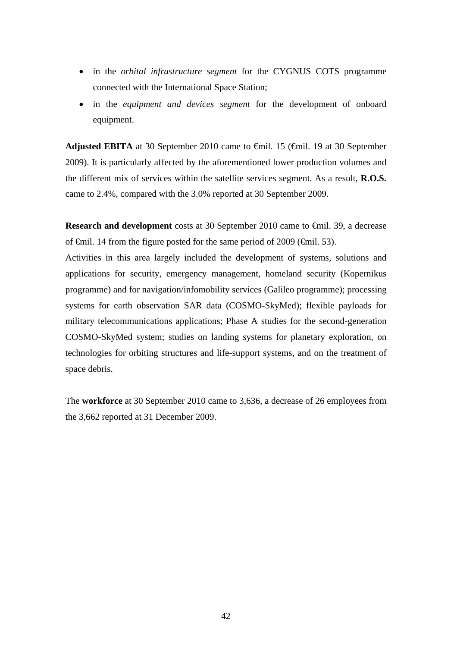- in the *orbital infrastructure segment* for the CYGNUS COTS programme connected with the International Space Station;
- in the *equipment and devices segment* for the development of onboard equipment.

**Adjusted EBITA** at 30 September 2010 came to €mil. 15 (€mil. 19 at 30 September 2009). It is particularly affected by the aforementioned lower production volumes and the different mix of services within the satellite services segment. As a result, **R.O.S.** came to 2.4%, compared with the 3.0% reported at 30 September 2009.

**Research and development** costs at 30 September 2010 came to €mil. 39, a decrease of  $\theta$ mil. 14 from the figure posted for the same period of 2009 ( $\theta$ mil. 53).

Activities in this area largely included the development of systems, solutions and applications for security, emergency management, homeland security (Kopernikus programme) and for navigation/infomobility services (Galileo programme); processing systems for earth observation SAR data (COSMO-SkyMed); flexible payloads for military telecommunications applications; Phase A studies for the second-generation COSMO-SkyMed system; studies on landing systems for planetary exploration, on technologies for orbiting structures and life-support systems, and on the treatment of space debris.

The **workforce** at 30 September 2010 came to 3,636, a decrease of 26 employees from the 3,662 reported at 31 December 2009.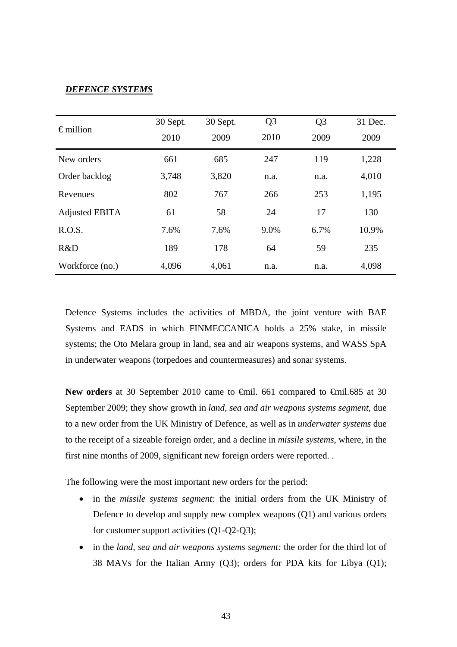## *DEFENCE SYSTEMS*

| $\epsilon$ million    | 30 Sept.     | 30 Sept. | Q <sub>3</sub> | Q <sub>3</sub> | 31 Dec. |
|-----------------------|--------------|----------|----------------|----------------|---------|
|                       | 2010<br>2009 |          | 2010           | 2009           | 2009    |
| New orders            | 661          | 685      | 247            | 119            | 1,228   |
| Order backlog         | 3,748        | 3,820    | n.a.           | n.a.           | 4,010   |
| Revenues              | 802          | 767      | 266            | 253            | 1,195   |
| <b>Adjusted EBITA</b> | 61           | 58       | 24             | 17             | 130     |
| R.O.S.                | 7.6%         | 7.6%     | 9.0%           | 6.7%           | 10.9%   |
| R&D                   | 189          | 178      | 64             | 59             | 235     |
| Workforce (no.)       | 4,096        | 4,061    | n.a.           | n.a.           | 4,098   |

Defence Systems includes the activities of MBDA, the joint venture with BAE Systems and EADS in which FINMECCANICA holds a 25% stake, in missile systems; the Oto Melara group in land, sea and air weapons systems, and WASS SpA in underwater weapons (torpedoes and countermeasures) and sonar systems.

New orders at 30 September 2010 came to <del>€</del>mil. 661 compared to <del>€</del>mil.685 at 30 September 2009; they show growth in *land, sea and air weapons systems segment,* due to a new order from the UK Ministry of Defence, as well as in *underwater systems* due to the receipt of a sizeable foreign order, and a decline in *missile systems*, where, in the first nine months of 2009, significant new foreign orders were reported. .

The following were the most important new orders for the period:

- in the *missile systems segment:* the initial orders from the UK Ministry of Defence to develop and supply new complex weapons (Q1) and various orders for customer support activities (Q1-Q2-Q3);
- in the *land, sea and air weapons systems segment:* the order for the third lot of 38 MAVs for the Italian Army (Q3); orders for PDA kits for Libya (Q1);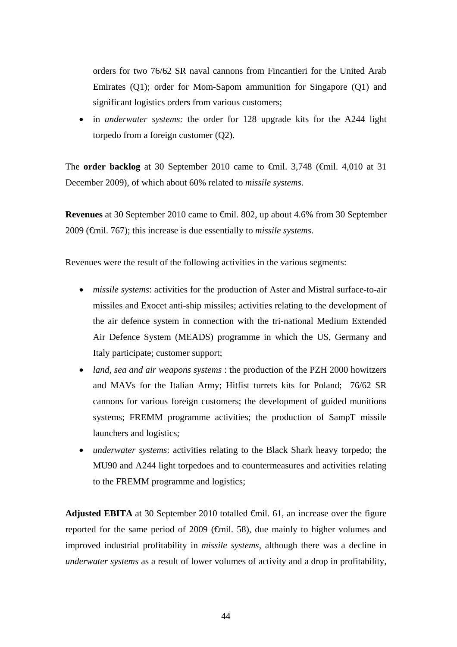orders for two 76/62 SR naval cannons from Fincantieri for the United Arab Emirates (Q1); order for Mom-Sapom ammunition for Singapore (Q1) and significant logistics orders from various customers;

 in *underwater systems:* the order for 128 upgrade kits for the A244 light torpedo from a foreign customer (Q2).

The **order backlog** at 30 September 2010 came to €mil. 3,748 (€mil. 4,010 at 31 December 2009), of which about 60% related to *missile systems*.

**Revenues** at 30 September 2010 came to €mil. 802, up about 4.6% from 30 September 2009 (€mil. 767); this increase is due essentially to *missile systems*.

Revenues were the result of the following activities in the various segments:

- *missile systems*: activities for the production of Aster and Mistral surface-to-air missiles and Exocet anti-ship missiles; activities relating to the development of the air defence system in connection with the tri-national Medium Extended Air Defence System (MEADS) programme in which the US, Germany and Italy participate; customer support;
- *land, sea and air weapons systems* : the production of the PZH 2000 howitzers and MAVs for the Italian Army; Hitfist turrets kits for Poland; 76/62 SR cannons for various foreign customers; the development of guided munitions systems; FREMM programme activities; the production of SampT missile launchers and logistics*;*
- *underwater systems*: activities relating to the Black Shark heavy torpedo; the MU90 and A244 light torpedoes and to countermeasures and activities relating to the FREMM programme and logistics;

**Adjusted EBITA** at 30 September 2010 totalled  $\oplus$ mil. 61, an increase over the figure reported for the same period of 2009 (€mil. 58), due mainly to higher volumes and improved industrial profitability in *missile systems*, although there was a decline in *underwater systems* as a result of lower volumes of activity and a drop in profitability,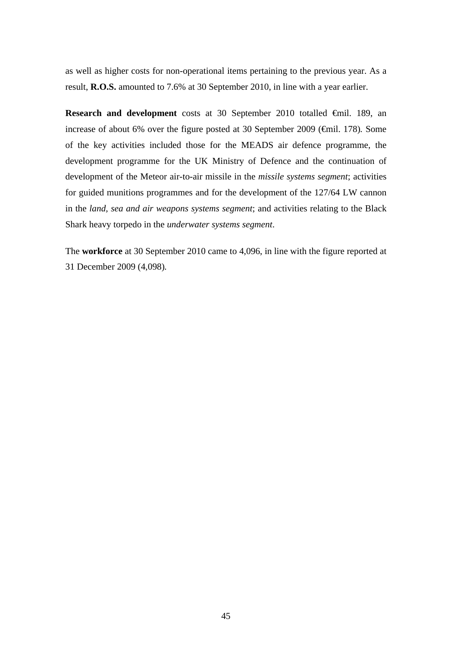as well as higher costs for non-operational items pertaining to the previous year. As a result, **R.O.S.** amounted to 7.6% at 30 September 2010, in line with a year earlier.

**Research and development** costs at 30 September 2010 totalled €mil. 189, an increase of about 6% over the figure posted at 30 September 2009 (€mil. 178)*.* Some of the key activities included those for the MEADS air defence programme, the development programme for the UK Ministry of Defence and the continuation of development of the Meteor air-to-air missile in the *missile systems segment*; activities for guided munitions programmes and for the development of the 127/64 LW cannon in the *land, sea and air weapons systems segment*; and activities relating to the Black Shark heavy torpedo in the *underwater systems segment*.

The **workforce** at 30 September 2010 came to 4,096, in line with the figure reported at 31 December 2009 (4,098)*.*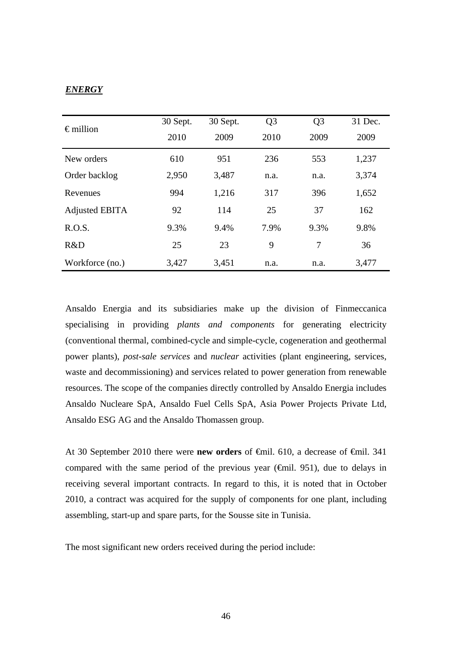## *ENERGY*

| $\epsilon$ million    | 30 Sept.     | 30 Sept. | Q <sub>3</sub> | Q <sub>3</sub> | 31 Dec. |
|-----------------------|--------------|----------|----------------|----------------|---------|
|                       | 2010<br>2009 |          | 2010           | 2009           | 2009    |
| New orders            | 610          | 951      | 236            | 553            | 1,237   |
| Order backlog         | 2,950        | 3,487    | n.a.           | n.a.           | 3,374   |
| Revenues              | 994          | 1,216    | 317            | 396            | 1,652   |
| <b>Adjusted EBITA</b> | 92           | 114      | 25             | 37             | 162     |
| R.O.S.                | 9.3%         | 9.4%     | 7.9%           | 9.3%           | 9.8%    |
| R&D                   | 25           | 23       | 9              | 7              | 36      |
| Workforce (no.)       | 3,427        | 3,451    | n.a.           | n.a.           | 3,477   |

Ansaldo Energia and its subsidiaries make up the division of Finmeccanica specialising in providing *plants and components* for generating electricity (conventional thermal, combined-cycle and simple-cycle, cogeneration and geothermal power plants), *post-sale services* and *nuclear* activities (plant engineering, services, waste and decommissioning) and services related to power generation from renewable resources. The scope of the companies directly controlled by Ansaldo Energia includes Ansaldo Nucleare SpA, Ansaldo Fuel Cells SpA, Asia Power Projects Private Ltd, Ansaldo ESG AG and the Ansaldo Thomassen group.

At 30 September 2010 there were **new orders** of €mil. 610, a decrease of €mil. 341 compared with the same period of the previous year ( $\epsilon$ mil. 951), due to delays in receiving several important contracts. In regard to this, it is noted that in October 2010, a contract was acquired for the supply of components for one plant, including assembling, start-up and spare parts, for the Sousse site in Tunisia.

The most significant new orders received during the period include: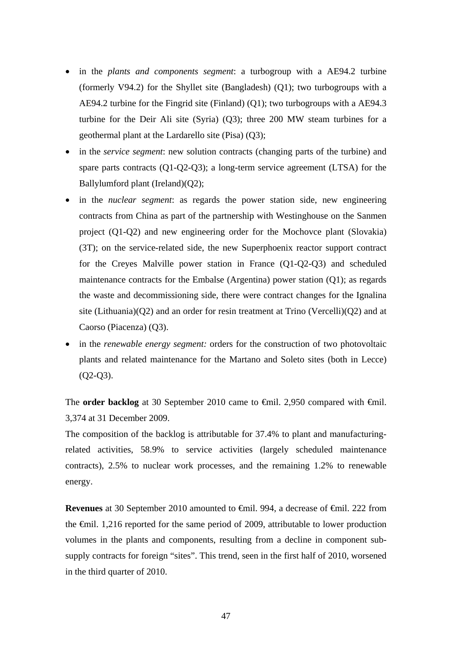- in the *plants and components segment*: a turbogroup with a AE94.2 turbine (formerly V94.2) for the Shyllet site (Bangladesh) (Q1); two turbogroups with a AE94.2 turbine for the Fingrid site (Finland) (Q1); two turbogroups with a AE94.3 turbine for the Deir Ali site (Syria) (Q3); three 200 MW steam turbines for a geothermal plant at the Lardarello site (Pisa) (Q3);
- in the *service segment*: new solution contracts (changing parts of the turbine) and spare parts contracts (Q1-Q2-Q3); a long-term service agreement (LTSA) for the Ballylumford plant (Ireland)(Q2);
- in the *nuclear segment*: as regards the power station side, new engineering contracts from China as part of the partnership with Westinghouse on the Sanmen project (Q1-Q2) and new engineering order for the Mochovce plant (Slovakia) (3T); on the service-related side, the new Superphoenix reactor support contract for the Creyes Malville power station in France (Q1-Q2-Q3) and scheduled maintenance contracts for the Embalse (Argentina) power station (Q1); as regards the waste and decommissioning side, there were contract changes for the Ignalina site (Lithuania)( $Q2$ ) and an order for resin treatment at Trino (Vercelli)( $Q2$ ) and at Caorso (Piacenza) (Q3).
- in the *renewable energy segment:* orders for the construction of two photovoltaic plants and related maintenance for the Martano and Soleto sites (both in Lecce) (Q2-Q3).

The **order backlog** at 30 September 2010 came to  $\theta$ mil. 2,950 compared with  $\theta$ mil. 3,374 at 31 December 2009.

The composition of the backlog is attributable for 37.4% to plant and manufacturingrelated activities, 58.9% to service activities (largely scheduled maintenance contracts), 2.5% to nuclear work processes, and the remaining 1.2% to renewable energy.

**Revenues** at 30 September 2010 amounted to €mil. 994, a decrease of €mil. 222 from the €mil. 1,216 reported for the same period of 2009, attributable to lower production volumes in the plants and components, resulting from a decline in component subsupply contracts for foreign "sites". This trend, seen in the first half of 2010, worsened in the third quarter of 2010.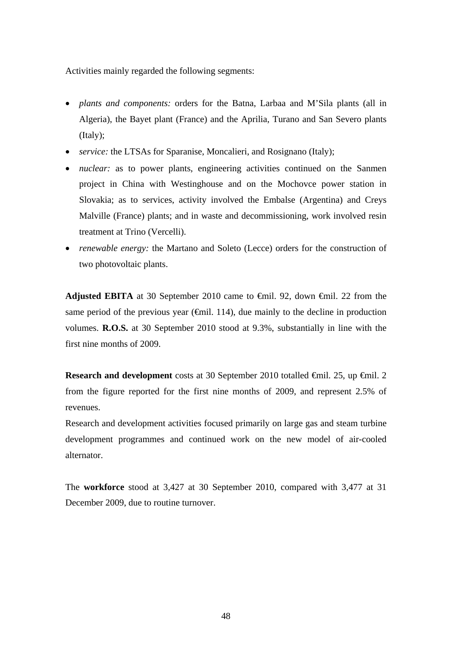Activities mainly regarded the following segments:

- *plants and components:* orders for the Batna, Larbaa and M'Sila plants (all in Algeria), the Bayet plant (France) and the Aprilia, Turano and San Severo plants (Italy);
- *service:* the LTSAs for Sparanise, Moncalieri, and Rosignano (Italy);
- *nuclear:* as to power plants, engineering activities continued on the Sanmen project in China with Westinghouse and on the Mochovce power station in Slovakia; as to services, activity involved the Embalse (Argentina) and Creys Malville (France) plants; and in waste and decommissioning, work involved resin treatment at Trino (Vercelli).
- *renewable energy:* the Martano and Soleto (Lecce) orders for the construction of two photovoltaic plants.

**Adjusted EBITA** at 30 September 2010 came to €mil. 92, down €mil. 22 from the same period of the previous year ( $\epsilon$ mil. 114), due mainly to the decline in production volumes. **R.O.S.** at 30 September 2010 stood at 9.3%, substantially in line with the first nine months of 2009.

**Research and development** costs at 30 September 2010 totalled €mil. 25, up €mil. 2 from the figure reported for the first nine months of 2009, and represent 2.5% of revenues.

Research and development activities focused primarily on large gas and steam turbine development programmes and continued work on the new model of air-cooled alternator.

The **workforce** stood at 3,427 at 30 September 2010, compared with 3,477 at 31 December 2009, due to routine turnover.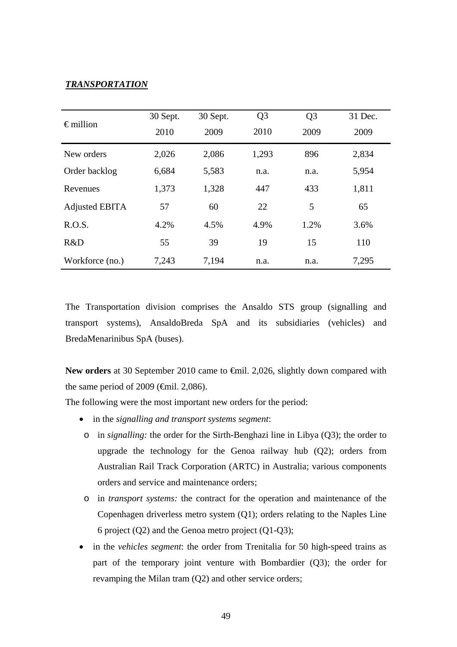## *TRANSPORTATION*

| $\epsilon$ million    | 30 Sept. | 30 Sept. | Q <sub>3</sub> | Q <sub>3</sub> | 31 Dec. |
|-----------------------|----------|----------|----------------|----------------|---------|
|                       | 2010     | 2009     | 2010           | 2009           | 2009    |
| New orders            | 2,026    | 2,086    | 1,293          | 896            | 2,834   |
| Order backlog         | 6,684    | 5,583    | n.a.           | n.a.           | 5,954   |
| Revenues              | 1,373    | 1,328    | 447            | 433            | 1,811   |
| <b>Adjusted EBITA</b> | 57       | 60       | 22             | 5              | 65      |
| R.O.S.                | 4.2%     | 4.5%     | 4.9%           | 1.2%           | 3.6%    |
| R&D                   | 55       | 39       | 19             | 15             | 110     |
| Workforce (no.)       | 7,243    | 7,194    | n.a.           | n.a.           | 7,295   |

The Transportation division comprises the Ansaldo STS group (signalling and transport systems), AnsaldoBreda SpA and its subsidiaries (vehicles) and BredaMenarinibus SpA (buses).

New orders at 30 September 2010 came to <del>€</del>mil. 2,026, slightly down compared with the same period of 2009 ( $\epsilon$ mil. 2,086).

The following were the most important new orders for the period:

- in the *signalling and transport systems segment*:
	- o in *signalling:* the order for the Sirth-Benghazi line in Libya (Q3); the order to upgrade the technology for the Genoa railway hub (Q2); orders from Australian Rail Track Corporation (ARTC) in Australia; various components orders and service and maintenance orders;
	- o in *transport systems:* the contract for the operation and maintenance of the Copenhagen driverless metro system (Q1); orders relating to the Naples Line 6 project (Q2) and the Genoa metro project (Q1-Q3);
- in the *vehicles segment*: the order from Trenitalia for 50 high-speed trains as part of the temporary joint venture with Bombardier (Q3); the order for revamping the Milan tram (Q2) and other service orders;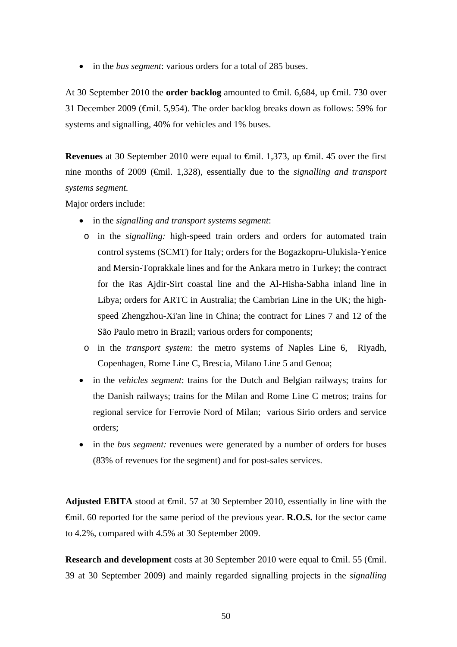• in the *bus segment*: various orders for a total of 285 buses.

At 30 September 2010 the **order backlog** amounted to €mil. 6,684, up €mil. 730 over 31 December 2009 (€mil. 5,954). The order backlog breaks down as follows: 59% for systems and signalling, 40% for vehicles and 1% buses.

**Revenues** at 30 September 2010 were equal to €mil. 1,373, up €mil. 45 over the first nine months of 2009 (€mil. 1,328), essentially due to the *signalling and transport systems segment.* 

Major orders include:

- in the *signalling and transport systems segment*:
	- o in the *signalling:* high-speed train orders and orders for automated train control systems (SCMT) for Italy; orders for the Bogazkopru-Ulukisla-Yenice and Mersin-Toprakkale lines and for the Ankara metro in Turkey; the contract for the Ras Ajdir-Sirt coastal line and the Al-Hisha-Sabha inland line in Libya; orders for ARTC in Australia; the Cambrian Line in the UK; the highspeed Zhengzhou-Xi'an line in China; the contract for Lines 7 and 12 of the São Paulo metro in Brazil; various orders for components;
	- o in the *transport system:* the metro systems of Naples Line 6, Riyadh, Copenhagen, Rome Line C, Brescia, Milano Line 5 and Genoa;
- in the *vehicles segment*: trains for the Dutch and Belgian railways; trains for the Danish railways; trains for the Milan and Rome Line C metros; trains for regional service for Ferrovie Nord of Milan; various Sirio orders and service orders;
- in the *bus segment:* revenues were generated by a number of orders for buses (83% of revenues for the segment) and for post-sales services.

**Adjusted EBITA** stood at €mil. 57 at 30 September 2010, essentially in line with the €mil. 60 reported for the same period of the previous year. **R.O.S.** for the sector came to 4.2%, compared with 4.5% at 30 September 2009.

**Research and development** costs at 30 September 2010 were equal to <del>€</del>mil. 55 (€mil. 39 at 30 September 2009) and mainly regarded signalling projects in the *signalling*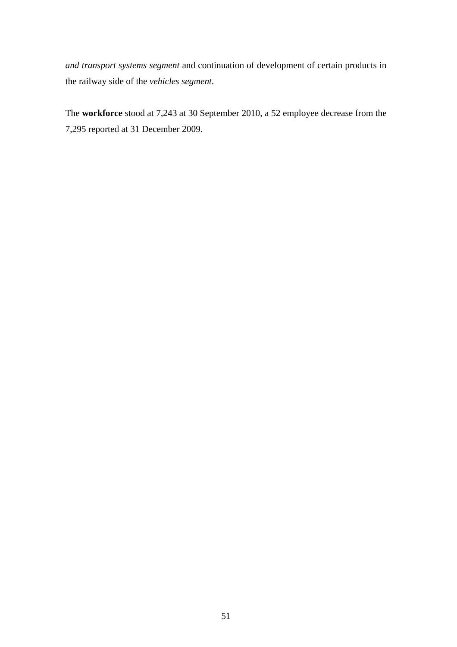*and transport systems segment* and continuation of development of certain products in the railway side of the *vehicles segment*.

The **workforce** stood at 7,243 at 30 September 2010, a 52 employee decrease from the 7,295 reported at 31 December 2009.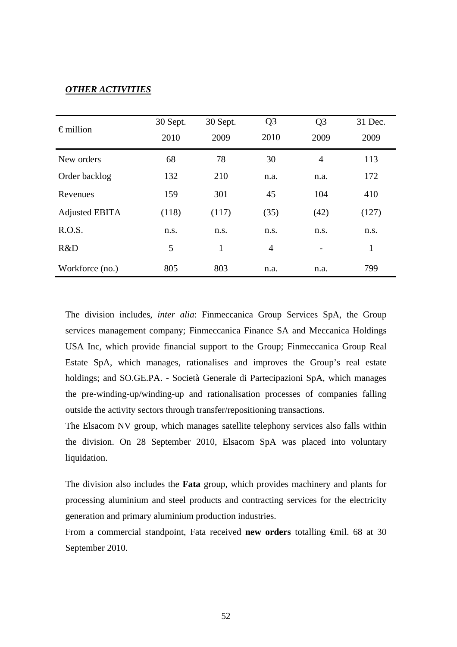## *OTHER ACTIVITIES*

| $\epsilon$ million | 30 Sept. | 30 Sept.     | Q <sub>3</sub> | Q <sub>3</sub>           | 31 Dec. |
|--------------------|----------|--------------|----------------|--------------------------|---------|
|                    | 2010     | 2010<br>2009 |                | 2009                     | 2009    |
| New orders         | 68       | 78           | 30             | $\overline{4}$           | 113     |
| Order backlog      | 132      | 210          | n.a.           | n.a.                     | 172     |
| Revenues           | 159      | 301          | 45             | 104                      | 410     |
| Adjusted EBITA     | (118)    | (117)        | (35)           | (42)                     | (127)   |
| R.O.S.             | n.s.     | n.s.         | n.s.           | n.s.                     | n.s.    |
| R&D                | 5        | 1            | $\overline{4}$ | $\overline{\phantom{0}}$ | 1       |
| Workforce (no.)    | 805      | 803          | n.a.           | n.a.                     | 799     |

The division includes, *inter alia*: Finmeccanica Group Services SpA, the Group services management company; Finmeccanica Finance SA and Meccanica Holdings USA Inc, which provide financial support to the Group; Finmeccanica Group Real Estate SpA, which manages, rationalises and improves the Group's real estate holdings; and SO.GE.PA. - Società Generale di Partecipazioni SpA, which manages the pre-winding-up/winding-up and rationalisation processes of companies falling outside the activity sectors through transfer/repositioning transactions.

The Elsacom NV group, which manages satellite telephony services also falls within the division. On 28 September 2010, Elsacom SpA was placed into voluntary liquidation.

The division also includes the **Fata** group, which provides machinery and plants for processing aluminium and steel products and contracting services for the electricity generation and primary aluminium production industries.

From a commercial standpoint, Fata received **new orders** totalling €mil. 68 at 30 September 2010.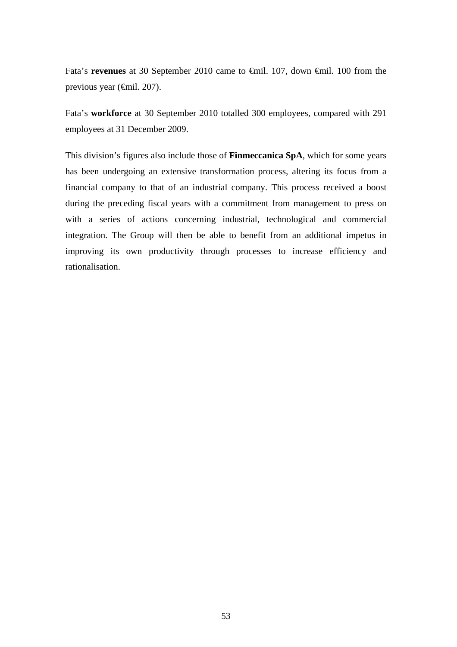Fata's **revenues** at 30 September 2010 came to €mil. 107, down €mil. 100 from the previous year (€mil. 207).

Fata's **workforce** at 30 September 2010 totalled 300 employees, compared with 291 employees at 31 December 2009.

This division's figures also include those of **Finmeccanica SpA**, which for some years has been undergoing an extensive transformation process, altering its focus from a financial company to that of an industrial company. This process received a boost during the preceding fiscal years with a commitment from management to press on with a series of actions concerning industrial, technological and commercial integration. The Group will then be able to benefit from an additional impetus in improving its own productivity through processes to increase efficiency and rationalisation.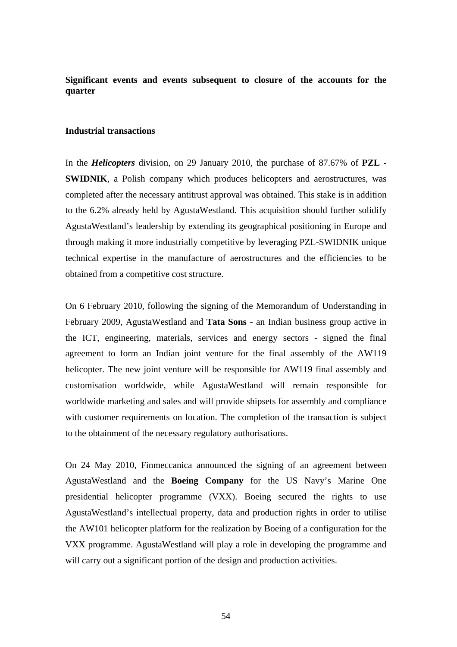**Significant events and events subsequent to closure of the accounts for the quarter** 

## **Industrial transactions**

In the *Helicopters* division, on 29 January 2010, the purchase of 87.67% of **PZL - SWIDNIK**, a Polish company which produces helicopters and aerostructures, was completed after the necessary antitrust approval was obtained. This stake is in addition to the 6.2% already held by AgustaWestland. This acquisition should further solidify AgustaWestland's leadership by extending its geographical positioning in Europe and through making it more industrially competitive by leveraging PZL-SWIDNIK unique technical expertise in the manufacture of aerostructures and the efficiencies to be obtained from a competitive cost structure.

On 6 February 2010, following the signing of the Memorandum of Understanding in February 2009, AgustaWestland and **Tata Sons** - an Indian business group active in the ICT, engineering, materials, services and energy sectors - signed the final agreement to form an Indian joint venture for the final assembly of the AW119 helicopter. The new joint venture will be responsible for AW119 final assembly and customisation worldwide, while AgustaWestland will remain responsible for worldwide marketing and sales and will provide shipsets for assembly and compliance with customer requirements on location. The completion of the transaction is subject to the obtainment of the necessary regulatory authorisations.

On 24 May 2010, Finmeccanica announced the signing of an agreement between AgustaWestland and the **Boeing Company** for the US Navy's Marine One presidential helicopter programme (VXX). Boeing secured the rights to use AgustaWestland's intellectual property, data and production rights in order to utilise the AW101 helicopter platform for the realization by Boeing of a configuration for the VXX programme. AgustaWestland will play a role in developing the programme and will carry out a significant portion of the design and production activities.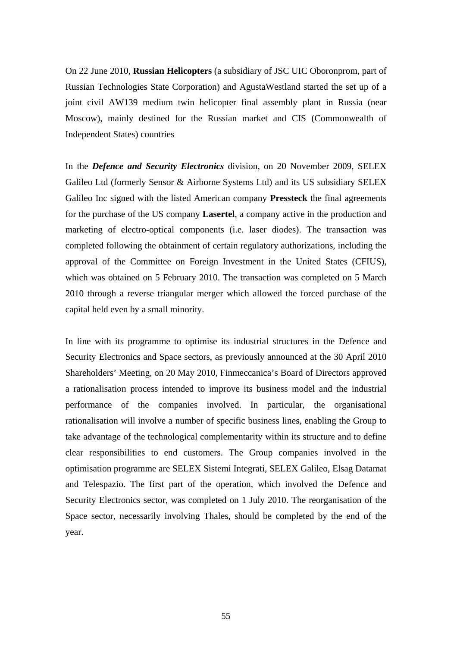On 22 June 2010, **Russian Helicopters** (a subsidiary of JSC UIC Oboronprom, part of Russian Technologies State Corporation) and AgustaWestland started the set up of a joint civil AW139 medium twin helicopter final assembly plant in Russia (near Moscow), mainly destined for the Russian market and CIS (Commonwealth of Independent States) countries

In the *Defence and Security Electronics* division, on 20 November 2009, SELEX Galileo Ltd (formerly Sensor & Airborne Systems Ltd) and its US subsidiary SELEX Galileo Inc signed with the listed American company **Pressteck** the final agreements for the purchase of the US company **Lasertel**, a company active in the production and marketing of electro-optical components (i.e. laser diodes). The transaction was completed following the obtainment of certain regulatory authorizations, including the approval of the Committee on Foreign Investment in the United States (CFIUS), which was obtained on 5 February 2010. The transaction was completed on 5 March 2010 through a reverse triangular merger which allowed the forced purchase of the capital held even by a small minority.

In line with its programme to optimise its industrial structures in the Defence and Security Electronics and Space sectors, as previously announced at the 30 April 2010 Shareholders' Meeting, on 20 May 2010, Finmeccanica's Board of Directors approved a rationalisation process intended to improve its business model and the industrial performance of the companies involved. In particular, the organisational rationalisation will involve a number of specific business lines, enabling the Group to take advantage of the technological complementarity within its structure and to define clear responsibilities to end customers. The Group companies involved in the optimisation programme are SELEX Sistemi Integrati, SELEX Galileo, Elsag Datamat and Telespazio. The first part of the operation, which involved the Defence and Security Electronics sector, was completed on 1 July 2010. The reorganisation of the Space sector, necessarily involving Thales, should be completed by the end of the year.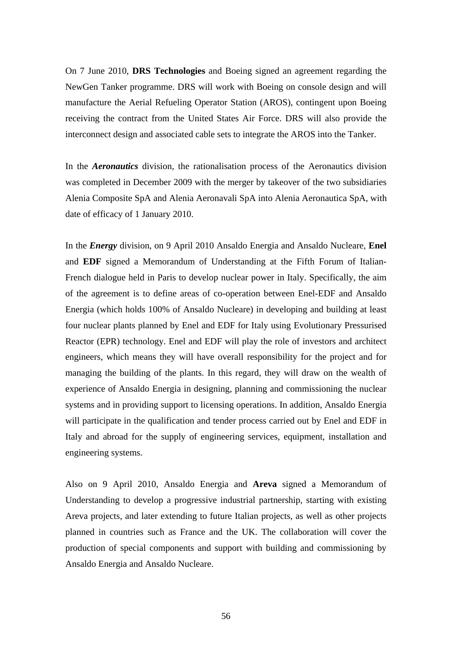On 7 June 2010, **DRS Technologies** and Boeing signed an agreement regarding the NewGen Tanker programme. DRS will work with Boeing on console design and will manufacture the Aerial Refueling Operator Station (AROS), contingent upon Boeing receiving the contract from the United States Air Force. DRS will also provide the interconnect design and associated cable sets to integrate the AROS into the Tanker.

In the *Aeronautics* division, the rationalisation process of the Aeronautics division was completed in December 2009 with the merger by takeover of the two subsidiaries Alenia Composite SpA and Alenia Aeronavali SpA into Alenia Aeronautica SpA, with date of efficacy of 1 January 2010.

In the *Energy* division, on 9 April 2010 Ansaldo Energia and Ansaldo Nucleare, **Enel** and **EDF** signed a Memorandum of Understanding at the Fifth Forum of Italian-French dialogue held in Paris to develop nuclear power in Italy. Specifically, the aim of the agreement is to define areas of co-operation between Enel-EDF and Ansaldo Energia (which holds 100% of Ansaldo Nucleare) in developing and building at least four nuclear plants planned by Enel and EDF for Italy using Evolutionary Pressurised Reactor (EPR) technology. Enel and EDF will play the role of investors and architect engineers, which means they will have overall responsibility for the project and for managing the building of the plants. In this regard, they will draw on the wealth of experience of Ansaldo Energia in designing, planning and commissioning the nuclear systems and in providing support to licensing operations. In addition, Ansaldo Energia will participate in the qualification and tender process carried out by Enel and EDF in Italy and abroad for the supply of engineering services, equipment, installation and engineering systems.

Also on 9 April 2010, Ansaldo Energia and **Areva** signed a Memorandum of Understanding to develop a progressive industrial partnership, starting with existing Areva projects, and later extending to future Italian projects, as well as other projects planned in countries such as France and the UK. The collaboration will cover the production of special components and support with building and commissioning by Ansaldo Energia and Ansaldo Nucleare.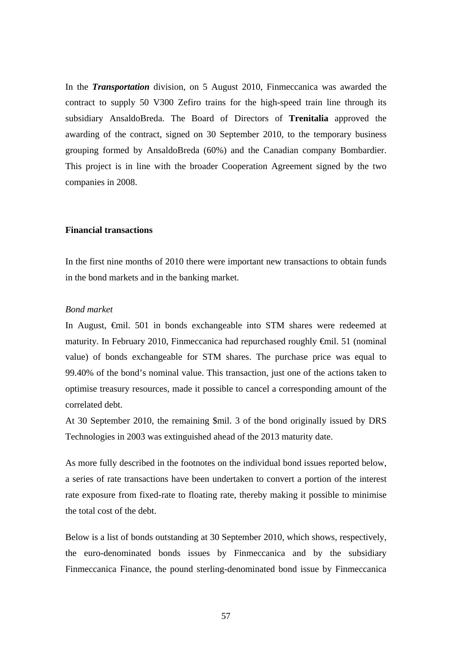In the *Transportation* division, on 5 August 2010, Finmeccanica was awarded the contract to supply 50 V300 Zefiro trains for the high-speed train line through its subsidiary AnsaldoBreda. The Board of Directors of **Trenitalia** approved the awarding of the contract, signed on 30 September 2010, to the temporary business grouping formed by AnsaldoBreda (60%) and the Canadian company Bombardier. This project is in line with the broader Cooperation Agreement signed by the two companies in 2008.

#### **Financial transactions**

In the first nine months of 2010 there were important new transactions to obtain funds in the bond markets and in the banking market.

#### *Bond market*

In August,  $\epsilon$ mil. 501 in bonds exchangeable into STM shares were redeemed at maturity. In February 2010, Finmeccanica had repurchased roughly €mil. 51 (nominal value) of bonds exchangeable for STM shares. The purchase price was equal to 99.40% of the bond's nominal value. This transaction, just one of the actions taken to optimise treasury resources, made it possible to cancel a corresponding amount of the correlated debt.

At 30 September 2010, the remaining \$mil. 3 of the bond originally issued by DRS Technologies in 2003 was extinguished ahead of the 2013 maturity date.

As more fully described in the footnotes on the individual bond issues reported below, a series of rate transactions have been undertaken to convert a portion of the interest rate exposure from fixed-rate to floating rate, thereby making it possible to minimise the total cost of the debt.

Below is a list of bonds outstanding at 30 September 2010, which shows, respectively, the euro-denominated bonds issues by Finmeccanica and by the subsidiary Finmeccanica Finance, the pound sterling-denominated bond issue by Finmeccanica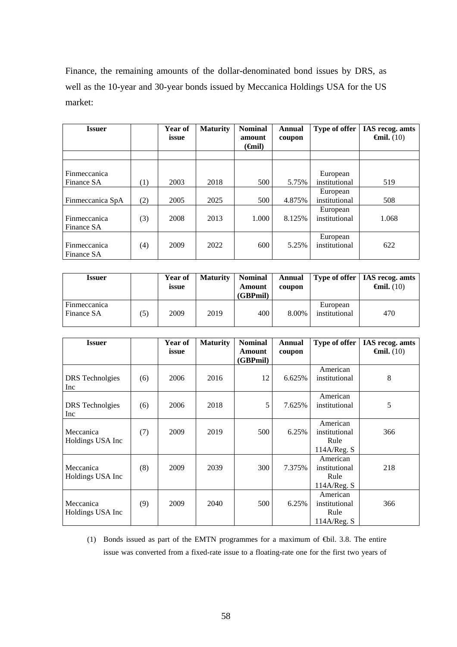Finance, the remaining amounts of the dollar-denominated bond issues by DRS, as well as the 10-year and 30-year bonds issued by Meccanica Holdings USA for the US market:

| <b>Issuer</b>                     |     | Year of<br>issue | <b>Maturity</b> | <b>Nominal</b><br>amount | Annual<br>coupon | Type of offer             | IAS recog. amts<br>$\epsilon$ mil. (10) |
|-----------------------------------|-----|------------------|-----------------|--------------------------|------------------|---------------------------|-----------------------------------------|
|                                   |     |                  |                 | ( <del>G</del> nil)      |                  |                           |                                         |
|                                   |     |                  |                 |                          |                  |                           |                                         |
| <b>Finmeccanica</b><br>Finance SA | (1) | 2003             | 2018            | 500                      | 5.75%            | European<br>institutional | 519                                     |
|                                   |     |                  |                 |                          |                  | European                  |                                         |
| Finmeccanica SpA                  | (2) | 2005             | 2025            | 500                      | 4.875%           | institutional             | 508                                     |
| Finmeccanica<br>Finance SA        | (3) | 2008             | 2013            | 1.000                    | 8.125%           | European<br>institutional | 1.068                                   |
| Finmeccanica<br>Finance SA        | (4) | 2009             | 2022            | 600                      | 5.25%            | European<br>institutional | 622                                     |

| <b>Issuer</b>              |    | Year of<br>issue | <b>Maturity</b> | <b>Nominal</b><br>Amount<br>(GBPmil) | <b>Annual</b><br>coupon |                           | Type of offer   IAS recog. amts<br>$\epsilon$ mil. (10) |
|----------------------------|----|------------------|-----------------|--------------------------------------|-------------------------|---------------------------|---------------------------------------------------------|
| Finmeccanica<br>Finance SA | 5) | 2009             | 2019            | 400                                  | 8.00%                   | European<br>institutional | 470                                                     |

| <b>Issuer</b>                 |     | Year of<br>issue | <b>Maturity</b> | <b>Nominal</b><br>Amount<br>(GBPmil) | <b>Annual</b><br>coupon | Type of offer                                    | IAS recog. amts<br>$\epsilon$ mil. (10) |
|-------------------------------|-----|------------------|-----------------|--------------------------------------|-------------------------|--------------------------------------------------|-----------------------------------------|
| <b>DRS</b> Technolgies<br>Inc | (6) | 2006             | 2016            | 12                                   | 6.625%                  | American<br>institutional                        | 8                                       |
| <b>DRS</b> Technolgies<br>Inc | (6) | 2006             | 2018            | 5                                    | 7.625%                  | American<br>institutional                        | 5                                       |
| Meccanica<br>Holdings USA Inc | (7) | 2009             | 2019            | 500                                  | 6.25%                   | American<br>institutional<br>Rule<br>114A/Reg. S | 366                                     |
| Meccanica<br>Holdings USA Inc | (8) | 2009             | 2039            | 300                                  | 7.375%                  | American<br>institutional<br>Rule<br>114A/Reg. S | 218                                     |
| Meccanica<br>Holdings USA Inc | (9) | 2009             | 2040            | 500                                  | 6.25%                   | American<br>institutional<br>Rule<br>114A/Reg. S | 366                                     |

(1) Bonds issued as part of the EMTN programmes for a maximum of €bil. 3.8. The entire issue was converted from a fixed-rate issue to a floating-rate one for the first two years of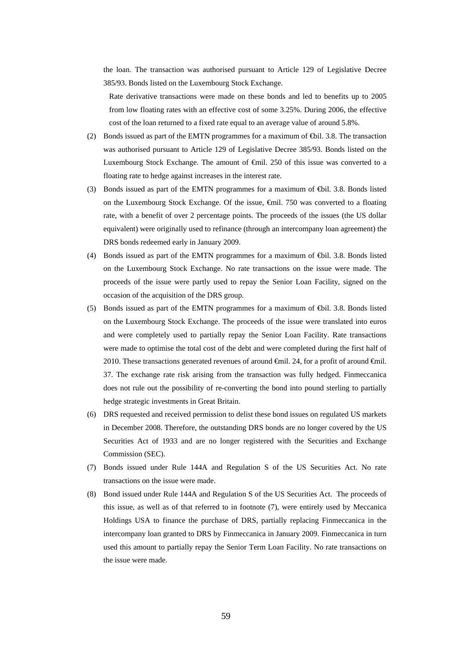the loan. The transaction was authorised pursuant to Article 129 of Legislative Decree 385/93. Bonds listed on the Luxembourg Stock Exchange.

Rate derivative transactions were made on these bonds and led to benefits up to 2005 from low floating rates with an effective cost of some 3.25%. During 2006, the effective cost of the loan returned to a fixed rate equal to an average value of around 5.8%.

- (2) Bonds issued as part of the EMTN programmes for a maximum of  $\bigoplus$  il. 3.8. The transaction was authorised pursuant to Article 129 of Legislative Decree 385/93. Bonds listed on the Luxembourg Stock Exchange. The amount of €mil. 250 of this issue was converted to a floating rate to hedge against increases in the interest rate.
- (3) Bonds issued as part of the EMTN programmes for a maximum of €bil. 3.8. Bonds listed on the Luxembourg Stock Exchange. Of the issue, €mil. 750 was converted to a floating rate, with a benefit of over 2 percentage points. The proceeds of the issues (the US dollar equivalent) were originally used to refinance (through an intercompany loan agreement) the DRS bonds redeemed early in January 2009.
- (4) Bonds issued as part of the EMTN programmes for a maximum of €bil. 3.8. Bonds listed on the Luxembourg Stock Exchange. No rate transactions on the issue were made. The proceeds of the issue were partly used to repay the Senior Loan Facility, signed on the occasion of the acquisition of the DRS group.
- (5) Bonds issued as part of the EMTN programmes for a maximum of €bil. 3.8. Bonds listed on the Luxembourg Stock Exchange. The proceeds of the issue were translated into euros and were completely used to partially repay the Senior Loan Facility. Rate transactions were made to optimise the total cost of the debt and were completed during the first half of 2010. These transactions generated revenues of around  $\epsilon$ mil. 24, for a profit of around  $\epsilon$ mil. 37. The exchange rate risk arising from the transaction was fully hedged. Finmeccanica does not rule out the possibility of re-converting the bond into pound sterling to partially hedge strategic investments in Great Britain.
- (6) DRS requested and received permission to delist these bond issues on regulated US markets in December 2008. Therefore, the outstanding DRS bonds are no longer covered by the US Securities Act of 1933 and are no longer registered with the Securities and Exchange Commission (SEC).
- (7) Bonds issued under Rule 144A and Regulation S of the US Securities Act. No rate transactions on the issue were made.
- (8) Bond issued under Rule 144A and Regulation S of the US Securities Act. The proceeds of this issue, as well as of that referred to in footnote (7), were entirely used by Meccanica Holdings USA to finance the purchase of DRS, partially replacing Finmeccanica in the intercompany loan granted to DRS by Finmeccanica in January 2009. Finmeccanica in turn used this amount to partially repay the Senior Term Loan Facility. No rate transactions on the issue were made.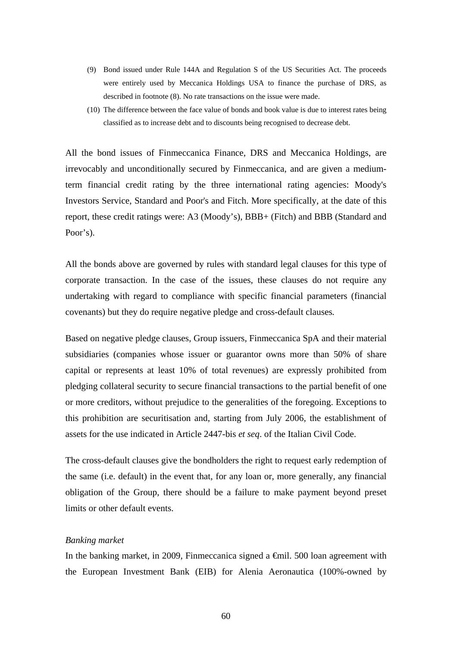- (9) Bond issued under Rule 144A and Regulation S of the US Securities Act. The proceeds were entirely used by Meccanica Holdings USA to finance the purchase of DRS, as described in footnote (8). No rate transactions on the issue were made.
- (10) The difference between the face value of bonds and book value is due to interest rates being classified as to increase debt and to discounts being recognised to decrease debt.

All the bond issues of Finmeccanica Finance, DRS and Meccanica Holdings, are irrevocably and unconditionally secured by Finmeccanica, and are given a mediumterm financial credit rating by the three international rating agencies: Moody's Investors Service, Standard and Poor's and Fitch. More specifically, at the date of this report, these credit ratings were: A3 (Moody's), BBB+ (Fitch) and BBB (Standard and Poor's).

All the bonds above are governed by rules with standard legal clauses for this type of corporate transaction. In the case of the issues, these clauses do not require any undertaking with regard to compliance with specific financial parameters (financial covenants) but they do require negative pledge and cross-default clauses*.*

Based on negative pledge clauses, Group issuers, Finmeccanica SpA and their material subsidiaries (companies whose issuer or guarantor owns more than 50% of share capital or represents at least 10% of total revenues) are expressly prohibited from pledging collateral security to secure financial transactions to the partial benefit of one or more creditors, without prejudice to the generalities of the foregoing. Exceptions to this prohibition are securitisation and, starting from July 2006, the establishment of assets for the use indicated in Article 2447-bis *et seq*. of the Italian Civil Code.

The cross-default clauses give the bondholders the right to request early redemption of the same (i.e. default) in the event that, for any loan or, more generally, any financial obligation of the Group, there should be a failure to make payment beyond preset limits or other default events.

### *Banking market*

In the banking market, in 2009, Finmeccanica signed a  $\epsilon$ mil. 500 loan agreement with the European Investment Bank (EIB) for Alenia Aeronautica (100%-owned by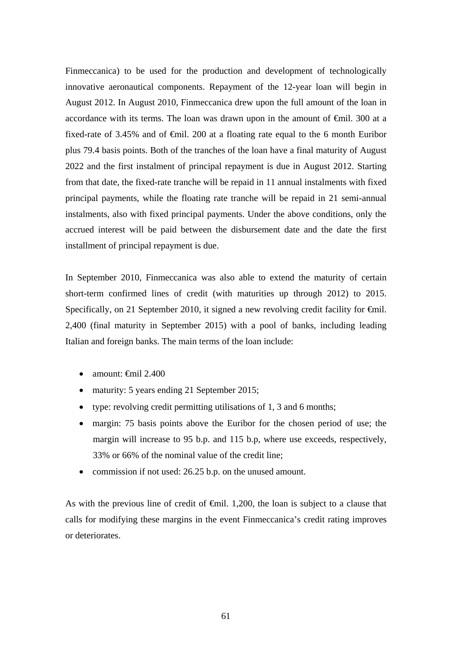Finmeccanica) to be used for the production and development of technologically innovative aeronautical components. Repayment of the 12-year loan will begin in August 2012. In August 2010, Finmeccanica drew upon the full amount of the loan in accordance with its terms. The loan was drawn upon in the amount of €mil. 300 at a fixed-rate of 3.45% and of  $\epsilon$ mil. 200 at a floating rate equal to the 6 month Euribor plus 79.4 basis points. Both of the tranches of the loan have a final maturity of August 2022 and the first instalment of principal repayment is due in August 2012. Starting from that date, the fixed-rate tranche will be repaid in 11 annual instalments with fixed principal payments, while the floating rate tranche will be repaid in 21 semi-annual instalments, also with fixed principal payments. Under the above conditions, only the accrued interest will be paid between the disbursement date and the date the first installment of principal repayment is due.

In September 2010, Finmeccanica was also able to extend the maturity of certain short-term confirmed lines of credit (with maturities up through 2012) to 2015. Specifically, on 21 September 2010, it signed a new revolving credit facility for  $\epsilon$ mil. 2,400 (final maturity in September 2015) with a pool of banks, including leading Italian and foreign banks. The main terms of the loan include:

- $\bullet$  amount:  $\bigoplus$  amount:  $\bigoplus$  2.400
- maturity: 5 years ending 21 September 2015;
- type: revolving credit permitting utilisations of 1, 3 and 6 months;
- margin: 75 basis points above the Euribor for the chosen period of use; the margin will increase to 95 b.p. and 115 b.p, where use exceeds, respectively, 33% or 66% of the nominal value of the credit line;
- commission if not used: 26.25 b.p. on the unused amount.

As with the previous line of credit of  $\epsilon$ mil. 1,200, the loan is subject to a clause that calls for modifying these margins in the event Finmeccanica's credit rating improves or deteriorates.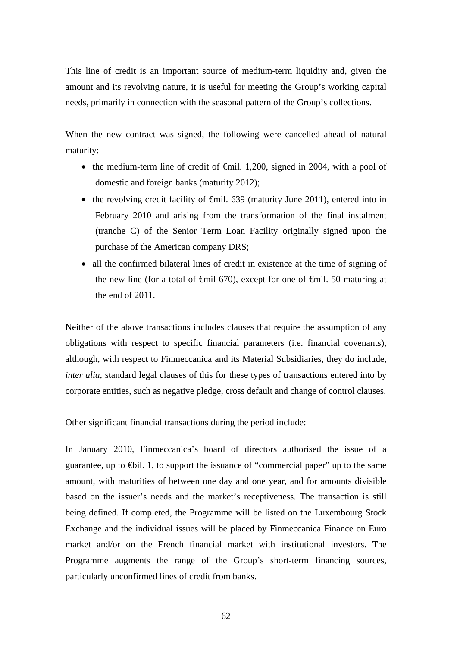This line of credit is an important source of medium-term liquidity and, given the amount and its revolving nature, it is useful for meeting the Group's working capital needs, primarily in connection with the seasonal pattern of the Group's collections.

When the new contract was signed, the following were cancelled ahead of natural maturity:

- the medium-term line of credit of  $\epsilon$ mil. 1,200, signed in 2004, with a pool of domestic and foreign banks (maturity 2012);
- the revolving credit facility of  $\epsilon$ mil. 639 (maturity June 2011), entered into in February 2010 and arising from the transformation of the final instalment (tranche C) of the Senior Term Loan Facility originally signed upon the purchase of the American company DRS;
- all the confirmed bilateral lines of credit in existence at the time of signing of the new line (for a total of  $\epsilon$ mil 670), except for one of  $\epsilon$ mil. 50 maturing at the end of 2011.

Neither of the above transactions includes clauses that require the assumption of any obligations with respect to specific financial parameters (i.e. financial covenants), although, with respect to Finmeccanica and its Material Subsidiaries, they do include, *inter alia*, standard legal clauses of this for these types of transactions entered into by corporate entities, such as negative pledge, cross default and change of control clauses.

Other significant financial transactions during the period include:

In January 2010, Finmeccanica's board of directors authorised the issue of a guarantee, up to  $\bigoplus$ il. 1, to support the issuance of "commercial paper" up to the same amount, with maturities of between one day and one year, and for amounts divisible based on the issuer's needs and the market's receptiveness. The transaction is still being defined. If completed, the Programme will be listed on the Luxembourg Stock Exchange and the individual issues will be placed by Finmeccanica Finance on Euro market and/or on the French financial market with institutional investors. The Programme augments the range of the Group's short-term financing sources, particularly unconfirmed lines of credit from banks.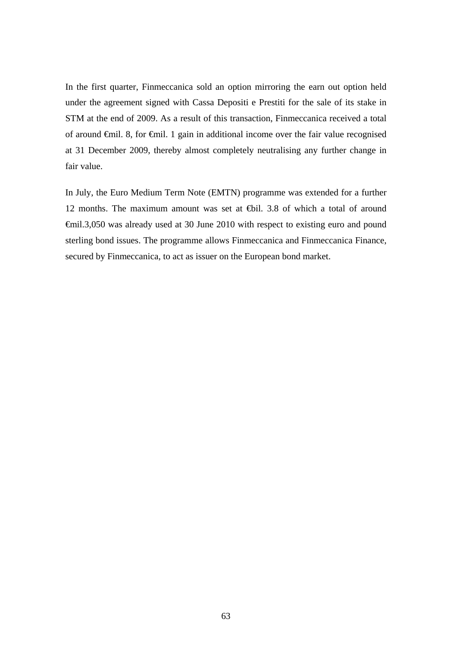In the first quarter, Finmeccanica sold an option mirroring the earn out option held under the agreement signed with Cassa Depositi e Prestiti for the sale of its stake in STM at the end of 2009. As a result of this transaction, Finmeccanica received a total of around €mil. 8, for €mil. 1 gain in additional income over the fair value recognised at 31 December 2009, thereby almost completely neutralising any further change in fair value.

In July, the Euro Medium Term Note (EMTN) programme was extended for a further 12 months. The maximum amount was set at €bil. 3.8 of which a total of around €mil.3,050 was already used at 30 June 2010 with respect to existing euro and pound sterling bond issues. The programme allows Finmeccanica and Finmeccanica Finance, secured by Finmeccanica, to act as issuer on the European bond market.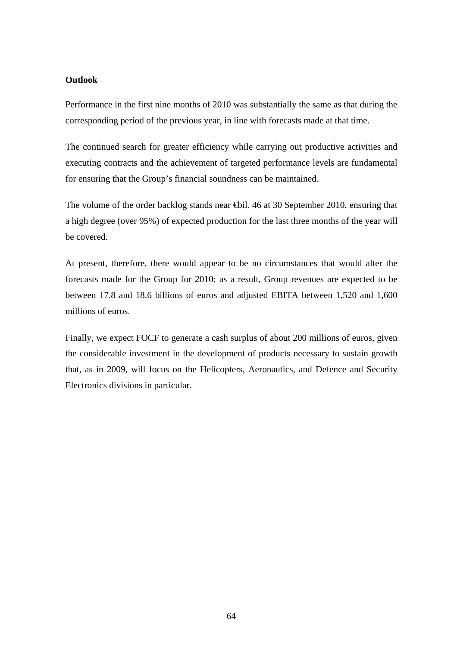## **Outlook**

Performance in the first nine months of 2010 was substantially the same as that during the corresponding period of the previous year, in line with forecasts made at that time.

The continued search for greater efficiency while carrying out productive activities and executing contracts and the achievement of targeted performance levels are fundamental for ensuring that the Group's financial soundness can be maintained.

The volume of the order backlog stands near €bil. 46 at 30 September 2010, ensuring that a high degree (over 95%) of expected production for the last three months of the year will be covered.

At present, therefore, there would appear to be no circumstances that would alter the forecasts made for the Group for 2010; as a result, Group revenues are expected to be between 17.8 and 18.6 billions of euros and adjusted EBITA between 1,520 and 1,600 millions of euros.

Finally, we expect FOCF to generate a cash surplus of about 200 millions of euros, given the considerable investment in the development of products necessary to sustain growth that, as in 2009, will focus on the Helicopters, Aeronautics, and Defence and Security Electronics divisions in particular.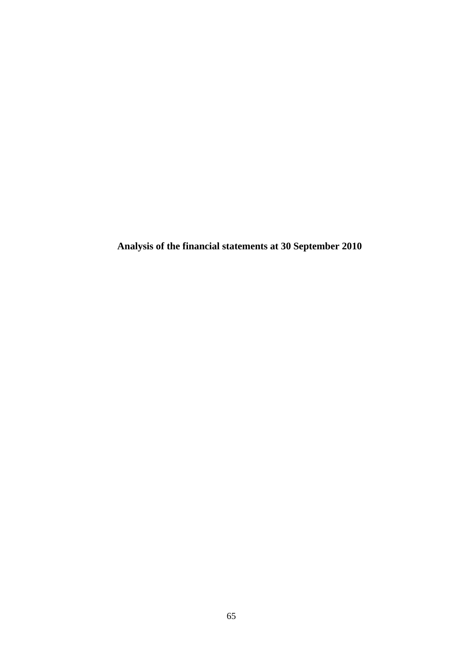**Analysis of the financial statements at 30 September 2010**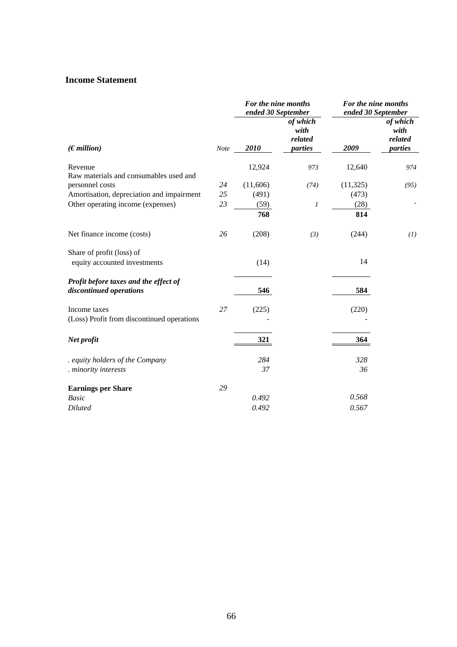## **Income Statement**

|                                                                  |             | For the nine months<br>ended 30 September |                                        | For the nine months<br>ended 30 September |                                        |
|------------------------------------------------------------------|-------------|-------------------------------------------|----------------------------------------|-------------------------------------------|----------------------------------------|
| (Emillion)                                                       | <b>Note</b> | 2010                                      | of which<br>with<br>related<br>parties | 2009                                      | of which<br>with<br>related<br>parties |
| Revenue                                                          |             | 12,924                                    | 973                                    | 12,640                                    | 974                                    |
| Raw materials and consumables used and                           |             |                                           |                                        |                                           |                                        |
| personnel costs                                                  | 24          | (11,606)                                  | (74)                                   | (11, 325)                                 | (95)                                   |
| Amortisation, depreciation and impairment                        | 25          | (491)                                     |                                        | (473)                                     |                                        |
| Other operating income (expenses)                                | 23          | (59)                                      | 1                                      | (28)                                      |                                        |
|                                                                  |             | 768                                       |                                        | 814                                       |                                        |
| Net finance income (costs)                                       | 26          | (208)                                     | (3)                                    | (244)                                     | (I)                                    |
| Share of profit (loss) of                                        |             |                                           |                                        |                                           |                                        |
| equity accounted investments                                     |             | (14)                                      |                                        | 14                                        |                                        |
| Profit before taxes and the effect of<br>discontinued operations |             | 546                                       |                                        | 584                                       |                                        |
| Income taxes                                                     | 27          | (225)                                     |                                        | (220)                                     |                                        |
| (Loss) Profit from discontinued operations                       |             |                                           |                                        |                                           |                                        |
| Net profit                                                       |             | 321                                       |                                        | 364                                       |                                        |
| . equity holders of the Company                                  |             | 284                                       |                                        | 328                                       |                                        |
| . minority interests                                             |             | 37                                        |                                        | 36                                        |                                        |
| <b>Earnings per Share</b>                                        | 29          |                                           |                                        |                                           |                                        |
| <b>Basic</b>                                                     |             | 0.492                                     |                                        | 0.568                                     |                                        |
| <b>Diluted</b>                                                   |             | 0.492                                     |                                        | 0.567                                     |                                        |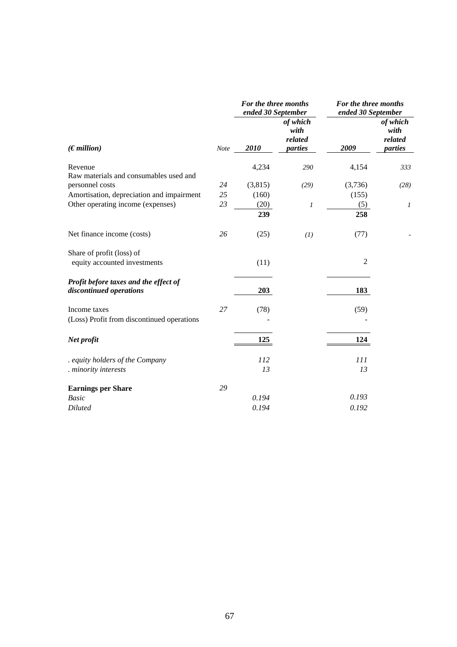|                                                                  |             | For the three months<br>ended 30 September |                                        | For the three months<br>ended 30 September |                                        |
|------------------------------------------------------------------|-------------|--------------------------------------------|----------------------------------------|--------------------------------------------|----------------------------------------|
| (Emillion)                                                       | <b>Note</b> | 2010                                       | of which<br>with<br>related<br>parties | 2009                                       | of which<br>with<br>related<br>parties |
| Revenue                                                          |             | 4,234                                      | 290                                    | 4,154                                      | 333                                    |
| Raw materials and consumables used and                           |             |                                            |                                        |                                            |                                        |
| personnel costs                                                  | 24          | (3,815)                                    | (29)                                   | (3,736)                                    | (28)                                   |
| Amortisation, depreciation and impairment                        | 25          | (160)                                      |                                        | (155)                                      |                                        |
| Other operating income (expenses)                                | 23          | (20)                                       | 1                                      | (5)                                        | 1                                      |
|                                                                  |             | 239                                        |                                        | 258                                        |                                        |
| Net finance income (costs)                                       | 26          | (25)                                       | (I)                                    | (77)                                       |                                        |
| Share of profit (loss) of                                        |             |                                            |                                        |                                            |                                        |
| equity accounted investments                                     |             | (11)                                       |                                        | $\overline{2}$                             |                                        |
| Profit before taxes and the effect of<br>discontinued operations |             | 203                                        |                                        | 183                                        |                                        |
| Income taxes                                                     | 27          | (78)                                       |                                        | (59)                                       |                                        |
| (Loss) Profit from discontinued operations                       |             |                                            |                                        |                                            |                                        |
| Net profit                                                       |             | 125                                        |                                        | 124                                        |                                        |
| . equity holders of the Company                                  |             | 112                                        |                                        | 111                                        |                                        |
| . minority interests                                             |             | 13                                         |                                        | 13                                         |                                        |
| <b>Earnings per Share</b>                                        | 29          |                                            |                                        |                                            |                                        |
| <b>Basic</b>                                                     |             | 0.194                                      |                                        | 0.193                                      |                                        |
| <b>Diluted</b>                                                   |             | 0.194                                      |                                        | 0.192                                      |                                        |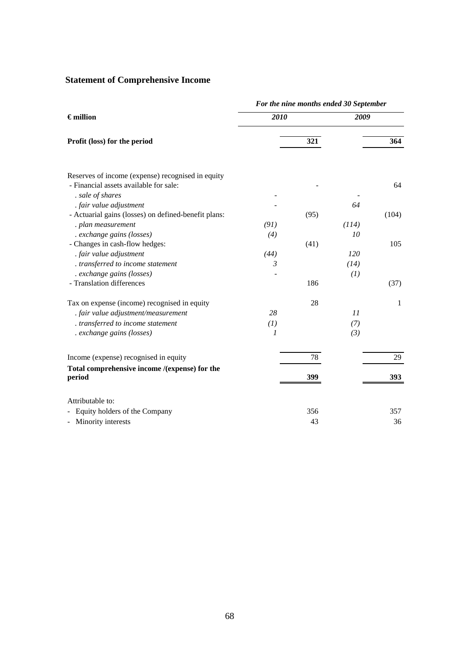# **Statement of Comprehensive Income**

|                                                                                             |               |      | For the nine months ended 30 September |       |  |
|---------------------------------------------------------------------------------------------|---------------|------|----------------------------------------|-------|--|
| $\epsilon$ million                                                                          | 2010          |      | 2009                                   |       |  |
| Profit (loss) for the period                                                                |               | 321  |                                        | 364   |  |
| Reserves of income (expense) recognised in equity<br>- Financial assets available for sale: |               |      |                                        | 64    |  |
| . sale of shares                                                                            |               |      |                                        |       |  |
| . fair value adjustment                                                                     |               |      | 64                                     |       |  |
| - Actuarial gains (losses) on defined-benefit plans:                                        |               | (95) |                                        | (104) |  |
| . plan measurement                                                                          | (91)          |      | (114)                                  |       |  |
| . exchange gains (losses)                                                                   | (4)           |      | 10                                     |       |  |
| - Changes in cash-flow hedges:                                                              |               | (41) |                                        | 105   |  |
| . fair value adjustment                                                                     | (44)          |      | 120                                    |       |  |
| . transferred to income statement                                                           | 3             |      | (14)                                   |       |  |
| . exchange gains (losses)                                                                   |               |      | (1)                                    |       |  |
| - Translation differences                                                                   |               | 186  |                                        | (37)  |  |
| Tax on expense (income) recognised in equity                                                |               | 28   |                                        | 1     |  |
| . fair value adjustment/measurement                                                         | 28            |      | 11                                     |       |  |
| . transferred to income statement                                                           | (I)           |      | (7)                                    |       |  |
| . exchange gains (losses)                                                                   | $\mathcal{I}$ |      | (3)                                    |       |  |
| Income (expense) recognised in equity                                                       |               | 78   |                                        | 29    |  |
| Total comprehensive income /(expense) for the                                               |               |      |                                        |       |  |
| period                                                                                      |               | 399  |                                        | 393   |  |
| Attributable to:                                                                            |               |      |                                        |       |  |
| Equity holders of the Company                                                               |               | 356  |                                        | 357   |  |
| - Minority interests                                                                        |               | 43   |                                        | 36    |  |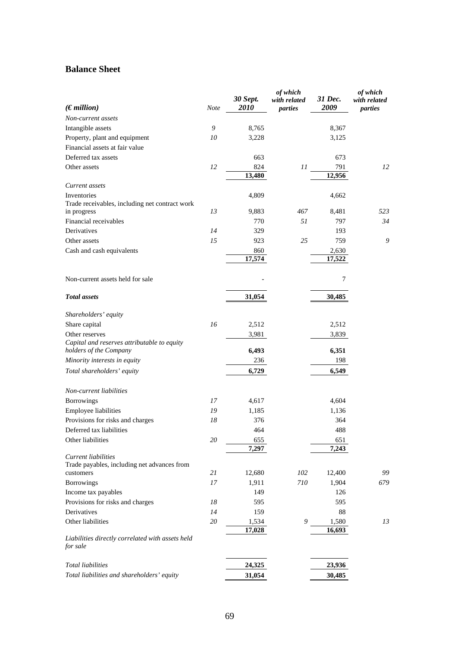## **Balance Sheet**

| (Emillion)                                                            | Note   | 30 Sept.<br><i>2010</i> | of which<br>with related<br>parties | 31 Dec.<br>2009 | of which<br>with related<br>parties |
|-----------------------------------------------------------------------|--------|-------------------------|-------------------------------------|-----------------|-------------------------------------|
| Non-current assets                                                    |        |                         |                                     |                 |                                     |
| Intangible assets                                                     | 9      | 8,765                   |                                     | 8,367           |                                     |
| Property, plant and equipment                                         | 10     | 3,228                   |                                     | 3,125           |                                     |
| Financial assets at fair value                                        |        |                         |                                     |                 |                                     |
| Deferred tax assets                                                   |        | 663                     |                                     | 673             |                                     |
| Other assets                                                          | 12     | 824                     | 11                                  | 791             | 12                                  |
|                                                                       |        | 13,480                  |                                     | 12,956          |                                     |
| Current assets                                                        |        |                         |                                     |                 |                                     |
| Inventories                                                           |        | 4,809                   |                                     | 4,662           |                                     |
| Trade receivables, including net contract work                        |        |                         |                                     |                 |                                     |
| in progress                                                           | 13     | 9,883                   | 467                                 | 8,481           | 523                                 |
| Financial receivables<br>Derivatives                                  | 14     | 770<br>329              | 51                                  | 797             | 34                                  |
| Other assets                                                          | 15     | 923                     | 25                                  | 193<br>759      | 9                                   |
| Cash and cash equivalents                                             |        |                         |                                     |                 |                                     |
|                                                                       |        | 860<br>17,574           |                                     | 2,630<br>17,522 |                                     |
|                                                                       |        |                         |                                     |                 |                                     |
| Non-current assets held for sale                                      |        |                         |                                     | 7               |                                     |
| <b>Total</b> assets                                                   |        | 31,054                  |                                     | 30,485          |                                     |
| Shareholders' equity                                                  |        |                         |                                     |                 |                                     |
| Share capital                                                         | 16     | 2,512                   |                                     | 2,512           |                                     |
| Other reserves                                                        |        | 3,981                   |                                     | 3,839           |                                     |
| Capital and reserves attributable to equity<br>holders of the Company |        | 6,493                   |                                     | 6,351           |                                     |
| Minority interests in equity                                          |        | 236                     |                                     | 198             |                                     |
| Total shareholders' equity                                            |        | 6,729                   |                                     | 6,549           |                                     |
| Non-current liabilities                                               |        |                         |                                     |                 |                                     |
| Borrowings                                                            | 17     | 4,617                   |                                     | 4,604           |                                     |
| Employee liabilities                                                  | 19     | 1,185                   |                                     | 1,136           |                                     |
| Provisions for risks and charges                                      | 18     | 376                     |                                     | 364             |                                     |
| Deferred tax liabilities                                              |        | 464                     |                                     | 488             |                                     |
| Other liabilities                                                     | $20\,$ | 655<br>7.297            |                                     | 651<br>7,243    |                                     |
| <b>Current liabilities</b>                                            |        |                         |                                     |                 |                                     |
| Trade payables, including net advances from                           |        |                         |                                     |                 |                                     |
| customers                                                             | 21     | 12,680                  | 102                                 | 12,400          | 99                                  |
| <b>Borrowings</b>                                                     | 17     | 1,911                   | $710\,$                             | 1,904           | 679                                 |
| Income tax payables                                                   |        | 149                     |                                     | 126             |                                     |
| Provisions for risks and charges                                      | 18     | 595                     |                                     | 595             |                                     |
| Derivatives                                                           | 14     | 159                     |                                     | 88              |                                     |
| Other liabilities                                                     | 20     | 1,534                   | 9                                   | 1,580           | 13                                  |
| Liabilities directly correlated with assets held<br>for sale          |        | 17,028                  |                                     | 16,693          |                                     |
| <b>Total liabilities</b>                                              |        | 24,325                  |                                     | 23,936          |                                     |
| Total liabilities and shareholders' equity                            |        | 31,054                  |                                     | 30,485          |                                     |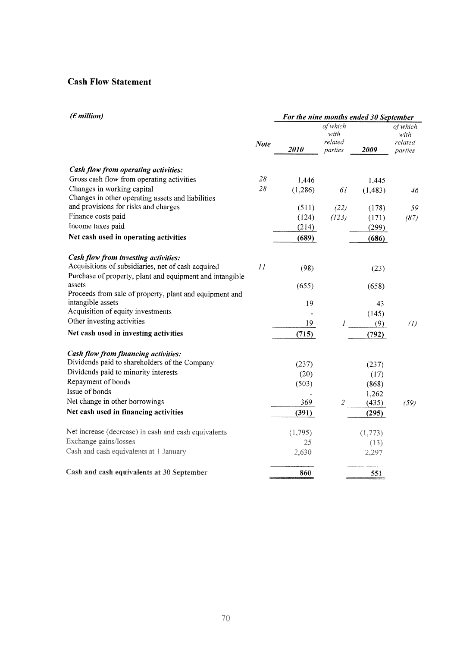## **Cash Flow Statement**

| $(\epsilon$ million)                                               |             | For the nine months ended 30 September |                 |          |                   |  |
|--------------------------------------------------------------------|-------------|----------------------------------------|-----------------|----------|-------------------|--|
|                                                                    |             |                                        | of which        |          | of which          |  |
|                                                                    |             |                                        | with<br>related |          | with<br>related   |  |
|                                                                    | <b>Note</b> | 2010                                   | parties         | 2009     | parties           |  |
| Cash flow from operating activities:                               |             |                                        |                 |          |                   |  |
| Gross cash flow from operating activities                          | 28          | 1,446                                  |                 | 1,445    |                   |  |
| Changes in working capital                                         | 28          | (1,286)                                | 61              | (1, 483) | 46                |  |
| Changes in other operating assets and liabilities                  |             |                                        |                 |          |                   |  |
| and provisions for risks and charges                               |             | (511)                                  | (22)            | (178)    | 59                |  |
| Finance costs paid                                                 |             | (124)                                  | (123)           | (171)    | (87)              |  |
| Income taxes paid                                                  |             | (214)                                  |                 | (299)    |                   |  |
| Net cash used in operating activities                              |             | (689)                                  |                 | (686)    |                   |  |
| Cash flow from investing activities:                               |             |                                        |                 |          |                   |  |
| Acquisitions of subsidiaries, net of cash acquired                 | 11          | (98)                                   |                 | (23)     |                   |  |
| Purchase of property, plant and equipment and intangible<br>assets |             | (655)                                  |                 | (658)    |                   |  |
| Proceeds from sale of property, plant and equipment and            |             |                                        |                 |          |                   |  |
| intangible assets                                                  |             | 19                                     |                 | 43       |                   |  |
| Acquisition of equity investments                                  |             |                                        |                 | (145)    |                   |  |
| Other investing activities                                         |             | 19                                     | $\mathcal{I}$   | (9)      | $\left( l\right)$ |  |
| Net cash used in investing activities                              |             | (715)                                  |                 | (792)    |                   |  |
| Cash flow from financing activities:                               |             |                                        |                 |          |                   |  |
| Dividends paid to shareholders of the Company                      |             | (237)                                  |                 | (237)    |                   |  |
| Dividends paid to minority interests                               |             | (20)                                   |                 | (17)     |                   |  |
| Repayment of bonds                                                 |             | (503)                                  |                 | (868)    |                   |  |
| Issue of bonds                                                     |             |                                        |                 | 1,262    |                   |  |
| Net change in other borrowings                                     |             | 369                                    | $\mathfrak{2}$  | (435)    | (59)              |  |
| Net cash used in financing activities                              |             | (391)                                  |                 | (295)    |                   |  |
| Net increase (decrease) in cash and cash equivalents               |             | (1,795)                                |                 | (1,773)  |                   |  |
| Exchange gains/losses                                              |             | 25                                     |                 | (13)     |                   |  |
| Cash and cash equivalents at 1 January                             |             | 2,630                                  |                 | 2,297    |                   |  |
| Cash and cash equivalents at 30 September                          |             | 860                                    |                 | 551      |                   |  |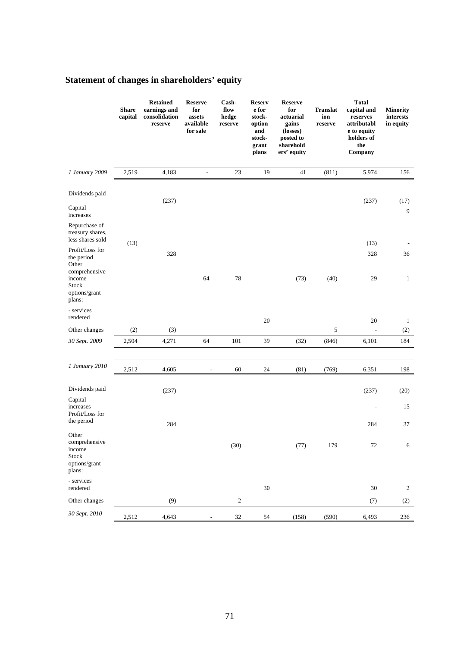# **Statement of changes in shareholders' equity**

|                                                                      | <b>Share</b><br>capital | <b>Retained</b><br>earnings and<br>consolidation<br>reserve | <b>Reserve</b><br>for<br>assets<br>available<br>for sale | Cash-<br>flow<br>hedge<br>reserve | <b>Reserv</b><br>e for<br>stock-<br>option<br>and<br>stock-<br>grant<br>plans | <b>Reserve</b><br>for<br>actuarial<br>gains<br>(losses)<br>posted to<br>sharehold<br>ers' equity | <b>Translat</b><br>ion<br>reserve | <b>Total</b><br>capital and<br>reserves<br>attributabl<br>e to equity<br>holders of<br>the<br>Company | <b>Minority</b><br>interests<br>in equity |
|----------------------------------------------------------------------|-------------------------|-------------------------------------------------------------|----------------------------------------------------------|-----------------------------------|-------------------------------------------------------------------------------|--------------------------------------------------------------------------------------------------|-----------------------------------|-------------------------------------------------------------------------------------------------------|-------------------------------------------|
|                                                                      |                         |                                                             |                                                          |                                   |                                                                               |                                                                                                  |                                   |                                                                                                       |                                           |
| 1 January 2009                                                       | 2,519                   | 4,183                                                       | $\frac{1}{2}$                                            | 23                                | 19                                                                            | 41                                                                                               | (811)                             | 5,974                                                                                                 | 156                                       |
| Dividends paid                                                       |                         | (237)                                                       |                                                          |                                   |                                                                               |                                                                                                  |                                   | (237)                                                                                                 | (17)                                      |
| Capital<br>increases                                                 |                         |                                                             |                                                          |                                   |                                                                               |                                                                                                  |                                   |                                                                                                       | 9                                         |
| Repurchase of<br>treasury shares,<br>less shares sold                | (13)                    |                                                             |                                                          |                                   |                                                                               |                                                                                                  |                                   | (13)                                                                                                  |                                           |
| Profit/Loss for<br>the period<br>Other<br>comprehensive              |                         | 328                                                         |                                                          |                                   |                                                                               |                                                                                                  |                                   | 328                                                                                                   | 36                                        |
| income<br>Stock<br>options/grant<br>plans:                           |                         |                                                             | 64                                                       | 78                                |                                                                               | (73)                                                                                             | (40)                              | 29                                                                                                    | $\mathbf{1}$                              |
| - services<br>rendered                                               |                         |                                                             |                                                          |                                   | $20\,$                                                                        |                                                                                                  |                                   | $20\,$                                                                                                | $\mathbf{1}$                              |
| Other changes                                                        | (2)                     | (3)                                                         |                                                          |                                   |                                                                               |                                                                                                  | 5                                 | $\overline{\phantom{a}}$                                                                              | (2)                                       |
| 30 Sept. 2009                                                        | 2,504                   | 4,271                                                       | 64                                                       | 101                               | 39                                                                            | (32)                                                                                             | (846)                             | 6,101                                                                                                 | 184                                       |
|                                                                      |                         |                                                             |                                                          |                                   |                                                                               |                                                                                                  |                                   |                                                                                                       |                                           |
| 1 January 2010                                                       | 2,512                   | 4,605                                                       |                                                          | 60                                | 24                                                                            | (81)                                                                                             | (769)                             | 6,351                                                                                                 | 198                                       |
| Dividends paid                                                       |                         | (237)                                                       |                                                          |                                   |                                                                               |                                                                                                  |                                   | (237)                                                                                                 | (20)                                      |
| Capital<br>increases<br>Profit/Loss for                              |                         |                                                             |                                                          |                                   |                                                                               |                                                                                                  |                                   |                                                                                                       | 15                                        |
| the period                                                           |                         | 284                                                         |                                                          |                                   |                                                                               |                                                                                                  |                                   | 284                                                                                                   | 37                                        |
| Other<br>comprehensive<br>income<br>Stock<br>options/grant<br>plans: |                         |                                                             |                                                          | (30)                              |                                                                               | (77)                                                                                             | 179                               | $72\,$                                                                                                | $\sqrt{6}$                                |
| - services<br>rendered                                               |                         |                                                             |                                                          |                                   | $30\,$                                                                        |                                                                                                  |                                   | $30\,$                                                                                                | $\overline{\mathbf{c}}$                   |
| Other changes                                                        |                         | (9)                                                         |                                                          | $\boldsymbol{2}$                  |                                                                               |                                                                                                  |                                   | (7)                                                                                                   | (2)                                       |
| 30 Sept. 2010                                                        | 2,512                   | 4,643                                                       |                                                          | 32                                | 54                                                                            | (158)                                                                                            | (590)                             | 6,493                                                                                                 | 236                                       |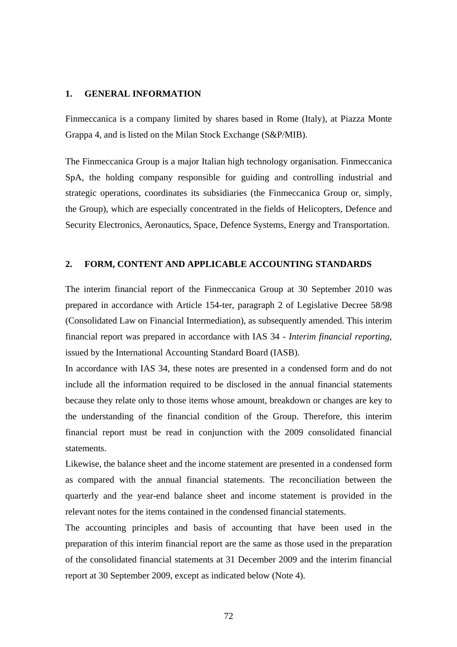#### **1. GENERAL INFORMATION**

Finmeccanica is a company limited by shares based in Rome (Italy), at Piazza Monte Grappa 4, and is listed on the Milan Stock Exchange (S&P/MIB).

The Finmeccanica Group is a major Italian high technology organisation. Finmeccanica SpA, the holding company responsible for guiding and controlling industrial and strategic operations, coordinates its subsidiaries (the Finmeccanica Group or, simply, the Group), which are especially concentrated in the fields of Helicopters, Defence and Security Electronics, Aeronautics, Space, Defence Systems, Energy and Transportation.

#### **2. FORM, CONTENT AND APPLICABLE ACCOUNTING STANDARDS**

The interim financial report of the Finmeccanica Group at 30 September 2010 was prepared in accordance with Article 154-ter, paragraph 2 of Legislative Decree 58/98 (Consolidated Law on Financial Intermediation), as subsequently amended. This interim financial report was prepared in accordance with IAS 34 - *Interim financial reporting*, issued by the International Accounting Standard Board (IASB).

In accordance with IAS 34, these notes are presented in a condensed form and do not include all the information required to be disclosed in the annual financial statements because they relate only to those items whose amount, breakdown or changes are key to the understanding of the financial condition of the Group. Therefore, this interim financial report must be read in conjunction with the 2009 consolidated financial statements.

Likewise, the balance sheet and the income statement are presented in a condensed form as compared with the annual financial statements. The reconciliation between the quarterly and the year-end balance sheet and income statement is provided in the relevant notes for the items contained in the condensed financial statements.

The accounting principles and basis of accounting that have been used in the preparation of this interim financial report are the same as those used in the preparation of the consolidated financial statements at 31 December 2009 and the interim financial report at 30 September 2009, except as indicated below (Note 4).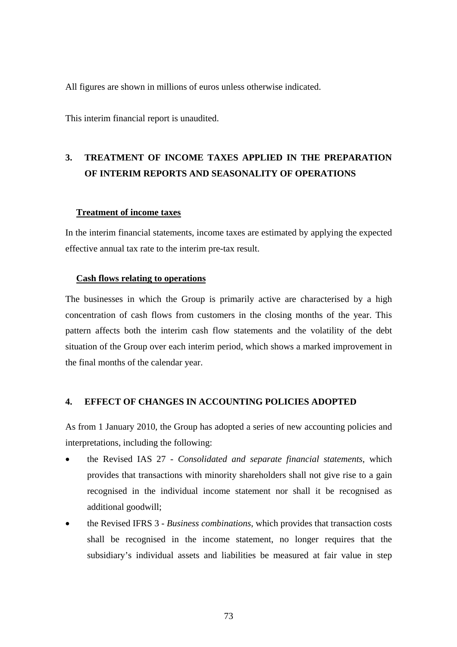All figures are shown in millions of euros unless otherwise indicated.

This interim financial report is unaudited.

# **3. TREATMENT OF INCOME TAXES APPLIED IN THE PREPARATION OF INTERIM REPORTS AND SEASONALITY OF OPERATIONS**

#### **Treatment of income taxes**

In the interim financial statements, income taxes are estimated by applying the expected effective annual tax rate to the interim pre-tax result.

#### **Cash flows relating to operations**

The businesses in which the Group is primarily active are characterised by a high concentration of cash flows from customers in the closing months of the year. This pattern affects both the interim cash flow statements and the volatility of the debt situation of the Group over each interim period, which shows a marked improvement in the final months of the calendar year.

#### **4. EFFECT OF CHANGES IN ACCOUNTING POLICIES ADOPTED**

As from 1 January 2010, the Group has adopted a series of new accounting policies and interpretations, including the following:

- the Revised IAS 27 *Consolidated and separate financial statements*, which provides that transactions with minority shareholders shall not give rise to a gain recognised in the individual income statement nor shall it be recognised as additional goodwill;
- the Revised IFRS 3 *Business combinations*, which provides that transaction costs shall be recognised in the income statement, no longer requires that the subsidiary's individual assets and liabilities be measured at fair value in step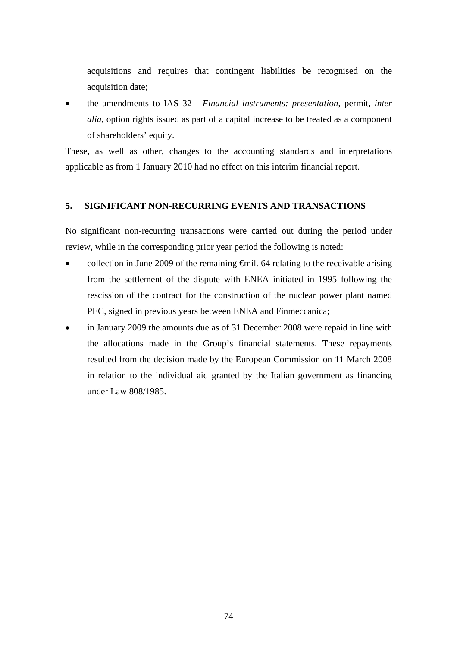acquisitions and requires that contingent liabilities be recognised on the acquisition date;

 the amendments to IAS 32 - *Financial instruments: presentation*, permit, *inter alia*, option rights issued as part of a capital increase to be treated as a component of shareholders' equity.

These, as well as other, changes to the accounting standards and interpretations applicable as from 1 January 2010 had no effect on this interim financial report.

## **5. SIGNIFICANT NON-RECURRING EVENTS AND TRANSACTIONS**

No significant non-recurring transactions were carried out during the period under review, while in the corresponding prior year period the following is noted:

- collection in June 2009 of the remaining €mil. 64 relating to the receivable arising from the settlement of the dispute with ENEA initiated in 1995 following the rescission of the contract for the construction of the nuclear power plant named PEC, signed in previous years between ENEA and Finmeccanica;
- in January 2009 the amounts due as of 31 December 2008 were repaid in line with the allocations made in the Group's financial statements. These repayments resulted from the decision made by the European Commission on 11 March 2008 in relation to the individual aid granted by the Italian government as financing under Law 808/1985.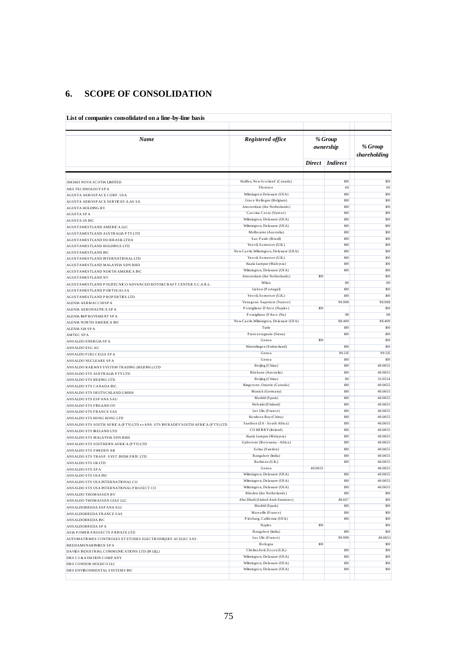## **6. SCOPE OF CONSOLIDATION**

| Name                                                                                                      | Registered office                                         |               | % Group         |                         |  |
|-----------------------------------------------------------------------------------------------------------|-----------------------------------------------------------|---------------|-----------------|-------------------------|--|
|                                                                                                           |                                                           |               | ownership       | % Group<br>shareholding |  |
|                                                                                                           |                                                           | <b>Direct</b> | <i>Indirect</i> |                         |  |
| 3083683 NOVA SCOTIA LIMITED                                                                               | Halifax, New Scotland (Canada)                            |               | 100             | 100                     |  |
| ABS TECHNOLOGYSPA                                                                                         | Florence                                                  |               | 60              | 60                      |  |
| AGUSTA AEROSPACE CORP. USA                                                                                | Wilmington Delaware (USA)                                 |               | 100             | 100                     |  |
| AGUSTA AEROSPACE SERVICES A.AS SA                                                                         | Grace Hollogne (Belgium)                                  |               | 100             | 100                     |  |
| <b>AGUSTA HOLDING BV</b>                                                                                  | Amsterdam (the Netherlands)                               |               | 100             | 100                     |  |
| <b>AGUSTA SPA</b>                                                                                         | Cascina Costa (Varese)<br>Wilmington, Delaware (USA)      |               | 100<br>100      | $100\,$<br>100          |  |
| AGUSTA US INC                                                                                             | Wilmington, Delaware (USA)                                |               | 100             | 100                     |  |
| AGUSTAWESTLAND AMERICA LLC                                                                                | Melbourne (Australia)                                     |               | 100             | 100                     |  |
| AGUSTAWESTLAND AUSTRALIA PTYLTD<br>AGUSTAWESTLAND DO BRASILLTDA                                           | Sao Paulo (Brazil)                                        |               | 100             | 100                     |  |
| AGUSTAWESTLAND HOLDINGS LTD                                                                               | Yeo vil, Somerset (U.K.)                                  |               | 100             | 100                     |  |
| <b>AGUSTAWESTLAND INC</b>                                                                                 | New Castle, Wilmington, Delaware (USA)                    |               | 100             | 100                     |  |
| AGUSTAWESTLAND INTERNATIONAL LTD                                                                          | Yeo vil, Somers et (U.K.)                                 |               | 100             | 100                     |  |
| AGUSTAWESTLAND MALAYSIA SDN BHD                                                                           | Kuala Lumpur (Mals ys ia)                                 |               | 100             | 100                     |  |
| AGUSTAWESTLAND NORTH AMERICA INC                                                                          | Wilmington, Delaware (USA)                                |               | 100             | 100                     |  |
| AGUSTAWESTLAND NV                                                                                         | Amsterdam (the Netherlands)                               | 100           |                 | 100                     |  |
| AGUSTAWESTLAND POLITECNICO ADVANCED ROTORCRAFT CENTER S.C.A R.L.                                          | Milan                                                     |               | 80              | 80                      |  |
| AGUSTAWESTLAND PORTUGAL SA                                                                                | Lisbon (Portugal)                                         |               | 100             | 100                     |  |
| AGUSTAWESTLAND PROPERTIES LTD                                                                             | Yeo vil, Somerset (U.K.)                                  |               | 100             | 100                     |  |
| ALENIA AERMACCHISPA                                                                                       | Venegono Superiore (Varese)<br>Pomigliano D'Arco (Naples) | 100           | 99.998          | 99.998<br>100           |  |
| ALENIA AERONAUTICA SPA                                                                                    | Pomigliano D'Arco (Na)                                    |               | 98              | 98                      |  |
| ALENIA IMPROVEMENT SPA                                                                                    | New Castle, Wilmington, Delaware (USA)                    |               | 88.409          | 88.409                  |  |
| ALENIA NORTH AMERICA INC<br>ALENIA SIA SPA                                                                | Turin                                                     |               | 100             | $100\,$                 |  |
| <b>AMTEC SPA</b>                                                                                          | Piancastagnaio (Siena)                                    |               | 100             | 100                     |  |
| ANSALDO ENERGIA SP A                                                                                      | Genoa                                                     | 100           |                 | 100                     |  |
| ANSALDO ESG AG                                                                                            | Wurenlingen (Switzerland)                                 |               | 100             | 100                     |  |
| ANSALDO FUEL CELLS SPA                                                                                    | Genoa                                                     |               | 99.515          | 99.515                  |  |
| ANSALDO NUCLEARE SP A                                                                                     | Genoa                                                     |               | 100             | 100                     |  |
| ANSALDO RAILWAY SYSTEM TRADING (BEIJING) LTD                                                              | Beijing (China)                                           |               | 100             | 40.0655                 |  |
| ANSALDO STS AUSTRALIA PTYLTD                                                                              | Birs bane (Australia)                                     |               | 100             | 40.0655                 |  |
| ANSALDO STS BEIJ ING LTD                                                                                  | Beijing (China)                                           |               | 80              | 32.0524                 |  |
| ANSALDO STS CANADA INC.                                                                                   | Kingstone, Ontario (Canada)                               |               | 100             | 40.0655                 |  |
| ANSALDO STS DEUTSCHLAND GMBH                                                                              | Munich (Germany)                                          |               | 100             | 40.0655                 |  |
| ANSALDO STS ESP ANA SAU                                                                                   | Madrid (Spain)                                            |               | 100<br>100      | 40.0655<br>40.0655      |  |
| ANSALDO STS FINLAND OY                                                                                    | Hels inki (Finland)<br>Les Ulis (France)                  |               | 100             | 40.0655                 |  |
| ANSALDO STS FRANCE SAS                                                                                    | Kowloon Bay (China)                                       |               | 100             | 40.0655                 |  |
| ANSALDO STS HONG KONG LTD                                                                                 | Sandton (ZA - South Africa)                               |               | 100             | 40.0655                 |  |
| ANSALDO STS SOUTH AFRICA (PTY) LTD ex ANS. STS INFRADEV SOUTH AFRICA (PTY) LTD<br>ANSALDO STS IRELAND LTD | CO KERRY (Ireland)                                        |               | 100             | 40.0655                 |  |
| ANSALDO STS MALAYSIA SDN BHD                                                                              | Kuala Lumpur (Malaysia)                                   |               | 100             | 40.0655                 |  |
| ANSALDO STS SOUTHERN AFRICA (PTY) LTD                                                                     | Gaborone (Botswana - Africa)                              |               | 100             | 40.0655                 |  |
| ANSALDO STS SWEDEN AB                                                                                     | Solna (Sweden)                                            |               | 100             | 40.0655                 |  |
| ANSALDO STS TRASP. SYST. INDIA PRIV. LTD                                                                  | Bangalore (India)                                         |               | 100             | 40.0655                 |  |
| ANSALDO STS UKLTD                                                                                         | Barbican (U.K.)                                           |               | 100             | 40.0655                 |  |
| ANSALDO STS SPA                                                                                           | Genoa                                                     | 40.0655       |                 | 40.0655                 |  |
| ANSALDO STS USA INC                                                                                       | Wilmington, Delaware (USA)                                |               | 100             | 40.0655                 |  |
| ANSALDO STS USA INTERNATIONAL CO                                                                          | Wilmington, Delaware (USA)                                |               | 100             | 40.0655                 |  |
| ANSALDO STS USA INTERNATIONAL PROJECT CO                                                                  | Wilmington, Delaware (USA)                                |               | 100             | 40.0655                 |  |
| ANSALDO THOMASSEN BV                                                                                      | Rheden (the Netherlands)                                  |               | 100             | 100                     |  |
| ANSALDO THOMASSEN GULF LLC                                                                                | Abu Dhabi (United Arab Emirates)<br>Madrid (Spain)        |               | 48.667<br>100   | $100\,$<br>$100\,$      |  |
| ANSALDOBREDA ESP ANA SLU                                                                                  | Marseille (France)                                        |               | 100             | $100\,$                 |  |
| ANSALDOBREDA FRANCE SAS                                                                                   | Pitts burg, California (USA)                              |               | 100             | $100\,$                 |  |
| ANSALDOBREDA INC                                                                                          | Naples                                                    | $100$         |                 | $100\,$                 |  |
| ANSALDOBREDA SPA<br>ASIA POWER PROJECTS PRIVATE LTD                                                       | Bangalore (India)                                         |               | 100             | 100                     |  |
| AUTOMATISMES CONTROLES ET ETUDES ELECTRONIQUES ACELEC SAS                                                 | Les Ulis (France)                                         |               | 99.999          | 40.0651                 |  |
| <b>BREDAMENARINIBUS SPA</b>                                                                               | Bologna                                                   | $100$         |                 | $100\,$                 |  |
|                                                                                                           | Chelms ford, Essex (U.K.)                                 |               | 100             | 100                     |  |
| DAVIES INDUSTRIAL COMMUNICATIONS LTD (IN LIQ.)                                                            |                                                           |               |                 |                         |  |
| DRS C3 & AVIATION COMPANY                                                                                 | Wilmington, Delaware (USA)                                |               | 100             | $100\,$                 |  |
| DRS CONDOR HOLDCO LLC                                                                                     | Wilmington, Delaware (USA)<br>Wilmington, Delaware (USA)  |               | 100<br>100      | 100                     |  |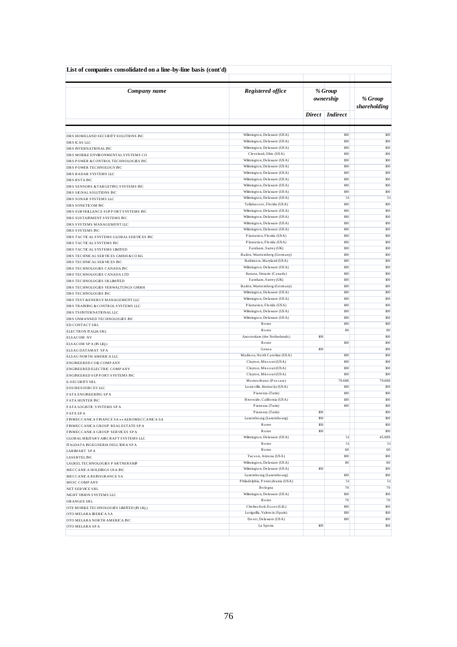| List of companies consolidated on a line-by-line basis (cont'd)      |                                                          |     |                      |                         |
|----------------------------------------------------------------------|----------------------------------------------------------|-----|----------------------|-------------------------|
| Company name                                                         | Registered office                                        |     | % Group<br>ownership | % Group<br>shareholding |
|                                                                      |                                                          |     | Direct   Indirect    |                         |
|                                                                      |                                                          |     |                      |                         |
| DRS HOMELAND SECURITY SOLUTIONS INC                                  | Wilmington, Delaware (USA)                               |     | 100                  | 100                     |
| DRS ICAS LLC                                                         | Wilmington, Delaware (USA)<br>Wilmington, Delaware (USA) |     | 100<br>100           | 100<br>100              |
| DRS INTERNATIONALINC<br>DRS MOBILE ENVIRONMENTAL SYSTEMS CO          | Cleveland, Ohio (USA)                                    |     | 100                  | 100                     |
| DRS POWER & CONTROL TECHNOLOGIES INC                                 | Wilmington, Delaware (USA)                               |     | 100                  | 100                     |
| DRS POWER TECHNOLOGY INC                                             | Wilmington, Delaware (USA)                               |     | 100                  | 100                     |
| DRS RADAR SYSTEMS LLC                                                | Wilmington, Delaware (USA)                               |     | 100                  | 100                     |
| DRS RSTA INC                                                         | Wilmington, Delaware (USA)                               |     | 100<br>100           | 100<br>100              |
| DRS SENSORS & TARGETING SYSTEMS INC                                  | Wilmington, Delaware (USA)<br>Wilmington, Delaware (USA) |     | 100                  | 100                     |
| DRS SIGNAL SOLUTIONS INC<br>DRS SONAR SYSTEMS LLC                    | Wilmington, Delaware (USA)                               |     | 51                   | 51                      |
| DRS SONETICOM INC                                                    | Tallahas see, Florida (USA)                              |     | 100                  | 100                     |
| DRS SURVEILLANCE SUPPORT SYSTEMS INC                                 | Wilmington, Delaware (USA)                               |     | 100                  | 100                     |
| DRS SUSTAINMENT SYSTEMS INC                                          | Wilmington, Delaware (USA)                               |     | 100                  | 100                     |
| DRS SYSTEMS MANAGEMENT LLC                                           | Wilmington, Delaware (USA)<br>Wilmington, Delaware (USA) |     | 100<br>100           | 100<br>100              |
| DRS SYSTEMS INC                                                      | Plantation, Florida (USA)                                |     | 100                  | 100                     |
| DRS TACTICAL SYSTEMS GLOBAL SERVICES INC<br>DRS TACTICAL SYSTEMS INC | Plantation, Florida (USA)                                |     | 100                  | 100                     |
| DRS TACTICAL SYSTEMS LIMITED                                         | Farnham, Surrey (UK)                                     |     | 100                  | 100                     |
| DRS TECHNICAL SERVICES GMBH & COKG                                   | Baden, Wurttemberg (Germany)                             |     | 100                  | 100                     |
| DRS TECHNICAL SERVICES INC                                           | Baltimora, Maryland (USA)                                |     | 100                  | 100                     |
| DRS TECHNOLOGIES CANADA INC                                          | Wilmington, Delaware (USA)                               |     | 100<br>100           | 100<br>100              |
| DRS TECHNOLOGIES CANADA LTD<br>DRS TECHNOLOGIES UKLIMITED            | Kanata, Ontario (Canada)<br>Farnham, Surrey (UK)         |     | 100                  | 100                     |
| DRS TECHNOLOGIES VER WALTUNGS GMBH                                   | Baden, Wurttemberg (Germany)                             |     | 100                  | 100                     |
| DRS TECHNOLOGIES INC                                                 | Wilmington, Delaware (USA)                               |     | 100                  | 100                     |
| DRS TEST & ENERGY MANAGEMENT LLC                                     | Wilmington, Delaware (USA)                               |     | 100                  | 100                     |
| DRS TRAINING & CONTROL SYSTEMS LLC                                   | Plantation, Florida (USA)                                |     | 100                  | 100                     |
| DRS TSINTERNATIONAL LLC                                              | Wilmington, Delaware (USA)<br>Wilmington, Delaware (USA) |     | 100<br>100           | 100<br>100              |
| DRS UNMANNED TECHNOLOGIES INC<br>ED CONTACT SRL                      | Rome                                                     |     | 100                  | 100                     |
| ELECTRON ITALIA SRL                                                  | Rome                                                     |     | 80                   | 80                      |
| <b>ELSACOM NV</b>                                                    | Amsterdam (the Netherlands)                              | 100 |                      | 100                     |
| ELSACOM SPA (IN LIQ.)                                                | Rome                                                     |     | 100                  | 100                     |
| ELSAG DATAMAT SPA                                                    | Genoa                                                    | 100 |                      | 100                     |
| ELSAG NORTH AMERICA LLC                                              | Madison, North Carolina (USA)<br>Clayton, Missouri (USA) |     | 100<br>100           | 100<br>100              |
| ENGINEERED COIL COMPANY<br>ENGINEERED ELECTRIC COMPANY               | Clayton, Missouri (USA)                                  |     | 100                  | 100                     |
| ENGINEERED SUPPORT SYSTEMS INC                                       | Clayton, Missouri (USA)                                  |     | 100                  | 100                     |
| E-SECURITY SRL                                                       | Montes ilvano (Pescara)                                  |     | 79.688               | 79.688                  |
| ESSIRES OURCES LLC                                                   | Louis ville, Kentucky (USA)                              |     | 100                  | 100                     |
| FATA ENGINEERING SPA                                                 | Pianezza (Turin)                                         |     | 100                  | 100                     |
| <b>FATA HUNTER INC</b>                                               | Riverside, California (USA)<br>Pianezza (Turin)          |     | 100<br>100           | 100<br>100              |
| FATA LOGISTIC SYSTEMS SPA<br><b>FATA SPA</b>                         | Pianezza (Turin)                                         | 100 |                      | $100\,$                 |
| FINMECCANICA FINANCE SA ex AEROMECCANICA SA                          | Luxembourg (Luxembourg)                                  | 100 |                      | 100                     |
| FINMECCANICA GROUP REALESTATE SPA                                    | Rome                                                     | 100 |                      | 100                     |
| FINMECCANICA GROUP SERVICES SPA                                      | Rome                                                     | 100 |                      | 100                     |
| GLOBAL MILITARY AIRCRAFT SYSTEMS LLC                                 | Wilmington, Delaware (USA)                               |     | 51                   | 45.089                  |
| ITALDATA INGEGNERIA DELL'IDEA SPA                                    | Rome<br>Rome                                             |     | 51<br>60             | 51<br>60                |
| LARMART SPA<br><b>LASERTELINC</b>                                    | Tucs on, Arizona (USA)                                   |     | 100                  | 100                     |
| LAUREL TECHNOLOGIES PARTNERSHIP                                      | Wilmington, Delaware (USA)                               |     | 80                   | 80                      |
| MECCANICA HOLDINGS USA INC                                           | Wilmington, Delaware (USA)                               | 100 |                      | 100                     |
| MECCANICA REINSURANCE SA                                             | Luxembourg (Luxembourg)                                  |     | 100                  | 100                     |
| MSSC COMPANY                                                         | Philadelphia, Penns ylvania (USA)                        |     | 51                   | 51                      |
| NET SERVICE SRL                                                      | Bologna<br>Wilmington, Delaware (USA)                    |     | 70<br>$100\,$        | 70<br>100               |
| NIGHT VISION SYSTEMS LLC<br>ORANGEE SRL                              | Rome                                                     |     | $70\,$               | 70                      |
| OTE MOBILE TECHNOLOGIES LIMITED (IN LIQ.)                            | Chelms ford, Essex (U.K.)                                |     | 100                  | 100                     |
| OTO MELARA BERICA SA                                                 | Lo riguilla, Valencia (Spain)                            |     | 100                  | 100                     |
| OTO MELARA NORTH AMERICA INC                                         | Do ver, De la ware (USA)                                 |     | 100                  | 100                     |
| OTO MELARA SPA                                                       | La Spezia                                                | 100 |                      | 100                     |
|                                                                      |                                                          |     |                      |                         |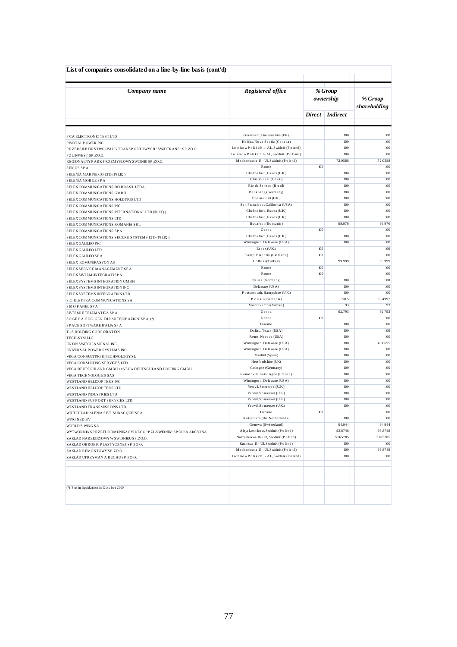| List of companies consolidated on a line-by-line basis (cont'd)     |                                                                                               |            |                      |                         |
|---------------------------------------------------------------------|-----------------------------------------------------------------------------------------------|------------|----------------------|-------------------------|
| Company name                                                        | Registered office                                                                             |            | % Group<br>ownership | % Group<br>shareholding |
|                                                                     |                                                                                               | Direct     | <i>Indirect</i>      |                         |
|                                                                     |                                                                                               |            |                      |                         |
| P CA ELECTRONIC TEST LTD                                            | Grantham, Linco lns hire (UK)                                                                 |            | 100                  | 100                     |
| P IVOTAL POWER INC                                                  | Halifax, Nova Scotia (Canada)                                                                 |            | 100                  | 100                     |
| PRZEDSIEBIORSTWO USLUG TRANSPORTOWYCH "SWIDTRANS" SP.ZO.O.          | Lotnikow Polskich 1- AL, Swidnik (Poland)<br>Lotniko w P o ls kich 1-AL, S widnik (P o lonia) |            | 100<br>100           | 100<br>100              |
| PZLINWEST SP.ZO.O.                                                  | Mechaniczna 13 - Ul, Swidnik (Poland)                                                         |            | 72.0588              | 72.0588                 |
| REGIONALNY PARK PRZEMYSLOWY SWIDNIK SP.ZO.O.<br>SEICOS SPA          | Rome                                                                                          | 100        |                      | 100                     |
| SELENIA MARINE CO LTD (IN LIQ.)                                     | Chelms ford, Essex (U.K.)                                                                     |            | 100                  | 100                     |
| SELENIA MOBILE SPA                                                  | Chieti Scalo (Chieti)                                                                         |            | 100                  | 100                     |
| SELEX COMMUNICATIONS DO BRASIL LTDA                                 | Rio de Janeiro (Brazil)                                                                       |            | 100                  | 100                     |
| SELEX COMMUNICATIONS GMBH                                           | Backnang (Germany)                                                                            |            | $100\,$              | 100                     |
| SELEX COMMUNICATIONS HOLDINGS LTD                                   | Chelms ford (U.K.)                                                                            |            | 100                  | 100                     |
| SELEX COMMUNICATIONS INC                                            | San Francisco, California (USA)                                                               |            | $100\,$              | 100                     |
| SELEX COMMUNICATIONS INTERNATIONAL LTD (IN LIQ.)                    | Chelms ford, Essex (U.K.)                                                                     |            | 100                  | 100                     |
| SELEX COMMUNICATIONS LTD                                            | Chelms ford, Essex (U.K.)                                                                     |            | 100                  | 100                     |
| SELEX COMMUNICATIONS ROMANIA SRL                                    | Bucarest (Romania)                                                                            |            | 99.976               | 99.976                  |
| SELEX COMMUNICATIONS SPA                                            | Genoa                                                                                         | 100        |                      | 100                     |
| SELEX COMMUNICATIONS SECURE SYSTEMS LTD (IN LIQ.)                   | Chelms ford, Essex (U.K.)                                                                     |            | 100                  | 100                     |
| SELEX GALLEO INC                                                    | Wilmington, Delaware (USA)                                                                    |            | 100                  | 100                     |
| SELEX GALLEO LTD                                                    | Essex (U.K.)                                                                                  | 100        |                      | 100                     |
| SELEX GALLEO SPA                                                    | CampiBisenzio (Florence)                                                                      | 100        |                      | 100                     |
| SELEX KOMUNIKASYON AS                                               | Golbasi (Turkey)                                                                              |            | 99.999               | 99.999                  |
| SELEX SERVICE MANAGEMENT SPA                                        | Rome<br>Rome                                                                                  | 100<br>100 |                      | 100<br>100              |
| SELEX SISTEMINTEGRATISP A                                           | Neuss (Germany)                                                                               |            | 100                  | 100                     |
| SELEX SYSTEMS INTEGRATION GMBH                                      | De la ware (USA)                                                                              |            | 100                  | 100                     |
| SELEX SYSTEMS INTEGRATION INC                                       | Ports mouth, Hampshire (U.K.)                                                                 |            | 100                  | 100                     |
| SELEX SYSTEMS INTEGRATION LTD<br>S.C. ELETTRA COMMUNICATIONS SA     | Ploiesti (Romania)                                                                            |            | 50.5                 | 50.4997                 |
| <b>SIRIO PANEL SPA</b>                                              | Montevarchi (Arezzo)                                                                          |            | 93                   | 93                      |
| SISTEMIE TELEMATICA SPA                                             | Genoa                                                                                         |            | 92.793               | 92.793                  |
| SO.GE.PA.SOC.GEN.DIPARTECPAZIONISPA (*)                             | Genoa                                                                                         | 100        |                      | 100                     |
| SPACE SOFTWARE ITALIA SPA                                           | Taranto                                                                                       |            | 100                  | 100                     |
| T-S HOLDING CORPORATION                                             | Dallas, Texas (USA)                                                                           |            | 100                  | 100                     |
| TECH-SYM LLC                                                        | Reno, Nevada (USA)                                                                            |            | 100                  | 100                     |
| UNION SWITCH & SIGNAL INC                                           | Wilmington, Delaware (USA)                                                                    |            | 100                  | 40.0655                 |
| UNIVER SALPOWER SYSTEMS INC                                         | Wilmington, Delaware (USA)                                                                    |            | 100                  | 100                     |
| VEGA CONSULTING & TECHNOLOGY SL                                     | Madrid (Spain)                                                                                |            | 100                  | 100                     |
| VEGA CONSULTING SERVICES LTD                                        | Hertfords hire (UK)                                                                           |            | 100                  | 100                     |
| VEGA DEUTSCHLAND GMBH ex VEGA DEUTSCHLAND HOLDING GMBH              | Cologne (Germany)                                                                             |            | 100                  | 100                     |
| VEGA TECHNOLOGIES SAS                                               | Ramonville Saint Agne (France)<br>Wilmington, Delaware (USA)                                  |            | 100<br>100           | 100<br>100              |
| WESTLAND HELICOPTERS INC                                            | Yeo vil, Somers et(U.K.)                                                                      |            | 100                  | 100                     |
| WESTLAND HELICOPTERS LTD                                            | Yeo vil, Somers et (U.K.)                                                                     |            | $100\,$              | 100                     |
| WESTLAND INDUSTRIES LTD<br>WESTLAND SUPPORT SERVICES LTD            | Yeo vil, Somerset (U.K.)                                                                      |            | 100                  | 100                     |
| WESTLAND TRANSMISSIONS LTD                                          | Yeo vil, Somerset (U.K.)                                                                      |            | 100                  | 100                     |
| WHITEHEAD ALENIA SIST. SUBACQUEISPA                                 | Livo mo                                                                                       | 100        |                      | $100\,$                 |
| WING NED BV                                                         | Rotterdam (the Netherlands)                                                                   |            | 100                  | 100                     |
| WORLD'S WING SA                                                     | Geneva (Switzerland)                                                                          |            | 94.944               | 94.944                  |
| WYTWORNIA SP RZETU KOMUNIKACYJ NEGO "P ZL-SWIDNIK" SP OLKA AKCYJ NA | Ale ja Lo tniko w, S widnik (P o land)                                                        |            | 93.8748              | 93.8748                 |
| ZAKLAD NARZEDZIOWY W SWIDNIKU SP.ZO.O.                              | Narzedzio wa 16 - Ul, S widnik (P o land)                                                     |            | 51.65785             | 5165785                 |
| ZAKLAD OBROBKIP LASTYCZNEJ SP.ZO.O.                                 | Kuznicza 13 - Ul, S widnik (P o land)                                                         |            | 100                  | $100\,$                 |
| ZAKLAD REMONTOWY SP.ZO.O.                                           | Mechaniczna 13 - Ul, Swidnik (Poland)                                                         |            | 100                  | 93.8748                 |
| ZAKLAD UTRZYMANIA RUCHUSP.ZO.O.                                     | Lotnikow Polskich 1-AL, Swidnik (Poland)                                                      |            | 100                  | $100\,$                 |
|                                                                     |                                                                                               |            |                      |                         |
|                                                                     |                                                                                               |            |                      |                         |
|                                                                     |                                                                                               |            |                      |                         |
| (*) Put in liquidation in October 2010                              |                                                                                               |            |                      |                         |
|                                                                     |                                                                                               |            |                      |                         |
|                                                                     |                                                                                               |            |                      |                         |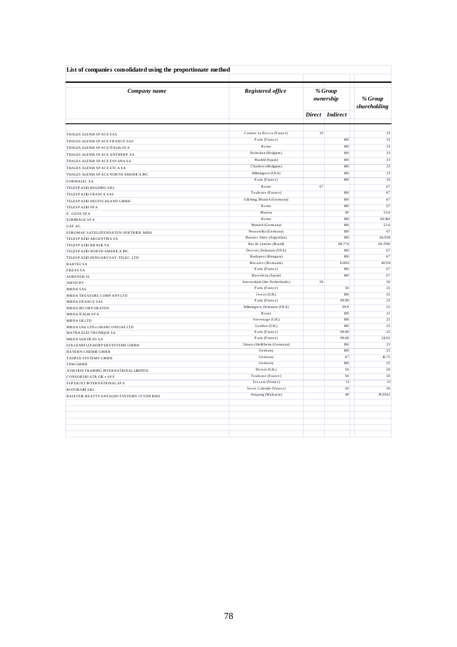| List of companies consolidated using the proportionate method |                             |                      |                         |         |
|---------------------------------------------------------------|-----------------------------|----------------------|-------------------------|---------|
| Company name                                                  | Registered office           | % Group<br>ownership | % Group<br>shareholding |         |
|                                                               |                             |                      | Direct Indirect         |         |
|                                                               | Cannes La Bocca (France)    | 33                   |                         | 33      |
| THALES ALENIA SPACE SAS<br>THALES ALENIA SPACE FRANCE SAS     | Paris (France)              |                      | 100                     | 33      |
| THALES ALENIA SPACE ITALIA SPA                                | Rome                        |                      | 100                     | 33      |
|                                                               | Hoboken (Belgium)           |                      | 100                     | 33      |
| THALES ALENIA SPACE ANTWERP SA                                | Madrid (Spain)              |                      | 100                     | 33      |
| THALES ALENIA SPACE ESPANA SA                                 | Charleroi (Belgium)         |                      | 100                     | 33      |
| THALES ALENIA SPACE ETCA SA                                   | Wilmington (USA)            |                      | 100                     | 33      |
| THALES ALENIA SPACE NORTH AMERICA INC                         |                             |                      |                         |         |
| <b>FORMALEC SA</b>                                            | Paris (France)              |                      | 100                     | 33      |
| TELESP AZIO HOLDING SRL                                       | $R$ o m e                   | 67                   |                         | 67      |
| TELESP AZIO FRANCE SAS                                        | Toulouse (France)           |                      | 100                     | 67      |
| TELESP AZIO DEUTS CHLAND GMBH                                 | Gilching, Munich (Germany)  |                      | 100                     | 67      |
| TELESP AZIO SP A                                              | Rome                        |                      | 100                     | 67      |
| E-GEOS SPA                                                    | Matera                      |                      | 80                      | 53.6    |
| EURIMAGE SPA                                                  | Rome                        |                      | $100\,$                 | 60.166  |
| GAF AG                                                        | Munich (Germany)            |                      | 100                     | 53.6    |
| EUROMAP SATELLITENDATEN-VERTRIEB MBH                          | Neus tre litz (Germany)     |                      | 100                     | 67      |
| TELESP AZIO ARGENTINA SA                                      | Buenos Aires (Argentina)    |                      | 100                     | 66.958  |
| TELESP AZIO BRASIL SA                                         | Rio de Janeiro (Brazil)     |                      | 98.774                  | 66.1786 |
| TELESP AZIO NORTH AMERICA INC                                 | Doover, Delaware (USA)      |                      | 100                     | 67      |
| TELESP AZIO HUNGARY SAT. TELEC. LTD                           | Budapest (Hungary)          |                      | 100                     | 67      |
| <b>RARTELSA</b>                                               | Bucarest (Romania)          |                      | 61.061                  | 40.911  |
| <b>FILEAS SA</b>                                              | Paris (France)              |                      | 100                     | 67      |
| <b>AURENSIS SL</b>                                            | Barcelona (Spain)           |                      | 100                     | 67      |
| <b>AMSHBV</b>                                                 | Amsterdam (the Netherlands) | 50                   |                         | 50      |
| <b>MBDASAS</b>                                                | Paris (France)              |                      | 50                      | 25      |
| MBDA TREASURE COMP ANY LTD                                    | Jersey (U.K.)               |                      | 100                     | 25      |
| <b>MBDA FRANCE SAS</b>                                        | Paris (France)              |                      | 99.99                   | 25      |
| <b>MBDA INCORPORATED</b>                                      | Wilmington, Delaware (USA)  |                      | 99.9                    | 25      |
| <b>MBDA ITALIA SPA</b>                                        | Rome                        |                      | 100                     | 25      |
| <b>MBDA UKLTD</b>                                             | Stevenage (U.K.)            |                      | 100                     | 25      |
| MBDA UAE LTD ex MARCONIUAE LTD                                | London (U.K.)               |                      | 100                     | 25      |
| MATRA ELECTRONIQUE SA                                         | Paris (France)              |                      | 99.99                   | 25      |
| <b>MBDA SERVICES SA</b>                                       | Paris (France)              |                      | 99.68                   | 24.92   |
| LFK-LENKFLUGKORP ERSYSTEME GMBH                               | Unterschleißheim (Germany)  |                      | 100                     | 25      |
| <b>BAYERN-CHEMIE GMBH</b>                                     | Germany                     |                      | 100                     | 25      |
| TAURUS SYSTEMS GMBH                                           | Germany                     |                      | 67                      | 16.75   |
| <b>TDW GMBH</b>                                               | Germany                     |                      | $100\,$                 | 25      |
| AVIATION TRAINING INTERNATIONAL LIMITED                       | Dorset (U.K.)               |                      | 50                      | 50      |
| CONSORZIO ATR GIE e SPE                                       | Toulouse (France)           |                      | 50                      | 50      |
| SUPERJET INTERNATIONAL SPA                                    | Tessera (Venice)            |                      | 51                      | 51      |
| <b>ROTORSIM SRL</b>                                           | Sesto Calende (Varese)      |                      | 50                      | 50      |
| BALFOUR BEATTY ANSALDO SYSTEMS JV SDN BHD                     | Ampang (Malaysia)           |                      | 40                      | 16.0262 |
|                                                               |                             |                      |                         |         |
|                                                               |                             |                      |                         |         |
|                                                               |                             |                      |                         |         |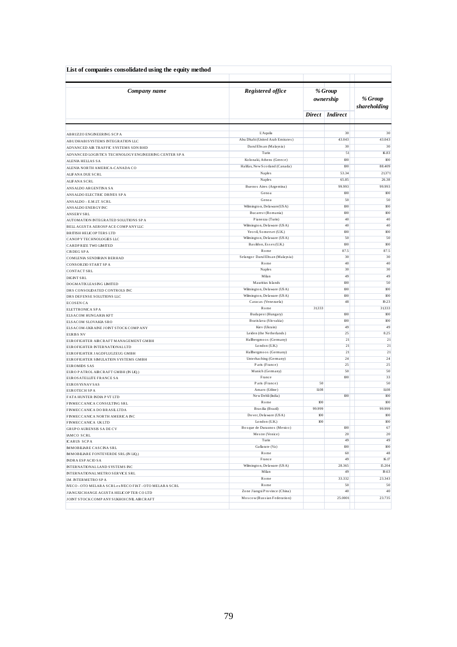| List of companies consolidated using the equity method                                            |                                                      |         |                      |                         |
|---------------------------------------------------------------------------------------------------|------------------------------------------------------|---------|----------------------|-------------------------|
| Company name                                                                                      | Registered office                                    |         | % Group<br>ownership | % Group<br>shareholding |
|                                                                                                   |                                                      |         | Direct Indirect      |                         |
|                                                                                                   | L'Aquila                                             |         | 30                   | 30                      |
| ABRUZZO ENGINEERING SCPA<br>ABUDHABISYSTEMS INTEGRATION LLC                                       | Abu Dhabi (United Arab Emirates)                     |         | 43.043               | 43.043                  |
| ADVANCED AIR TRAFFIC SYSTEMS SDN BHD                                                              | Darul Ehs an (Malaysia)                              |         | 30                   | 30                      |
| ADVANCED LOGISTICS TECHNOLOGY ENGINEERING CENTER SPA                                              | Turin                                                |         | 51                   | 16.83                   |
| <b>ALENIA HELLAS SA</b>                                                                           | Kolonaki, Athens (Greece)                            |         | 100                  | 100                     |
| ALENIA NORTH AMERICA-CANADA CO                                                                    | Halifax, New Scotland (Canada)                       |         | 100                  | 88.409                  |
| ALFANA DUE SCRL                                                                                   | Naples                                               |         | 53.34                | 21.371                  |
| <b>ALIFANA SCRL</b>                                                                               | Naples                                               |         | 65.85                | 26.38                   |
| ANSALDO ARGENTINA SA                                                                              | Buenos Aires (Argentina)                             |         | 99.993               | 99.993                  |
| ANSALDO ELECTRIC DRIVES SP A                                                                      | Genoa                                                |         | 100                  | 100                     |
| ANSALDO - E.M.IT. SCRL                                                                            | Genoa                                                |         | 50                   | 50                      |
| ANSALDO ENERGY INC                                                                                | Wilmington, Delaware (USA)                           |         | 100                  | 100                     |
| <b>ANSERVSRL</b>                                                                                  | Bucarest (Romania)                                   |         | 100                  | 100                     |
| AUTOMATION INTEGRATED SOLUTIONS SPA                                                               | Pianezza (Turin)                                     |         | 40                   | 40                      |
| BELL AGUSTA AEROSP ACE COMPANYLLC                                                                 | Wilmington, Delaware (USA)                           |         | 40                   | 40                      |
| <b>BRITISH HELICOP TERS LTD</b>                                                                   | Yeo vil, Somers et (U.K.)                            |         | 100                  | 100                     |
| CANOP Y TECHNOLOGIES LLC                                                                          | Wilmington, Delaware (USA)<br>Basildon, Essex (U.K.) |         | 50<br>100            | 50<br>100               |
| CARDPRIZE TWO LIMITED                                                                             | Rome                                                 |         | 87.5                 | 87.5                    |
| <b>CISDEGSPA</b><br>COMLENIA SENDIRIAN BERHAD                                                     | Selangor Darul Ehsan (Malaysia)                      |         | 30                   | 30                      |
| <b>CONSORZIO START SPA</b>                                                                        | Rome                                                 |         | 40                   | 40                      |
| <b>CONTACT SRL</b>                                                                                | Naples                                               |         | 30                   | 30                      |
| <b>DIGINT SRL</b>                                                                                 | Milan                                                |         | 49                   | 49                      |
| DOGMATIX LEASING LIMITED                                                                          | Mauritius Islands                                    |         | 100                  | 50                      |
| DRS CONSOLIDATED CONTROLS INC                                                                     | Wilmington, Delaware (USA)                           |         | 100                  | 100                     |
| DRS DEFENSE SOLUTIONS LLC                                                                         | Wilmington, Delaware (USA)                           |         | 100                  | 100                     |
| <b>ECOSEN CA</b>                                                                                  | Caracas (Venezuela)                                  |         | 48                   | 19.23                   |
| ELETTRONICA SPA                                                                                   | Rome                                                 | 31333   |                      | 31333                   |
| ELSACOM HUNGARIA KFT                                                                              | Budapest (Hungary)                                   |         | 100                  | 100                     |
| ELSACOM SLOVAKIA SRO                                                                              | Bratislava (Slovakia)                                |         | 100<br>49            | 100<br>49               |
| ELSACOM-UKRAINE JOINT STOCK COMPANY                                                               | Kiev (Ukrain)<br>Leiden (the Netherlands)            |         | 25                   | 8.25                    |
| <b>EURISS NV</b><br>EUROFIGHTER AIRCRAFT MANAGEMENT GMBH                                          | Hallbergmoos (Germany)                               |         | 21                   | 21                      |
| EUROFIGHTER INTERNATIONAL LTD                                                                     | London (U.K.)                                        |         | 21                   | 21                      |
| EUROFIGHTER JAGDFLUGZEUG GMBH                                                                     | Hallbergmoos (Germany)                               |         | 21                   | 21                      |
| EUROFIGHTER SIMULATION SYSTEMS GMBH                                                               | Unterhaching (Germany)                               |         | 24                   | 24                      |
| <b>EUROMIDS SAS</b>                                                                               | Paris (France)                                       |         | 25                   | 25                      |
| EURO PATROLAIRCRAFT GMBH (IN LIQ.)                                                                | Munich (Germany)                                     |         | 50                   | 50                      |
| EUROS ATELLITE FRANCE SA                                                                          | France                                               |         | 100                  | 33                      |
| <b>EUROS YS NAV SAS</b>                                                                           | Paris (France)                                       | 50      |                      | 50                      |
| EUROTECH SPA                                                                                      | Amaro (Udine)<br>New Dehli (India)                   | 11.08   | 100                  | 11.08<br>100            |
| FATA HUNTER INDIA P VT LTD                                                                        | Rome                                                 | 100     |                      | 100                     |
| FINMECCANICA CONSULTING SRL                                                                       | Brasilia (Brazil)                                    | 99.999  |                      | 99.999                  |
| FINMECCANICA DO BRASILLTDA<br>FINMECCANICA NORTH AMERICA INC                                      | Do ver, De la ware (USA)                             | $100\,$ |                      | 100                     |
| FINMECCANICA UKLTD                                                                                | London (U.K.)                                        | 100     |                      | $100\,$                 |
| <b>GRUP O AURENSIS SADE CV</b>                                                                    | Bosque de Duraznos (Mexico)                          |         | 100                  | 67                      |
| <b>IAMCO SCRL</b>                                                                                 | Mestre (Venice)                                      |         | 20                   | 20                      |
| <b>ICARUS SCPA</b>                                                                                | Turin                                                |         | 49                   | 49                      |
| <b>IMMOBILIARE CASCINA SRL</b>                                                                    | Gallarate (Va)                                       |         | 100                  | 100                     |
| <b>IMMOBILIARE FONTEVERDE SRL (IN LIQ.)</b>                                                       | Rome                                                 |         | 60                   | 48                      |
| <b>INDRA ESPACIO SA</b>                                                                           | France                                               |         | 49                   | 16.17                   |
| INTERNATIONAL LAND SYSTEMS INC                                                                    | Wilmington, Delaware (USA)<br>Milan                  |         | 28.365<br>49         | 15.204<br>19.63         |
| INTERNATIONAL METRO SERVICE SRL                                                                   | Rome                                                 |         | 33.332               | 23.343                  |
| IM. INTERMETRO SPA                                                                                | Rome                                                 |         | 50                   | 50                      |
| IVECO - OTO MELARA SCRL ex IVECO FIAT - OTO MELARA SCRL<br>JIANGXICHANGE AGUSTA HELICOPTER CO LTD | Zone Jiangxi Province (China)                        |         | 40                   | 40                      |
| JOINT STOCK COMP ANY SUKHOICIVIL AIRCRAFT                                                         | Moscow (Russian Federation)                          |         | 25.0001              | 23.735                  |
|                                                                                                   |                                                      |         |                      |                         |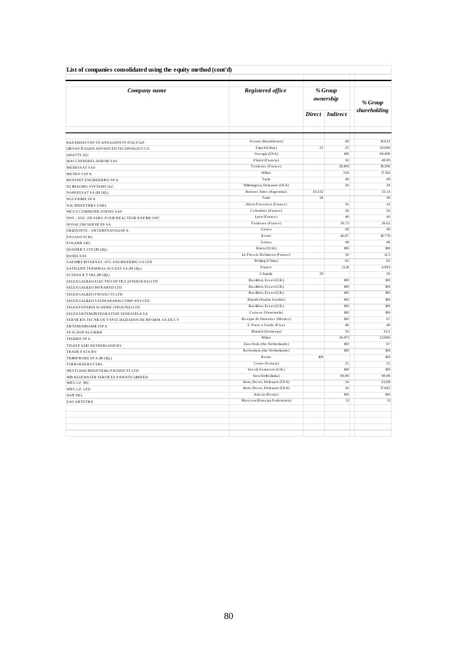| List of companies consolidated using the equity method (cont'd) |                              |                                  |                      |              |
|-----------------------------------------------------------------|------------------------------|----------------------------------|----------------------|--------------|
| Company name                                                    | Registered office            |                                  | % Group<br>ownership | % Group      |
|                                                                 |                              | <b>Indirect</b><br><b>Direct</b> |                      | shareholding |
|                                                                 |                              |                                  |                      |              |
| KAZAKHASTAN TZ-ANSALDOSTS ITALY LLP                             | Astana (Kazakhstan)          |                                  | 49                   | 19.632       |
| LIBYAN ITALIAN ADVANCED TECHNOLOGY CO                           | Tripo li (Libya)             | 25                               | 25                   | 50.000       |
| <b>LMATTS LLC</b>                                               | Georgia (USA)                |                                  | 100                  | 88.409       |
| MACCHIHUREL DUBOIS SAS                                          | Plais ir (Francia)           |                                  | 50                   | 49.99        |
| MEDESSAT SAS                                                    | Toulouse (France)            |                                  | 28.801               | 19.296       |
| METRO 5 SPA                                                     | Milan                        |                                  | 319                  | 17.156       |
| MUSINET ENGINEERING SPA                                         | Turin                        |                                  | 49                   | 49           |
| N2 IMAGING SYSTEMS LLC                                          | Wilmington, Delaware (USA)   |                                  | 30                   | 30           |
| NAHUELS AT SA (IN LIQ.)                                         | Buenos Aires (Argentina)     | 33.332                           |                      | 33.33        |
| <b>NGLPRIME SPA</b>                                             | Turin                        | 30                               |                      | 30           |
| N.H. INDUSTRIES SARL                                            | Aix en Provence (France)     |                                  | 32                   | 32           |
| NICCO COMMUNICATIONS SAS                                        | Colombes (France)            |                                  | 50                   | 50           |
| NNS - SOC. DE SERV. POUR REACTEUR RAP IDE SNC                   | Lyon (France)                |                                  | 40                   | 40           |
| NOVACOM SERVICES SA                                             | Toulouse (France)            |                                  | 39.73                | 26.62        |
| ORIZZONTE - SISTEMINAVALISPA                                    | Genoa                        |                                  | 49                   | 49           |
| PEGASO SCRL                                                     | Rome                         |                                  | 46.87                | 18.778       |
| <b>POLARIS SRL</b>                                              | Genoa                        |                                  | 49                   | 49           |
| QUADRICS LTD (IN LIQ.)                                          | B ris to 1 (U.K.)            |                                  | 100                  | 100          |
| <b>ROXELSAS</b>                                                 | Le Plessis Robinson (France) |                                  | 50                   | 12.5         |
| SAPHIRE INTERNAT. ATC ENGINEERING COLTD                         | Beijing (China)              |                                  | 65                   | 65           |
| SATELLITE TERMINAL ACCESS SA (IN LIQ.)                          | France                       |                                  | 21.19                | 6.993        |
|                                                                 | L'Aquila                     | 20                               |                      | 20           |
| SCUOLA ICT SRL (IN LIQ.)                                        | Basildon, Essex (U.K.)       |                                  | $100\,$              | 100          |
| SELEX GALILEO ELECTRO OP TICS (OVERSEAS) LTD                    | Basildon, Essex (U.K.)       |                                  | 100                  | 100          |
| SELEX GALILEO INFRARED LTD                                      | Basildon, Essex (U.K.)       |                                  | 100                  | 100          |
| SELEX GALILEO PROJECTS LTD                                      | Riyadh (Arabia Saudita)      |                                  | 100                  | 100          |
| SELEX GALLEO SAUDIARABIA COMPANYLTD                             |                              |                                  |                      |              |
| SELEXPENSION SCHEME (TRUSTEE) LTD                               | Basildon, Essex (U.K.)       |                                  | 100                  | 100          |
| SELEX SISTEMINTEGRATIDE VENEZUELA SA                            | Caracas (Venezuela)          |                                  | $100\,$              | 100          |
| SERVICIOS TECNICOS Y SPECIALIZADOS DE INFORM. SA DE CV          | Bosque de Duraznos (Mexico)  |                                  | 100                  | 67           |
| <b>SISTEMIDINAMICISPA</b>                                       | S. Piero a Grado (Pisa)      |                                  | 40                   | 40           |
| SP ACEOP ALGMBH                                                 | Munich (Germany)             |                                  | 50                   | 33.5         |
| TELBIOS SPA                                                     | Milan                        |                                  | 34.471               | 23.096       |
| TELESP AZIO NETHERLAND BV                                       | Enschede (the Netherlands)   |                                  | 100                  | 67           |
| TRADE FATA BV                                                   | Rotterdam (the Netherlands)  |                                  | $100\,$              | 100          |
| TRIMPROBE SPA (IN LIQ.)                                         | Rome                         | 100                              |                      | 100          |
| TURBOENERGYSRL                                                  | Cento (Ferrara)              |                                  | 25                   | 25           |
| WESTLAND INDUSTRIALP RODUCTS LTD                                | Yeo vil, Somers et (U.K.)    |                                  | 100                  | 100          |
| WIN BLUEWATER SERVICES PRIVATE LIMITED                          | New Delhi (India)            |                                  | 99.99                | 99.99        |
| WITG L.P. INC                                                   | Kent, Dover, Delaware (USA)  |                                  | 24                   | 21.218       |
| WITG L.P.LTD                                                    | Kent, Dover, Delaware (USA)  |                                  | 20                   | 17.682       |
| XAIT SRL                                                        | Ariccia (Rome)               |                                  | 100                  | 100          |
| ZAO ARTETRA                                                     | Moscow (Russian Federation)  |                                  | 51                   | 51           |
|                                                                 |                              |                                  |                      |              |
|                                                                 |                              |                                  |                      |              |
|                                                                 |                              |                                  |                      |              |
|                                                                 |                              |                                  |                      |              |
|                                                                 |                              |                                  |                      |              |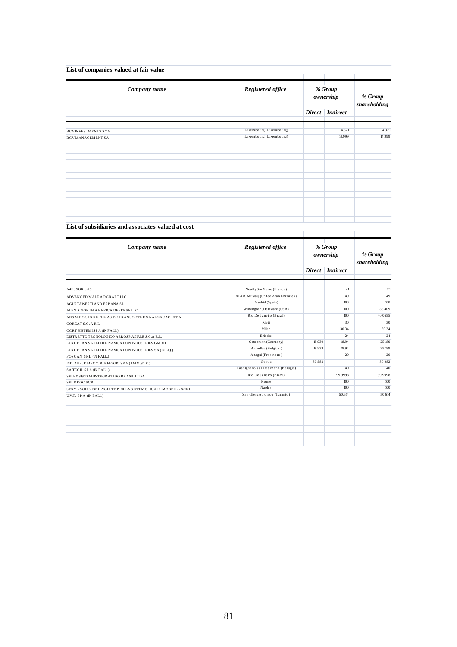| Company name                                                                                                                                                                                                                                                                     | Registered office                                     |                      | % Group<br>ownership | % Group<br>shareholding     |  |
|----------------------------------------------------------------------------------------------------------------------------------------------------------------------------------------------------------------------------------------------------------------------------------|-------------------------------------------------------|----------------------|----------------------|-----------------------------|--|
|                                                                                                                                                                                                                                                                                  |                                                       | <b>Direct</b>        | <b>Indirect</b>      |                             |  |
|                                                                                                                                                                                                                                                                                  | Luxembourg (Luxembourg)                               |                      | 14.321               | 14.321                      |  |
| <b>BCVINVESTMENTS SCA</b><br><b>BCVMANAGEMENT SA</b>                                                                                                                                                                                                                             | Luxembourg (Luxembourg)                               |                      | 14.999               | 14.999                      |  |
|                                                                                                                                                                                                                                                                                  |                                                       |                      |                      |                             |  |
|                                                                                                                                                                                                                                                                                  |                                                       |                      |                      |                             |  |
|                                                                                                                                                                                                                                                                                  |                                                       |                      |                      |                             |  |
| List of subsidiaries and associates valued at cost                                                                                                                                                                                                                               |                                                       |                      |                      |                             |  |
| Company name                                                                                                                                                                                                                                                                     | <b>Registered office</b>                              | % Group<br>ownership |                      |                             |  |
|                                                                                                                                                                                                                                                                                  |                                                       |                      |                      | % Group                     |  |
|                                                                                                                                                                                                                                                                                  |                                                       |                      | Direct Indirect      | shareholding                |  |
|                                                                                                                                                                                                                                                                                  |                                                       |                      |                      |                             |  |
|                                                                                                                                                                                                                                                                                  | Neuilly Sur Seine (France)                            |                      | 21                   | 21                          |  |
|                                                                                                                                                                                                                                                                                  | Al Ain, Muwaiji (United Arab Emirates)                |                      | 49                   | 49                          |  |
|                                                                                                                                                                                                                                                                                  | Madrid (Spain)                                        |                      | 100                  | 100                         |  |
|                                                                                                                                                                                                                                                                                  | Wilmington, Delaware (USA)<br>Rio De Janeiro (Brazil) |                      | 100<br>100           | 88.409<br>40.0655           |  |
|                                                                                                                                                                                                                                                                                  | Rieti                                                 |                      | 30                   |                             |  |
|                                                                                                                                                                                                                                                                                  | Milan                                                 |                      | 30.34                |                             |  |
|                                                                                                                                                                                                                                                                                  | B rindis i                                            |                      | 24                   |                             |  |
| <b>A4ESSOR SAS</b><br>ADVANCED MALE AIRCRAFT LLC<br>AGUSTAWESTLAND ESP ANA SL<br>ALENIA NORTH AMERICA DEFENSE LLC<br>ANSALDO STS SISTEMAS DE TRANSORTE E SINALIZACAO LTDA<br>COREAT S.C. A R.L.<br>CCRT SISTEMISP A (IN FALL.)<br>DISTRETTO TECNOLOGICO AEROSP AZIALE S.C.A R.L. | Ottobrunn (Germany)                                   | 18.939               | 18.94                | 30<br>30.34<br>24<br>25.189 |  |
| EUROPEAN SATELLITE NAVIGATION INDUSTRIES GMBH                                                                                                                                                                                                                                    | Bruxelles (Belgium)                                   | 18.939               | 18.94                | 25.189                      |  |
| EUROPEAN SATELLITE NAVIGATION INDUSTRIES SA (IN LIQ.)<br>FOSCAN SRL (IN FALL.)                                                                                                                                                                                                   | Anagni (Frosinone)                                    |                      | 20                   | $20\,$                      |  |
| IND. AER. E MECC. R. PIAGGIO SPA (AMM.STR.)                                                                                                                                                                                                                                      | Genoa                                                 | 30.982               |                      | 30.982                      |  |
|                                                                                                                                                                                                                                                                                  | Passignano sul Trasimeno (Perugia)                    |                      | 40                   |                             |  |
| SAITECH SPA (IN FALL.)<br>SELEX SISTEMINTEGRATIDO BRASIL LTDA                                                                                                                                                                                                                    | Rio De Janeiro (Brazil)                               |                      | 99.9998              | 40<br>99.9998               |  |
| SELPROC SCRL                                                                                                                                                                                                                                                                     | Rome                                                  |                      | 100                  | 100                         |  |
| SESM - SOLUZIONIEVOLUTE P ER LA SISTEMISTICA E IMODELLI - SCRL                                                                                                                                                                                                                   | Naples                                                |                      | 100                  | 100                         |  |
| U.V.T. SPA (IN FALL.)                                                                                                                                                                                                                                                            | San Giorgio Jonico (Taranto)                          |                      | 50.614               | 50.614                      |  |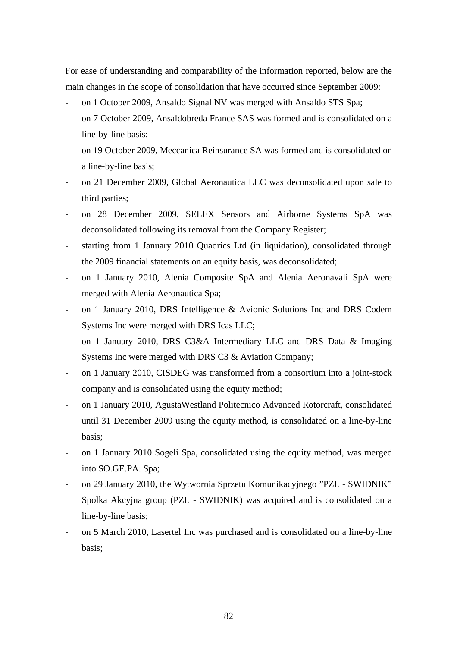For ease of understanding and comparability of the information reported, below are the main changes in the scope of consolidation that have occurred since September 2009:

- on 1 October 2009, Ansaldo Signal NV was merged with Ansaldo STS Spa;
- on 7 October 2009, Ansaldobreda France SAS was formed and is consolidated on a line-by-line basis;
- on 19 October 2009, Meccanica Reinsurance SA was formed and is consolidated on a line-by-line basis;
- on 21 December 2009, Global Aeronautica LLC was deconsolidated upon sale to third parties;
- on 28 December 2009, SELEX Sensors and Airborne Systems SpA was deconsolidated following its removal from the Company Register;
- starting from 1 January 2010 Quadrics Ltd (in liquidation), consolidated through the 2009 financial statements on an equity basis, was deconsolidated;
- on 1 January 2010, Alenia Composite SpA and Alenia Aeronavali SpA were merged with Alenia Aeronautica Spa;
- on 1 January 2010, DRS Intelligence & Avionic Solutions Inc and DRS Codem Systems Inc were merged with DRS Icas LLC;
- on 1 January 2010, DRS C3&A Intermediary LLC and DRS Data & Imaging Systems Inc were merged with DRS C3 & Aviation Company;
- on 1 January 2010, CISDEG was transformed from a consortium into a joint-stock company and is consolidated using the equity method;
- on 1 January 2010, AgustaWestland Politecnico Advanced Rotorcraft, consolidated until 31 December 2009 using the equity method, is consolidated on a line-by-line basis;
- on 1 January 2010 Sogeli Spa, consolidated using the equity method, was merged into SO.GE.PA. Spa;
- on 29 January 2010, the Wytwornia Sprzetu Komunikacyjnego "PZL SWIDNIK" Spolka Akcyjna group (PZL - SWIDNIK) was acquired and is consolidated on a line-by-line basis;
- on 5 March 2010, Lasertel Inc was purchased and is consolidated on a line-by-line basis;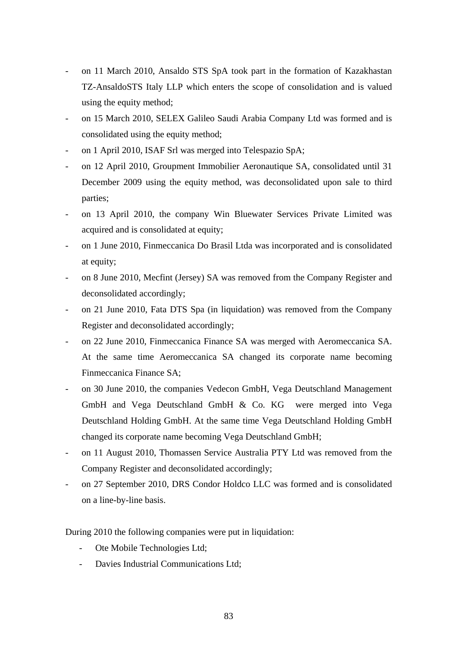- on 11 March 2010, Ansaldo STS SpA took part in the formation of Kazakhastan TZ-AnsaldoSTS Italy LLP which enters the scope of consolidation and is valued using the equity method;
- on 15 March 2010, SELEX Galileo Saudi Arabia Company Ltd was formed and is consolidated using the equity method;
- on 1 April 2010, ISAF Srl was merged into Telespazio SpA;
- on 12 April 2010, Groupment Immobilier Aeronautique SA, consolidated until 31 December 2009 using the equity method, was deconsolidated upon sale to third parties;
- on 13 April 2010, the company Win Bluewater Services Private Limited was acquired and is consolidated at equity;
- on 1 June 2010, Finmeccanica Do Brasil Ltda was incorporated and is consolidated at equity;
- on 8 June 2010, Mecfint (Jersey) SA was removed from the Company Register and deconsolidated accordingly;
- on 21 June 2010, Fata DTS Spa (in liquidation) was removed from the Company Register and deconsolidated accordingly;
- on 22 June 2010, Finmeccanica Finance SA was merged with Aeromeccanica SA. At the same time Aeromeccanica SA changed its corporate name becoming Finmeccanica Finance SA;
- on 30 June 2010, the companies Vedecon GmbH, Vega Deutschland Management GmbH and Vega Deutschland GmbH & Co. KG were merged into Vega Deutschland Holding GmbH. At the same time Vega Deutschland Holding GmbH changed its corporate name becoming Vega Deutschland GmbH;
- on 11 August 2010, Thomassen Service Australia PTY Ltd was removed from the Company Register and deconsolidated accordingly;
- on 27 September 2010, DRS Condor Holdco LLC was formed and is consolidated on a line-by-line basis.

During 2010 the following companies were put in liquidation:

- Ote Mobile Technologies Ltd;
- Davies Industrial Communications Ltd;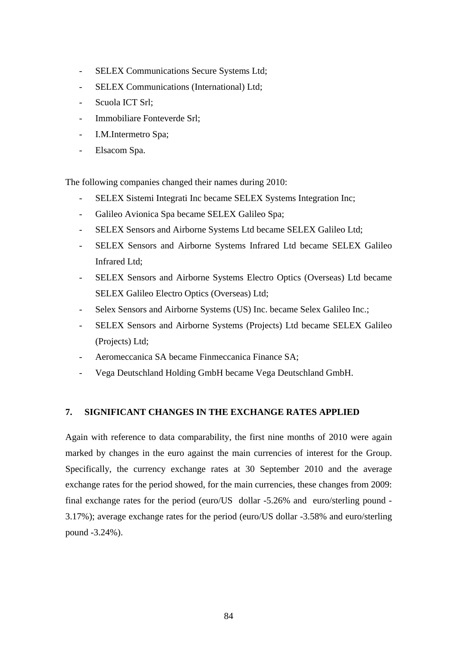- SELEX Communications Secure Systems Ltd;
- SELEX Communications (International) Ltd;
- Scuola ICT Srl:
- Immobiliare Fonteverde Srl;
- I.M.Intermetro Spa;
- Elsacom Spa.

The following companies changed their names during 2010:

- SELEX Sistemi Integrati Inc became SELEX Systems Integration Inc;
- Galileo Avionica Spa became SELEX Galileo Spa;
- SELEX Sensors and Airborne Systems Ltd became SELEX Galileo Ltd;
- SELEX Sensors and Airborne Systems Infrared Ltd became SELEX Galileo Infrared Ltd;
- SELEX Sensors and Airborne Systems Electro Optics (Overseas) Ltd became SELEX Galileo Electro Optics (Overseas) Ltd;
- Selex Sensors and Airborne Systems (US) Inc. became Selex Galileo Inc.;
- SELEX Sensors and Airborne Systems (Projects) Ltd became SELEX Galileo (Projects) Ltd;
- Aeromeccanica SA became Finmeccanica Finance SA;
- Vega Deutschland Holding GmbH became Vega Deutschland GmbH.

#### **7. SIGNIFICANT CHANGES IN THE EXCHANGE RATES APPLIED**

Again with reference to data comparability, the first nine months of 2010 were again marked by changes in the euro against the main currencies of interest for the Group. Specifically, the currency exchange rates at 30 September 2010 and the average exchange rates for the period showed, for the main currencies, these changes from 2009: final exchange rates for the period (euro/US dollar -5.26% and euro/sterling pound - 3.17%); average exchange rates for the period (euro/US dollar -3.58% and euro/sterling pound -3.24%).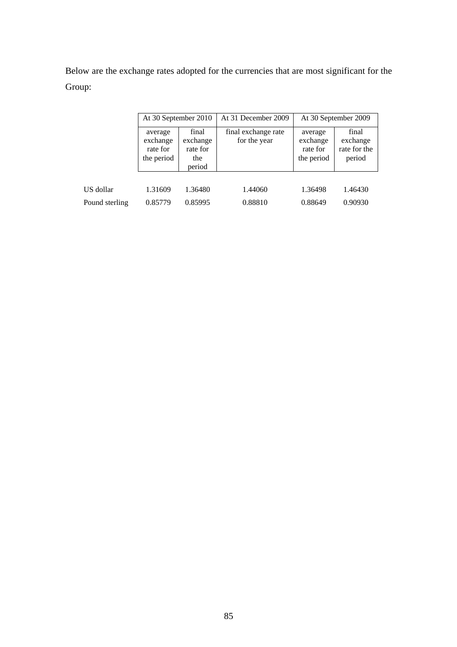Below are the exchange rates adopted for the currencies that are most significant for the Group:

|                | At 30 September 2010                          |                                                | At 31 December 2009                 | At 30 September 2009                          |                                             |  |
|----------------|-----------------------------------------------|------------------------------------------------|-------------------------------------|-----------------------------------------------|---------------------------------------------|--|
|                | average<br>exchange<br>rate for<br>the period | final<br>exchange<br>rate for<br>the<br>period | final exchange rate<br>for the year | average<br>exchange<br>rate for<br>the period | final<br>exchange<br>rate for the<br>period |  |
|                |                                               |                                                |                                     |                                               |                                             |  |
| US dollar      | 1.31609                                       | 1.36480                                        | 1.44060                             | 1.36498                                       | 1.46430                                     |  |
| Pound sterling | 0.85779                                       | 0.85995                                        | 0.88810                             | 0.88649                                       | 0.90930                                     |  |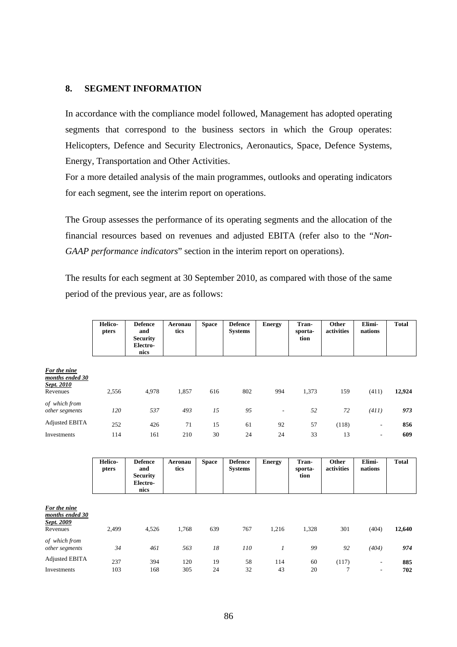#### **8. SEGMENT INFORMATION**

In accordance with the compliance model followed, Management has adopted operating segments that correspond to the business sectors in which the Group operates: Helicopters, Defence and Security Electronics, Aeronautics, Space, Defence Systems, Energy, Transportation and Other Activities.

For a more detailed analysis of the main programmes, outlooks and operating indicators for each segment, see the interim report on operations.

The Group assesses the performance of its operating segments and the allocation of the financial resources based on revenues and adjusted EBITA (refer also to the "*Non-GAAP performance indicators*" section in the interim report on operations).

The results for each segment at 30 September 2010, as compared with those of the same period of the previous year, are as follows:

|                                                           | Helico-<br>pters | <b>Defence</b><br>and<br><b>Security</b><br>Electro-<br>nics | Aeronau<br>tics | <b>Space</b> | <b>Defence</b><br><b>Systems</b> | <b>Energy</b>            | Tran-<br>sporta-<br>tion | Other<br>activities | Elimi-<br>nations        | <b>Total</b> |
|-----------------------------------------------------------|------------------|--------------------------------------------------------------|-----------------|--------------|----------------------------------|--------------------------|--------------------------|---------------------|--------------------------|--------------|
| For the nine<br>months ended 30<br>Sept. 2010<br>Revenues | 2,556            | 4,978                                                        | 1,857           | 616          | 802                              | 994                      | 1,373                    | 159                 | (411)                    | 12,924       |
| of which from<br>other segments                           | 120              | 537                                                          | 493             | 15           | 95                               | $\overline{\phantom{a}}$ | 52                       | 72                  | (411)                    | 973          |
| <b>Adjusted EBITA</b>                                     | 252              | 426                                                          | 71              | 15           | 61                               | 92                       | 57                       | (118)               | $\overline{\phantom{a}}$ | 856          |
| Investments                                               | 114              | 161                                                          | 210             | 30           | 24                               | 24                       | 33                       | 13                  | $\overline{\phantom{a}}$ | 609          |

|                                                           | Helico-<br>pters | <b>Defence</b><br>and<br><b>Security</b><br>Electro-<br>nics | Aeronau<br>tics | <b>Space</b> | <b>Defence</b><br><b>Systems</b> | <b>Energy</b>  | Tran-<br>sporta-<br>tion | Other<br>activities | Elimi-<br>nations                                    | <b>Total</b> |
|-----------------------------------------------------------|------------------|--------------------------------------------------------------|-----------------|--------------|----------------------------------|----------------|--------------------------|---------------------|------------------------------------------------------|--------------|
| For the nine<br>months ended 30<br>Sept. 2009<br>Revenues | 2,499            | 4,526                                                        | 1,768           | 639          | 767                              | 1,216          | 1,328                    | 301                 | (404)                                                | 12,640       |
| of which from<br>other segments                           | 34               | 461                                                          | 563             | 18           | 110                              | $\mathfrak{1}$ | 99                       | 92                  | (404)                                                | 974          |
| <b>Adjusted EBITA</b><br>Investments                      | 237<br>103       | 394<br>168                                                   | 120<br>305      | 19<br>24     | 58<br>32                         | 114<br>43      | 60<br>20                 | (117)<br>7          | $\overline{\phantom{a}}$<br>$\overline{\phantom{a}}$ | 885<br>702   |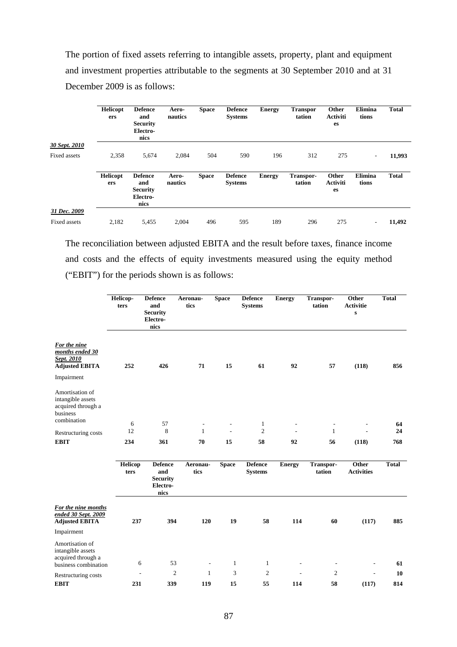The portion of fixed assets referring to intangible assets, property, plant and equipment and investment properties attributable to the segments at 30 September 2010 and at 31 December 2009 is as follows:

|               | <b>Helicopt</b><br>ers | <b>Defence</b><br>and<br><b>Security</b><br>Electro-<br>nics | Aero-<br>nautics | <b>Space</b> | <b>Defence</b><br><b>Systems</b> | <b>Energy</b> | <b>Transpor</b><br>tation | Other<br><b>Activiti</b><br>es | Elimina<br>tions         | <b>Total</b> |
|---------------|------------------------|--------------------------------------------------------------|------------------|--------------|----------------------------------|---------------|---------------------------|--------------------------------|--------------------------|--------------|
| 30 Sept. 2010 |                        |                                                              |                  |              |                                  |               |                           |                                |                          |              |
| Fixed assets  | 2,358                  | 5,674                                                        | 2,084            | 504          | 590                              | 196           | 312                       | 275                            | $\overline{\phantom{a}}$ | 11,993       |
|               | <b>Helicopt</b><br>ers | <b>Defence</b><br>and<br><b>Security</b><br>Electro-<br>nics | Aero-<br>nautics | <b>Space</b> | <b>Defence</b><br><b>Systems</b> | <b>Energy</b> | Transpor-<br>tation       | Other<br><b>Activiti</b><br>es | Elimina<br>tions         | <b>Total</b> |
| 31 Dec. 2009  |                        |                                                              |                  |              |                                  |               |                           |                                |                          |              |
| Fixed assets  | 2,182                  | 5,455                                                        | 2.004            | 496          | 595                              | 189           | 296                       | 275                            | $\overline{\phantom{0}}$ | 11,492       |

The reconciliation between adjusted EBITA and the result before taxes, finance income and costs and the effects of equity investments measured using the equity method ("EBIT") for the periods shown is as follows:

|                                                                                                     | Helicop-<br>ters | <b>Defence</b><br>and<br><b>Security</b><br>Electro-<br>nics | Aeronau-<br>tics                         | <b>Space</b> | <b>Defence</b><br><b>Systems</b> | <b>Energy</b> | Transpor-<br>tation | Other<br><b>Activitie</b><br>$\mathbf{s}$ | <b>Total</b> |
|-----------------------------------------------------------------------------------------------------|------------------|--------------------------------------------------------------|------------------------------------------|--------------|----------------------------------|---------------|---------------------|-------------------------------------------|--------------|
| For the nine<br>months ended 30<br>Sept. 2010<br><b>Adjusted EBITA</b>                              | 252              | 426                                                          | 71                                       | 15           | 61                               | 92            | 57                  | (118)                                     | 856          |
| Impairment<br>Amortisation of<br>intangible assets<br>acquired through a<br>business<br>combination |                  |                                                              |                                          |              |                                  |               |                     |                                           |              |
| Restructuring costs                                                                                 | 6<br>12          | 57<br>8                                                      | $\overline{\phantom{a}}$<br>$\mathbf{1}$ | L.           | 1<br>$\mathfrak{2}$              |               | ÷<br>$\mathbf{1}$   |                                           | 64<br>24     |
| <b>EBIT</b>                                                                                         | 234              | 361                                                          | 70                                       | 15           | 58                               | 92            | 56                  | (118)                                     | 768          |
|                                                                                                     | Helicop<br>ters  | <b>Defence</b><br>and<br><b>Security</b><br>Electro-<br>nics | Aeronau-<br>tics                         | <b>Space</b> | <b>Defence</b><br><b>Systems</b> | <b>Energy</b> | Transpor-<br>tation | Other<br><b>Activities</b>                | <b>Total</b> |
| For the nine months<br>ended 30 Sept. 2009<br><b>Adjusted EBITA</b>                                 | 237              | 394                                                          | 120                                      | 19           | 58                               | 114           | 60                  | (117)                                     | 885          |
| Impairment                                                                                          |                  |                                                              |                                          |              |                                  |               |                     |                                           |              |
| Amortisation of<br>intangible assets<br>acquired through a<br>business combination                  | 6                | 53                                                           | $\overline{\phantom{a}}$                 | $\mathbf{1}$ | $\mathbf{1}$                     |               | ٠                   | ٠                                         | 61           |
| Restructuring costs                                                                                 |                  | $\mathfrak{2}$                                               | 1                                        | 3            | $\mathfrak{2}$                   |               | 2                   |                                           | 10           |
| <b>EBIT</b>                                                                                         | 231              | 339                                                          | 119                                      | 15           | 55                               | 114           | 58                  | (117)                                     | 814          |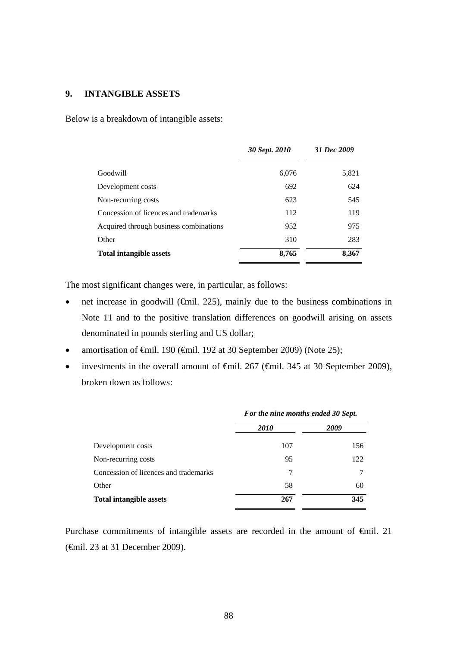### **9. INTANGIBLE ASSETS**

Below is a breakdown of intangible assets:

|                                        | 30 Sept. 2010 | 31 Dec 2009 |
|----------------------------------------|---------------|-------------|
| Goodwill                               | 6,076         | 5,821       |
| Development costs                      | 692           | 624         |
| Non-recurring costs                    | 623           | 545         |
| Concession of licences and trademarks  | 112           | 119         |
| Acquired through business combinations | 952           | 975         |
| Other                                  | 310           | 283         |
| <b>Total intangible assets</b>         | 8,765         | 8,367       |

The most significant changes were, in particular, as follows:

- net increase in goodwill (€mil. 225), mainly due to the business combinations in Note 11 and to the positive translation differences on goodwill arising on assets denominated in pounds sterling and US dollar;
- amortisation of €mil. 190 (€mil. 192 at 30 September 2009) (Note 25);
- investments in the overall amount of  $\theta$ mil. 267 ( $\theta$ mil. 345 at 30 September 2009), broken down as follows:

|                                       | For the nine months ended 30 Sept. |      |  |
|---------------------------------------|------------------------------------|------|--|
|                                       | <i>2010</i>                        | 2009 |  |
| Development costs                     | 107                                | 156  |  |
| Non-recurring costs                   | 95                                 | 122  |  |
| Concession of licences and trademarks | 7                                  |      |  |
| Other                                 | 58                                 | 60   |  |
| <b>Total intangible assets</b>        | 267                                | 345  |  |

Purchase commitments of intangible assets are recorded in the amount of €mil. 21 (€mil. 23 at 31 December 2009).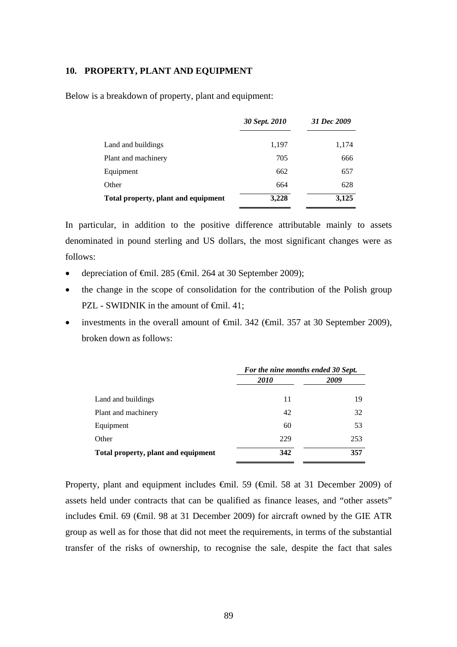#### **10. PROPERTY, PLANT AND EQUIPMENT**

Below is a breakdown of property, plant and equipment:

|                                     | 30 Sept. 2010 | 31 Dec 2009 |
|-------------------------------------|---------------|-------------|
| Land and buildings                  | 1,197         | 1,174       |
| Plant and machinery                 | 705           | 666         |
| Equipment                           | 662           | 657         |
| Other                               | 664           | 628         |
| Total property, plant and equipment | 3,228         | 3,125       |

In particular, in addition to the positive difference attributable mainly to assets denominated in pound sterling and US dollars, the most significant changes were as follows:

- depreciation of €mil. 285 (€mil. 264 at 30 September 2009);
- the change in the scope of consolidation for the contribution of the Polish group PZL - SWIDNIK in the amount of <del>€mil</del>. 41;
- investments in the overall amount of  $\epsilon$ mil. 342 ( $\epsilon$ mil. 357 at 30 September 2009), broken down as follows:

|                                     | For the nine months ended 30 Sept. |      |  |
|-------------------------------------|------------------------------------|------|--|
|                                     | <i>2010</i>                        | 2009 |  |
| Land and buildings                  | 11                                 | 19   |  |
| Plant and machinery                 | 42                                 | 32   |  |
| Equipment                           | 60                                 | 53   |  |
| Other                               | 229                                | 253  |  |
| Total property, plant and equipment | 342                                | 357  |  |

Property, plant and equipment includes €mil. 59 (€mil. 58 at 31 December 2009) of assets held under contracts that can be qualified as finance leases, and "other assets" includes €mil. 69 (€mil. 98 at 31 December 2009) for aircraft owned by the GIE ATR group as well as for those that did not meet the requirements, in terms of the substantial transfer of the risks of ownership, to recognise the sale, despite the fact that sales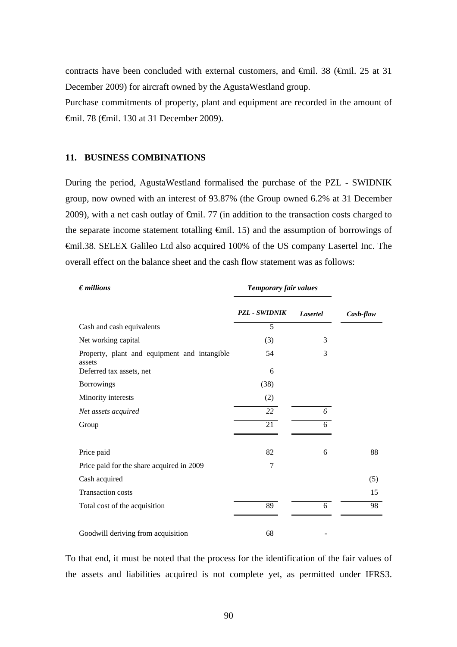contracts have been concluded with external customers, and €mil. 38 (€mil. 25 at 31 December 2009) for aircraft owned by the AgustaWestland group.

Purchase commitments of property, plant and equipment are recorded in the amount of €mil. 78 (€mil. 130 at 31 December 2009).

#### **11. BUSINESS COMBINATIONS**

During the period, AgustaWestland formalised the purchase of the PZL - SWIDNIK group, now owned with an interest of 93.87% (the Group owned 6.2% at 31 December 2009), with a net cash outlay of  $\epsilon$ mil. 77 (in addition to the transaction costs charged to the separate income statement totalling €mil. 15) and the assumption of borrowings of €mil.38. SELEX Galileo Ltd also acquired 100% of the US company Lasertel Inc. The overall effect on the balance sheet and the cash flow statement was as follows:

| $\epsilon$ <i>millions</i>                             | Temporary fair values |                 |           |
|--------------------------------------------------------|-----------------------|-----------------|-----------|
|                                                        | <b>PZL - SWIDNIK</b>  | <b>Lasertel</b> | Cash-flow |
| Cash and cash equivalents                              | 5                     |                 |           |
| Net working capital                                    | (3)                   | 3               |           |
| Property, plant and equipment and intangible<br>assets | 54                    | 3               |           |
| Deferred tax assets, net                               | 6                     |                 |           |
| <b>Borrowings</b>                                      | (38)                  |                 |           |
| Minority interests                                     | (2)                   |                 |           |
| Net assets acquired                                    | 22                    | 6               |           |
| Group                                                  | 21                    | 6               |           |
| Price paid                                             | 82                    | 6               | 88        |
| Price paid for the share acquired in 2009              | 7                     |                 |           |
| Cash acquired                                          |                       |                 | (5)       |
| <b>Transaction costs</b>                               |                       |                 | 15        |
| Total cost of the acquisition                          | 89                    | 6               | 98        |
| Goodwill deriving from acquisition                     | 68                    |                 |           |

To that end, it must be noted that the process for the identification of the fair values of the assets and liabilities acquired is not complete yet, as permitted under IFRS3.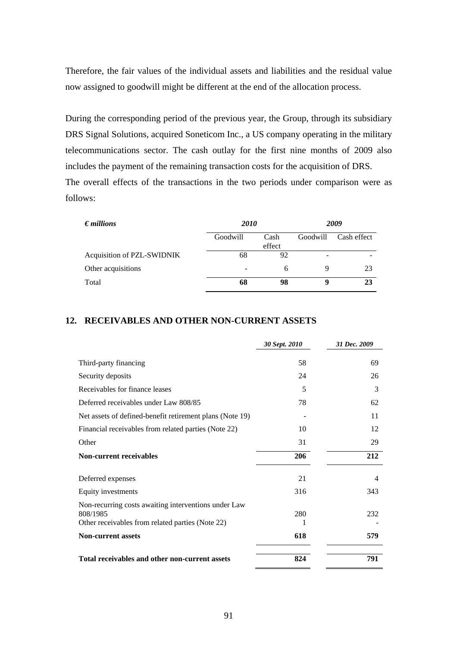Therefore, the fair values of the individual assets and liabilities and the residual value now assigned to goodwill might be different at the end of the allocation process.

During the corresponding period of the previous year, the Group, through its subsidiary DRS Signal Solutions, acquired Soneticom Inc., a US company operating in the military telecommunications sector. The cash outlay for the first nine months of 2009 also includes the payment of the remaining transaction costs for the acquisition of DRS. The overall effects of the transactions in the two periods under comparison were as follows:

| $\epsilon$ <i>millions</i> | 2010                     |                | 2009     |             |
|----------------------------|--------------------------|----------------|----------|-------------|
|                            | Goodwill                 | Cash<br>effect | Goodwill | Cash effect |
| Acquisition of PZL-SWIDNIK | 68                       | 92             |          |             |
| Other acquisitions         | $\overline{\phantom{0}}$ | 6              | 9        | 23          |
| Total                      | 68                       | 98             | 9        | 23          |

### **12. RECEIVABLES AND OTHER NON-CURRENT ASSETS**

|                                                                                                                      | 30 Sept. 2010 | 31 Dec. 2009 |
|----------------------------------------------------------------------------------------------------------------------|---------------|--------------|
| Third-party financing                                                                                                | 58            | 69           |
| Security deposits                                                                                                    | 24            | 26           |
| Receivables for finance leases                                                                                       | 5             | 3            |
| Deferred receivables under Law 808/85                                                                                | 78            | 62           |
| Net assets of defined-benefit retirement plans (Note 19)                                                             |               | 11           |
| Financial receivables from related parties (Note 22)                                                                 | 10            | 12           |
| Other                                                                                                                | 31            | 29           |
| <b>Non-current receivables</b>                                                                                       | 206           | 212          |
| Deferred expenses                                                                                                    | 21            | 4            |
| Equity investments                                                                                                   | 316           | 343          |
| Non-recurring costs awaiting interventions under Law<br>808/1985<br>Other receivables from related parties (Note 22) | 280<br>1      | 232          |
| <b>Non-current assets</b>                                                                                            | 618           | 579          |
| Total receivables and other non-current assets                                                                       | 824           | 791          |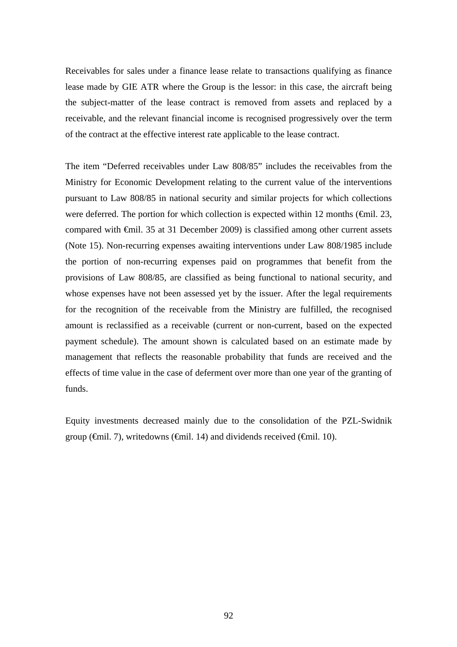Receivables for sales under a finance lease relate to transactions qualifying as finance lease made by GIE ATR where the Group is the lessor: in this case, the aircraft being the subject-matter of the lease contract is removed from assets and replaced by a receivable, and the relevant financial income is recognised progressively over the term of the contract at the effective interest rate applicable to the lease contract.

The item "Deferred receivables under Law 808/85" includes the receivables from the Ministry for Economic Development relating to the current value of the interventions pursuant to Law 808/85 in national security and similar projects for which collections were deferred. The portion for which collection is expected within 12 months ( $\epsilon$ mil. 23, compared with €mil. 35 at 31 December 2009) is classified among other current assets (Note 15). Non-recurring expenses awaiting interventions under Law 808/1985 include the portion of non-recurring expenses paid on programmes that benefit from the provisions of Law 808/85, are classified as being functional to national security, and whose expenses have not been assessed yet by the issuer. After the legal requirements for the recognition of the receivable from the Ministry are fulfilled, the recognised amount is reclassified as a receivable (current or non-current, based on the expected payment schedule). The amount shown is calculated based on an estimate made by management that reflects the reasonable probability that funds are received and the effects of time value in the case of deferment over more than one year of the granting of funds.

Equity investments decreased mainly due to the consolidation of the PZL-Swidnik group ( $\oplus$ mil. 7), writedowns ( $\oplus$ mil. 14) and dividends received ( $\oplus$ mil. 10).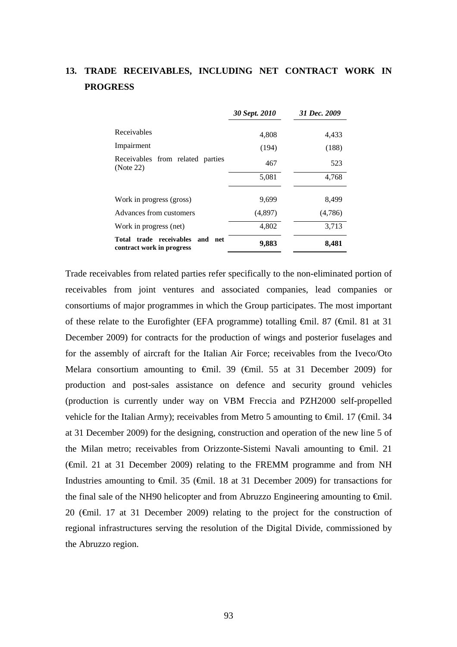# **13. TRADE RECEIVABLES, INCLUDING NET CONTRACT WORK IN PROGRESS**

|                                                                 | 30 Sept. 2010 | 31 Dec. 2009 |
|-----------------------------------------------------------------|---------------|--------------|
| Receivables                                                     | 4,808         | 4,433        |
| Impairment                                                      | (194)         | (188)        |
| Receivables from related parties<br>(Note 22)                   | 467           | 523          |
|                                                                 | 5,081         | 4,768        |
| Work in progress (gross)                                        | 9.699         | 8,499        |
| Advances from customers                                         | (4,897)       | (4,786)      |
| Work in progress (net)                                          | 4,802         | 3,713        |
| Total trade receivables<br>and net<br>contract work in progress | 9,883         | 8,481        |

Trade receivables from related parties refer specifically to the non-eliminated portion of receivables from joint ventures and associated companies, lead companies or consortiums of major programmes in which the Group participates. The most important of these relate to the Eurofighter (EFA programme) totalling €mil. 87 (€mil. 81 at 31 December 2009) for contracts for the production of wings and posterior fuselages and for the assembly of aircraft for the Italian Air Force; receivables from the Iveco/Oto Melara consortium amounting to  $\theta$ mil. 39 ( $\theta$ mil. 55 at 31 December 2009) for production and post-sales assistance on defence and security ground vehicles (production is currently under way on VBM Freccia and PZH2000 self-propelled vehicle for the Italian Army); receivables from Metro 5 amounting to  $\epsilon$ mil. 17 ( $\epsilon$ mil. 34 at 31 December 2009) for the designing, construction and operation of the new line 5 of the Milan metro; receivables from Orizzonte-Sistemi Navali amounting to €mil. 21 (€mil. 21 at 31 December 2009) relating to the FREMM programme and from NH Industries amounting to €mil. 35 (€mil. 18 at 31 December 2009) for transactions for the final sale of the NH90 helicopter and from Abruzzo Engineering amounting to  $\epsilon$ mil. 20 (€mil. 17 at 31 December 2009) relating to the project for the construction of regional infrastructures serving the resolution of the Digital Divide, commissioned by the Abruzzo region.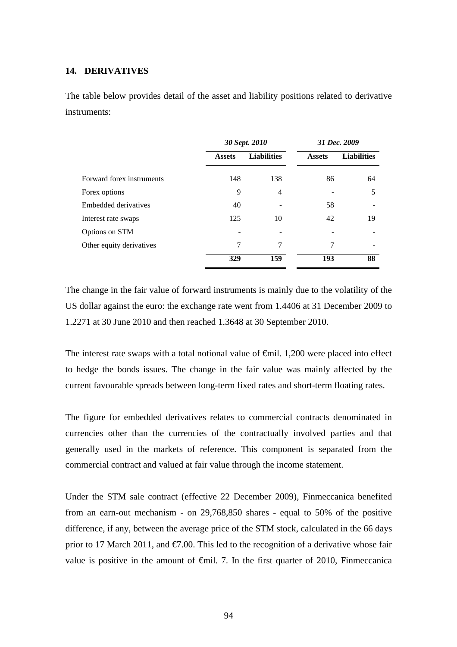## **14. DERIVATIVES**

The table below provides detail of the asset and liability positions related to derivative instruments:

|                           | 30 Sept. 2010 |                    |               | 31 Dec. 2009       |
|---------------------------|---------------|--------------------|---------------|--------------------|
|                           | <b>Assets</b> | <b>Liabilities</b> | <b>Assets</b> | <b>Liabilities</b> |
| Forward forex instruments | 148           | 138                | 86            | 64                 |
| Forex options             | 9             | $\overline{4}$     |               | 5                  |
| Embedded derivatives      | 40            |                    | 58            |                    |
| Interest rate swaps       | 125           | 10                 | 42            | 19                 |
| Options on STM            |               |                    |               |                    |
| Other equity derivatives  | 7             | 7                  | 7             |                    |
|                           | 329           | 159                | 193           | 88                 |

The change in the fair value of forward instruments is mainly due to the volatility of the US dollar against the euro: the exchange rate went from 1.4406 at 31 December 2009 to 1.2271 at 30 June 2010 and then reached 1.3648 at 30 September 2010.

The interest rate swaps with a total notional value of €mil. 1,200 were placed into effect to hedge the bonds issues. The change in the fair value was mainly affected by the current favourable spreads between long-term fixed rates and short-term floating rates.

The figure for embedded derivatives relates to commercial contracts denominated in currencies other than the currencies of the contractually involved parties and that generally used in the markets of reference. This component is separated from the commercial contract and valued at fair value through the income statement.

Under the STM sale contract (effective 22 December 2009), Finmeccanica benefited from an earn-out mechanism - on 29,768,850 shares - equal to 50% of the positive difference, if any, between the average price of the STM stock, calculated in the 66 days prior to 17 March 2011, and  $\epsilon 7.00$ . This led to the recognition of a derivative whose fair value is positive in the amount of  $\epsilon$ mil. 7. In the first quarter of 2010, Finmeccanica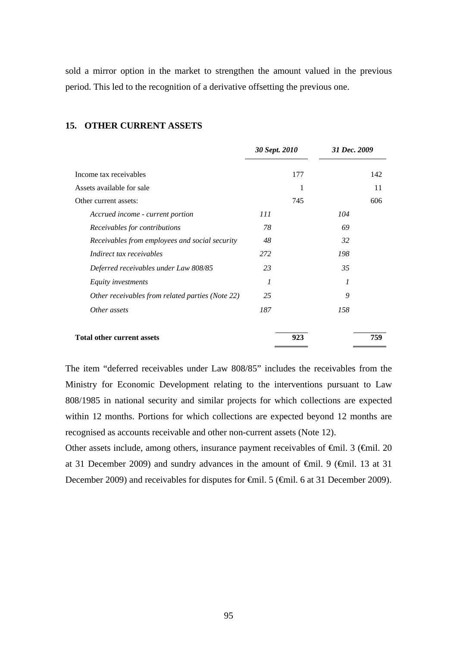sold a mirror option in the market to strengthen the amount valued in the previous period. This led to the recognition of a derivative offsetting the previous one.

|                                                  | 30 Sept. 2010 | 31 Dec. 2009 |     |
|--------------------------------------------------|---------------|--------------|-----|
| Income tax receivables                           | 177           |              | 142 |
| Assets available for sale                        | 1             |              | 11  |
| Other current assets:                            | 745           |              | 606 |
| Accrued income - current portion                 | 111           | 104          |     |
| Receivables for contributions                    | 78            | 69           |     |
| Receivables from employees and social security   | 48            | 32           |     |
| Indirect tax receivables                         | 272           | 198          |     |
| Deferred receivables under Law 808/85            | 23            | 35           |     |
| Equity investments                               | 1             | 1            |     |
| Other receivables from related parties (Note 22) | 25            | 9            |     |
| Other assets                                     | 187           | 158          |     |
| <b>Total other current assets</b>                | 923           |              | 759 |

#### **15. OTHER CURRENT ASSETS**

The item "deferred receivables under Law 808/85" includes the receivables from the Ministry for Economic Development relating to the interventions pursuant to Law 808/1985 in national security and similar projects for which collections are expected within 12 months. Portions for which collections are expected beyond 12 months are recognised as accounts receivable and other non-current assets (Note 12).

Other assets include, among others, insurance payment receivables of €mil. 3 (€mil. 20 at 31 December 2009) and sundry advances in the amount of €mil. 9 (€mil. 13 at 31 December 2009) and receivables for disputes for €mil. 5 (€mil. 6 at 31 December 2009).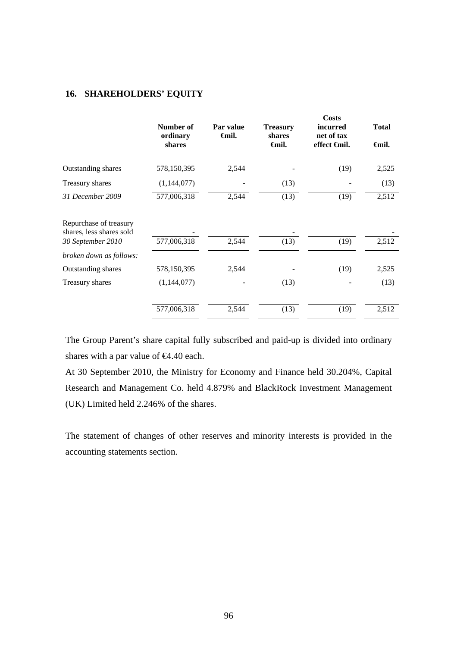## **16. SHAREHOLDERS' EQUITY**

|                                                    | Number of<br>ordinary<br>shares | Par value<br><b>∈</b> mil. | <b>Treasury</b><br>shares<br><b>€</b> mil. | <b>Costs</b><br><i>incurred</i><br>net of tax<br>effect <del>€</del> mil. | <b>Total</b><br><del>€</del> mil. |
|----------------------------------------------------|---------------------------------|----------------------------|--------------------------------------------|---------------------------------------------------------------------------|-----------------------------------|
|                                                    |                                 |                            |                                            |                                                                           |                                   |
| Outstanding shares                                 | 578,150,395                     | 2,544                      |                                            | (19)                                                                      | 2,525                             |
| Treasury shares                                    | (1,144,077)                     |                            | (13)                                       |                                                                           | (13)                              |
| 31 December 2009                                   | 577,006,318                     | 2,544                      | (13)                                       | (19)                                                                      | 2,512                             |
| Repurchase of treasury<br>shares, less shares sold |                                 |                            |                                            |                                                                           |                                   |
| 30 September 2010                                  | 577,006,318                     | 2,544                      | (13)                                       | (19)                                                                      | 2,512                             |
| broken down as follows:                            |                                 |                            |                                            |                                                                           |                                   |
| Outstanding shares                                 | 578,150,395                     | 2,544                      |                                            | (19)                                                                      | 2,525                             |
| Treasury shares                                    | (1,144,077)                     |                            | (13)                                       |                                                                           | (13)                              |
|                                                    | 577,006,318                     | 2,544                      | (13)                                       | (19)                                                                      | 2,512                             |

The Group Parent's share capital fully subscribed and paid-up is divided into ordinary shares with a par value of  $64.40$  each.

At 30 September 2010, the Ministry for Economy and Finance held 30.204%, Capital Research and Management Co. held 4.879% and BlackRock Investment Management (UK) Limited held 2.246% of the shares.

The statement of changes of other reserves and minority interests is provided in the accounting statements section.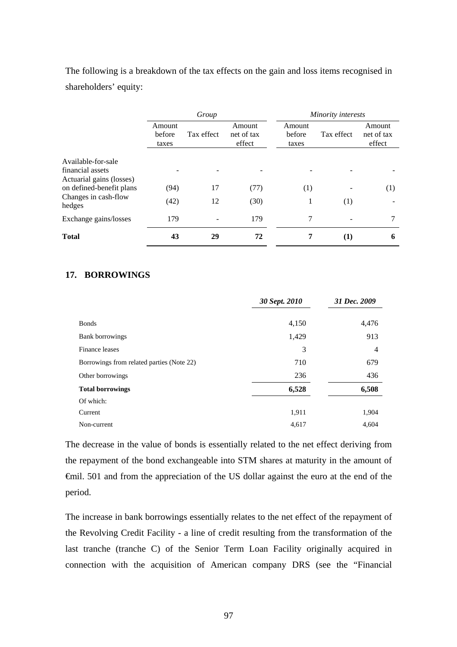The following is a breakdown of the tax effects on the gain and loss items recognised in shareholders' equity:

|                                              | Group                     |            |                                |                           | Minority interests |                                |
|----------------------------------------------|---------------------------|------------|--------------------------------|---------------------------|--------------------|--------------------------------|
|                                              | Amount<br>before<br>taxes | Tax effect | Amount<br>net of tax<br>effect | Amount<br>before<br>taxes | Tax effect         | Amount<br>net of tax<br>effect |
| Available-for-sale                           |                           |            |                                |                           |                    |                                |
| financial assets<br>Actuarial gains (losses) |                           |            |                                |                           |                    |                                |
| on defined-benefit plans                     | (94)                      | 17         | (77)                           | (1)                       |                    | (1)                            |
| Changes in cash-flow<br>hedges               | (42)                      | 12         | (30)                           | 1                         | (1)                |                                |
| Exchange gains/losses                        | 179                       |            | 179                            | 7                         |                    | 7                              |
| <b>Total</b>                                 | 43                        | 29         | 72                             | 7                         | $\bf{(1)}$         | 6                              |

### **17. BORROWINGS**

|                                           | 30 Sept. 2010 | 31 Dec. 2009 |  |
|-------------------------------------------|---------------|--------------|--|
| <b>Bonds</b>                              | 4,150         | 4,476        |  |
| Bank borrowings                           | 1,429         | 913          |  |
| Finance leases                            | 3             | 4            |  |
| Borrowings from related parties (Note 22) | 710           | 679          |  |
| Other borrowings                          | 236           | 436          |  |
| <b>Total borrowings</b>                   | 6,528         | 6,508        |  |
| Of which:                                 |               |              |  |
| Current                                   | 1,911         | 1,904        |  |
| Non-current                               | 4,617         | 4,604        |  |

The decrease in the value of bonds is essentially related to the net effect deriving from the repayment of the bond exchangeable into STM shares at maturity in the amount of €mil. 501 and from the appreciation of the US dollar against the euro at the end of the period.

The increase in bank borrowings essentially relates to the net effect of the repayment of the Revolving Credit Facility - a line of credit resulting from the transformation of the last tranche (tranche C) of the Senior Term Loan Facility originally acquired in connection with the acquisition of American company DRS (see the "Financial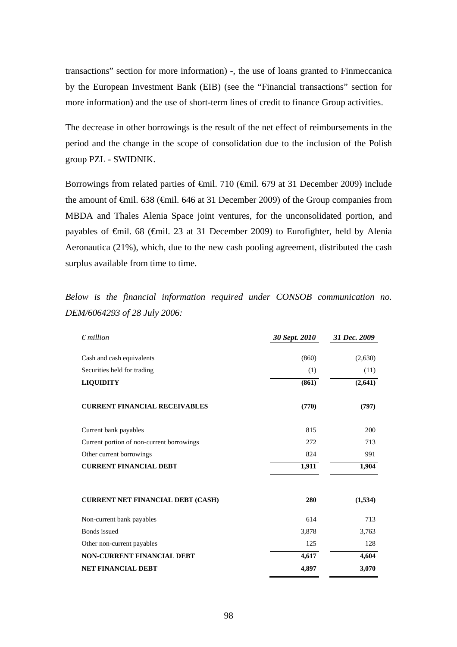transactions" section for more information) -, the use of loans granted to Finmeccanica by the European Investment Bank (EIB) (see the "Financial transactions" section for more information) and the use of short-term lines of credit to finance Group activities.

The decrease in other borrowings is the result of the net effect of reimbursements in the period and the change in the scope of consolidation due to the inclusion of the Polish group PZL - SWIDNIK.

Borrowings from related parties of €mil. 710 (€mil. 679 at 31 December 2009) include the amount of €mil. 638 (€mil. 646 at 31 December 2009) of the Group companies from MBDA and Thales Alenia Space joint ventures, for the unconsolidated portion, and payables of €mil. 68 (€mil. 23 at 31 December 2009) to Eurofighter, held by Alenia Aeronautica (21%), which, due to the new cash pooling agreement, distributed the cash surplus available from time to time.

*Below is the financial information required under CONSOB communication no. DEM/6064293 of 28 July 2006:* 

| $\epsilon$ <i>million</i>                 | 30 Sept. 2010 | 31 Dec. 2009 |
|-------------------------------------------|---------------|--------------|
|                                           |               |              |
| Cash and cash equivalents                 | (860)         | (2,630)      |
| Securities held for trading               | (1)           | (11)         |
| <b>LIQUIDITY</b>                          | (861)         | (2, 641)     |
| <b>CURRENT FINANCIAL RECEIVABLES</b>      | (770)         | (797)        |
| Current bank payables                     | 815           | 200          |
| Current portion of non-current borrowings | 272           | 713          |
| Other current borrowings                  | 824           | 991          |
| <b>CURRENT FINANCIAL DEBT</b>             | 1,911         | 1,904        |
| <b>CURRENT NET FINANCIAL DEBT (CASH)</b>  | 280           | (1,534)      |
| Non-current bank payables                 | 614           | 713          |
| <b>Bonds</b> issued                       | 3,878         | 3,763        |
| Other non-current payables                | 125           | 128          |
| <b>NON-CURRENT FINANCIAL DEBT</b>         | 4,617         | 4,604        |
| <b>NET FINANCIAL DEBT</b>                 | 4,897         | 3,070        |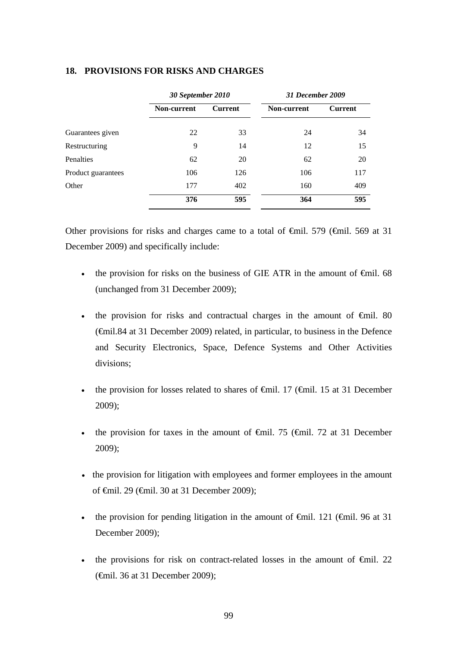|                    | 30 September 2010  |                | 31 December 2009 |                |  |
|--------------------|--------------------|----------------|------------------|----------------|--|
|                    | <b>Non-current</b> | <b>Current</b> | Non-current      | <b>Current</b> |  |
| Guarantees given   | 22                 | 33             | 24               | 34             |  |
| Restructuring      | 9                  | 14             | 12               | 15             |  |
| Penalties          | 62                 | 20             | 62               | 20             |  |
| Product guarantees | 106                | 126            | 106              | 117            |  |
| Other              | 177                | 402            | 160              | 409            |  |
|                    | 376                | 595            | 364              | 595            |  |

### **18. PROVISIONS FOR RISKS AND CHARGES**

Other provisions for risks and charges came to a total of  $\theta$ mil. 579 ( $\theta$ mil. 569 at 31 December 2009) and specifically include:

- the provision for risks on the business of GIE ATR in the amount of  $\epsilon$ mil. 68 (unchanged from 31 December 2009);
- the provision for risks and contractual charges in the amount of  $\epsilon$ mil. 80 (€mil.84 at 31 December 2009) related, in particular, to business in the Defence and Security Electronics, Space, Defence Systems and Other Activities divisions;
- the provision for losses related to shares of  $\epsilon$ mil. 17 ( $\epsilon$ mil. 15 at 31 December 2009);
- the provision for taxes in the amount of  $\epsilon$ mil. 75 ( $\epsilon$ mil. 72 at 31 December 2009);
- the provision for litigation with employees and former employees in the amount of €mil. 29 (€mil. 30 at 31 December 2009);
- the provision for pending litigation in the amount of  $\widehat{\mathsf{f}}$ mil. 121 ( $\widehat{\mathsf{f}}$ mil. 96 at 31 December 2009);
- the provisions for risk on contract-related losses in the amount of  $\epsilon$ mil. 22 (€mil. 36 at 31 December 2009);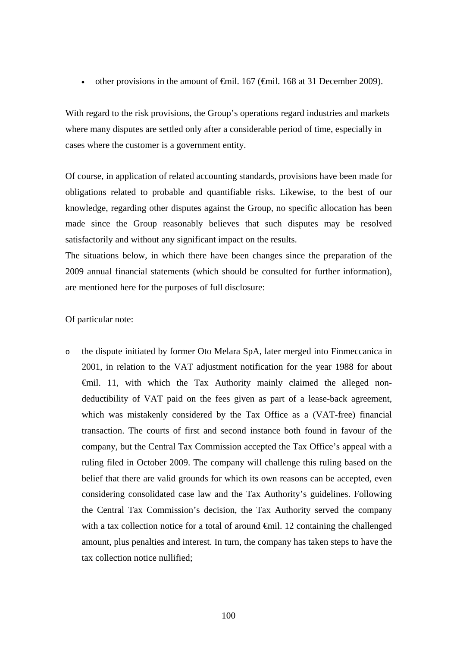• other provisions in the amount of  $\oplus$  fiil. 167 ( $\oplus$  fiil. 168 at 31 December 2009).

With regard to the risk provisions, the Group's operations regard industries and markets where many disputes are settled only after a considerable period of time, especially in cases where the customer is a government entity.

Of course, in application of related accounting standards, provisions have been made for obligations related to probable and quantifiable risks. Likewise, to the best of our knowledge, regarding other disputes against the Group, no specific allocation has been made since the Group reasonably believes that such disputes may be resolved satisfactorily and without any significant impact on the results.

The situations below, in which there have been changes since the preparation of the 2009 annual financial statements (which should be consulted for further information), are mentioned here for the purposes of full disclosure:

#### Of particular note:

o the dispute initiated by former Oto Melara SpA, later merged into Finmeccanica in 2001, in relation to the VAT adjustment notification for the year 1988 for about €mil. 11, with which the Tax Authority mainly claimed the alleged nondeductibility of VAT paid on the fees given as part of a lease-back agreement, which was mistakenly considered by the Tax Office as a (VAT-free) financial transaction. The courts of first and second instance both found in favour of the company, but the Central Tax Commission accepted the Tax Office's appeal with a ruling filed in October 2009. The company will challenge this ruling based on the belief that there are valid grounds for which its own reasons can be accepted, even considering consolidated case law and the Tax Authority's guidelines. Following the Central Tax Commission's decision, the Tax Authority served the company with a tax collection notice for a total of around  $\oplus$  mil. 12 containing the challenged amount, plus penalties and interest. In turn, the company has taken steps to have the tax collection notice nullified;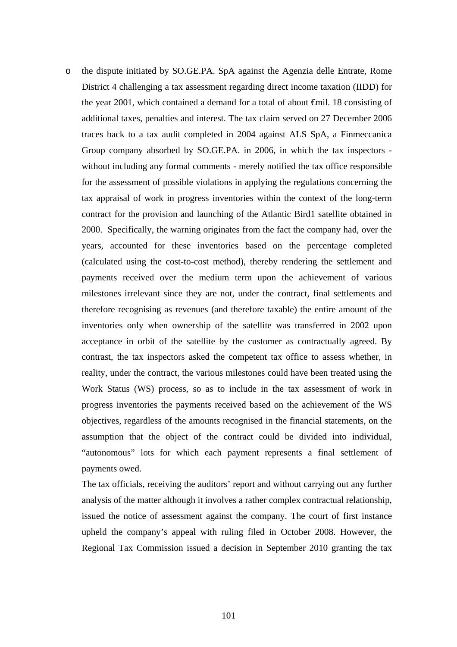o the dispute initiated by SO.GE.PA. SpA against the Agenzia delle Entrate, Rome District 4 challenging a tax assessment regarding direct income taxation (IIDD) for the year 2001, which contained a demand for a total of about €mil. 18 consisting of additional taxes, penalties and interest. The tax claim served on 27 December 2006 traces back to a tax audit completed in 2004 against ALS SpA, a Finmeccanica Group company absorbed by SO.GE.PA. in 2006, in which the tax inspectors without including any formal comments - merely notified the tax office responsible for the assessment of possible violations in applying the regulations concerning the tax appraisal of work in progress inventories within the context of the long-term contract for the provision and launching of the Atlantic Bird1 satellite obtained in 2000. Specifically, the warning originates from the fact the company had, over the years, accounted for these inventories based on the percentage completed (calculated using the cost-to-cost method), thereby rendering the settlement and payments received over the medium term upon the achievement of various milestones irrelevant since they are not, under the contract, final settlements and therefore recognising as revenues (and therefore taxable) the entire amount of the inventories only when ownership of the satellite was transferred in 2002 upon acceptance in orbit of the satellite by the customer as contractually agreed. By contrast, the tax inspectors asked the competent tax office to assess whether, in reality, under the contract, the various milestones could have been treated using the Work Status (WS) process, so as to include in the tax assessment of work in progress inventories the payments received based on the achievement of the WS objectives, regardless of the amounts recognised in the financial statements, on the assumption that the object of the contract could be divided into individual, "autonomous" lots for which each payment represents a final settlement of payments owed.

The tax officials, receiving the auditors' report and without carrying out any further analysis of the matter although it involves a rather complex contractual relationship, issued the notice of assessment against the company. The court of first instance upheld the company's appeal with ruling filed in October 2008. However, the Regional Tax Commission issued a decision in September 2010 granting the tax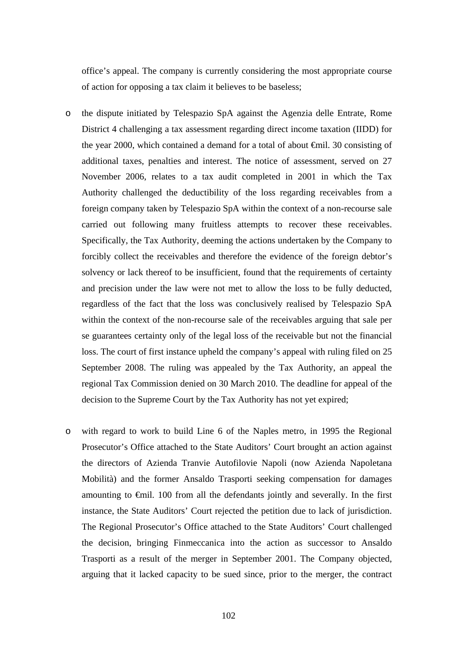office's appeal. The company is currently considering the most appropriate course of action for opposing a tax claim it believes to be baseless;

- o the dispute initiated by Telespazio SpA against the Agenzia delle Entrate, Rome District 4 challenging a tax assessment regarding direct income taxation (IIDD) for the year 2000, which contained a demand for a total of about €mil. 30 consisting of additional taxes, penalties and interest. The notice of assessment, served on 27 November 2006, relates to a tax audit completed in 2001 in which the Tax Authority challenged the deductibility of the loss regarding receivables from a foreign company taken by Telespazio SpA within the context of a non-recourse sale carried out following many fruitless attempts to recover these receivables. Specifically, the Tax Authority, deeming the actions undertaken by the Company to forcibly collect the receivables and therefore the evidence of the foreign debtor's solvency or lack thereof to be insufficient, found that the requirements of certainty and precision under the law were not met to allow the loss to be fully deducted, regardless of the fact that the loss was conclusively realised by Telespazio SpA within the context of the non-recourse sale of the receivables arguing that sale per se guarantees certainty only of the legal loss of the receivable but not the financial loss. The court of first instance upheld the company's appeal with ruling filed on 25 September 2008. The ruling was appealed by the Tax Authority, an appeal the regional Tax Commission denied on 30 March 2010. The deadline for appeal of the decision to the Supreme Court by the Tax Authority has not yet expired;
- o with regard to work to build Line 6 of the Naples metro, in 1995 the Regional Prosecutor's Office attached to the State Auditors' Court brought an action against the directors of Azienda Tranvie Autofilovie Napoli (now Azienda Napoletana Mobilità) and the former Ansaldo Trasporti seeking compensation for damages amounting to €mil. 100 from all the defendants jointly and severally. In the first instance, the State Auditors' Court rejected the petition due to lack of jurisdiction. The Regional Prosecutor's Office attached to the State Auditors' Court challenged the decision, bringing Finmeccanica into the action as successor to Ansaldo Trasporti as a result of the merger in September 2001. The Company objected, arguing that it lacked capacity to be sued since, prior to the merger, the contract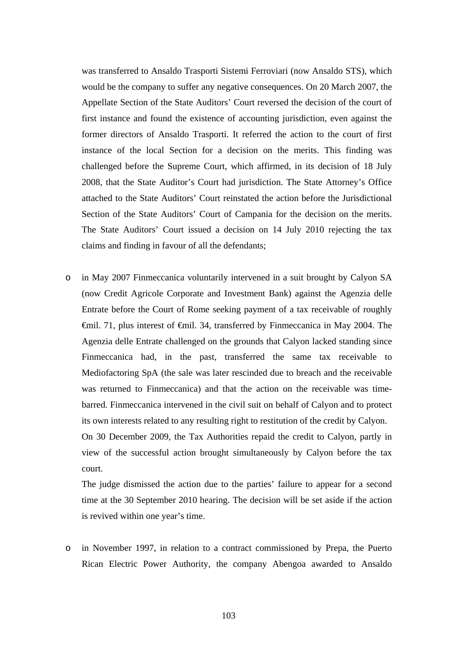was transferred to Ansaldo Trasporti Sistemi Ferroviari (now Ansaldo STS), which would be the company to suffer any negative consequences. On 20 March 2007, the Appellate Section of the State Auditors' Court reversed the decision of the court of first instance and found the existence of accounting jurisdiction, even against the former directors of Ansaldo Trasporti. It referred the action to the court of first instance of the local Section for a decision on the merits. This finding was challenged before the Supreme Court, which affirmed, in its decision of 18 July 2008, that the State Auditor's Court had jurisdiction. The State Attorney's Office attached to the State Auditors' Court reinstated the action before the Jurisdictional Section of the State Auditors' Court of Campania for the decision on the merits. The State Auditors' Court issued a decision on 14 July 2010 rejecting the tax claims and finding in favour of all the defendants;

o in May 2007 Finmeccanica voluntarily intervened in a suit brought by Calyon SA (now Credit Agricole Corporate and Investment Bank) against the Agenzia delle Entrate before the Court of Rome seeking payment of a tax receivable of roughly €mil. 71, plus interest of €mil. 34, transferred by Finmeccanica in May 2004. The Agenzia delle Entrate challenged on the grounds that Calyon lacked standing since Finmeccanica had, in the past, transferred the same tax receivable to Mediofactoring SpA (the sale was later rescinded due to breach and the receivable was returned to Finmeccanica) and that the action on the receivable was timebarred. Finmeccanica intervened in the civil suit on behalf of Calyon and to protect its own interests related to any resulting right to restitution of the credit by Calyon.

On 30 December 2009, the Tax Authorities repaid the credit to Calyon, partly in view of the successful action brought simultaneously by Calyon before the tax court.

The judge dismissed the action due to the parties' failure to appear for a second time at the 30 September 2010 hearing. The decision will be set aside if the action is revived within one year's time.

o in November 1997, in relation to a contract commissioned by Prepa, the Puerto Rican Electric Power Authority, the company Abengoa awarded to Ansaldo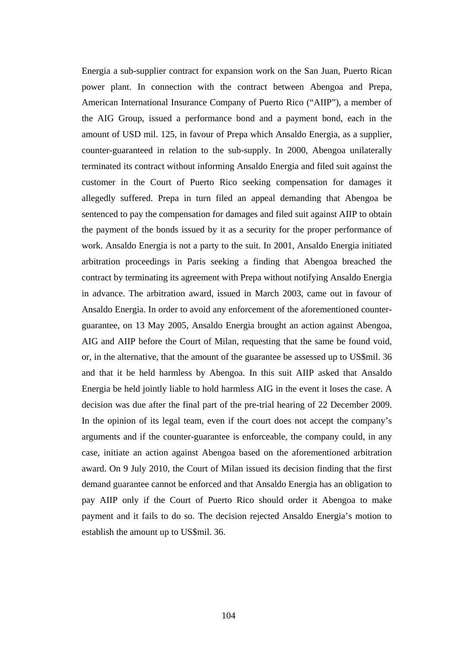Energia a sub-supplier contract for expansion work on the San Juan, Puerto Rican power plant. In connection with the contract between Abengoa and Prepa, American International Insurance Company of Puerto Rico ("AIIP"), a member of the AIG Group, issued a performance bond and a payment bond, each in the amount of USD mil. 125, in favour of Prepa which Ansaldo Energia, as a supplier, counter-guaranteed in relation to the sub-supply. In 2000, Abengoa unilaterally terminated its contract without informing Ansaldo Energia and filed suit against the customer in the Court of Puerto Rico seeking compensation for damages it allegedly suffered. Prepa in turn filed an appeal demanding that Abengoa be sentenced to pay the compensation for damages and filed suit against AIIP to obtain the payment of the bonds issued by it as a security for the proper performance of work. Ansaldo Energia is not a party to the suit. In 2001, Ansaldo Energia initiated arbitration proceedings in Paris seeking a finding that Abengoa breached the contract by terminating its agreement with Prepa without notifying Ansaldo Energia in advance. The arbitration award, issued in March 2003, came out in favour of Ansaldo Energia. In order to avoid any enforcement of the aforementioned counterguarantee, on 13 May 2005, Ansaldo Energia brought an action against Abengoa, AIG and AIIP before the Court of Milan, requesting that the same be found void, or, in the alternative, that the amount of the guarantee be assessed up to US\$mil. 36 and that it be held harmless by Abengoa. In this suit AIIP asked that Ansaldo Energia be held jointly liable to hold harmless AIG in the event it loses the case. A decision was due after the final part of the pre-trial hearing of 22 December 2009. In the opinion of its legal team, even if the court does not accept the company's arguments and if the counter-guarantee is enforceable, the company could, in any case, initiate an action against Abengoa based on the aforementioned arbitration award. On 9 July 2010, the Court of Milan issued its decision finding that the first demand guarantee cannot be enforced and that Ansaldo Energia has an obligation to pay AIIP only if the Court of Puerto Rico should order it Abengoa to make payment and it fails to do so. The decision rejected Ansaldo Energia's motion to establish the amount up to US\$mil. 36.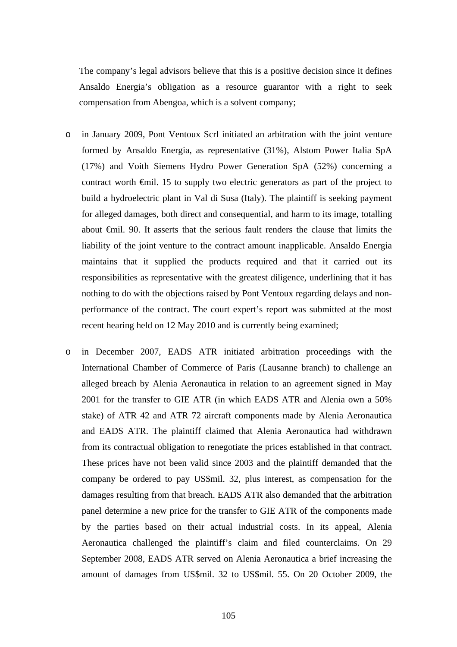The company's legal advisors believe that this is a positive decision since it defines Ansaldo Energia's obligation as a resource guarantor with a right to seek compensation from Abengoa, which is a solvent company;

- o in January 2009, Pont Ventoux Scrl initiated an arbitration with the joint venture formed by Ansaldo Energia, as representative (31%), Alstom Power Italia SpA (17%) and Voith Siemens Hydro Power Generation SpA (52%) concerning a contract worth €mil. 15 to supply two electric generators as part of the project to build a hydroelectric plant in Val di Susa (Italy). The plaintiff is seeking payment for alleged damages, both direct and consequential, and harm to its image, totalling about €mil. 90. It asserts that the serious fault renders the clause that limits the liability of the joint venture to the contract amount inapplicable. Ansaldo Energia maintains that it supplied the products required and that it carried out its responsibilities as representative with the greatest diligence, underlining that it has nothing to do with the objections raised by Pont Ventoux regarding delays and nonperformance of the contract. The court expert's report was submitted at the most recent hearing held on 12 May 2010 and is currently being examined;
- o in December 2007, EADS ATR initiated arbitration proceedings with the International Chamber of Commerce of Paris (Lausanne branch) to challenge an alleged breach by Alenia Aeronautica in relation to an agreement signed in May 2001 for the transfer to GIE ATR (in which EADS ATR and Alenia own a 50% stake) of ATR 42 and ATR 72 aircraft components made by Alenia Aeronautica and EADS ATR. The plaintiff claimed that Alenia Aeronautica had withdrawn from its contractual obligation to renegotiate the prices established in that contract. These prices have not been valid since 2003 and the plaintiff demanded that the company be ordered to pay US\$mil. 32, plus interest, as compensation for the damages resulting from that breach. EADS ATR also demanded that the arbitration panel determine a new price for the transfer to GIE ATR of the components made by the parties based on their actual industrial costs. In its appeal, Alenia Aeronautica challenged the plaintiff's claim and filed counterclaims. On 29 September 2008, EADS ATR served on Alenia Aeronautica a brief increasing the amount of damages from US\$mil. 32 to US\$mil. 55. On 20 October 2009, the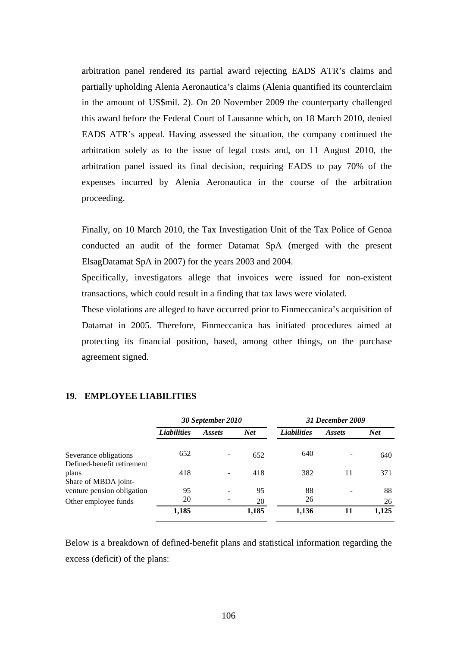arbitration panel rendered its partial award rejecting EADS ATR's claims and partially upholding Alenia Aeronautica's claims (Alenia quantified its counterclaim in the amount of US\$mil. 2). On 20 November 2009 the counterparty challenged this award before the Federal Court of Lausanne which, on 18 March 2010, denied EADS ATR's appeal. Having assessed the situation, the company continued the arbitration solely as to the issue of legal costs and, on 11 August 2010, the arbitration panel issued its final decision, requiring EADS to pay 70% of the expenses incurred by Alenia Aeronautica in the course of the arbitration proceeding.

Finally, on 10 March 2010, the Tax Investigation Unit of the Tax Police of Genoa conducted an audit of the former Datamat SpA (merged with the present ElsagDatamat SpA in 2007) for the years 2003 and 2004.

Specifically, investigators allege that invoices were issued for non-existent transactions, which could result in a finding that tax laws were violated.

These violations are alleged to have occurred prior to Finmeccanica's acquisition of Datamat in 2005. Therefore, Finmeccanica has initiated procedures aimed at protecting its financial position, based, among other things, on the purchase agreement signed.

|                                                             | 30 September 2010  |        | 31 December 2009 |                    |               |            |
|-------------------------------------------------------------|--------------------|--------|------------------|--------------------|---------------|------------|
|                                                             | <b>Liabilities</b> | Assets | <b>Net</b>       | <b>Liabilities</b> | <i>Assets</i> | <b>Net</b> |
| Severance obligations                                       | 652                |        | 652              | 640                |               | 640        |
| Defined-benefit retirement<br>plans<br>Share of MBDA joint- | 418                |        | 418              | 382                | 11            | 371        |
| venture pension obligation                                  | 95                 |        | 95               | 88                 |               | 88         |
| Other employee funds                                        | 20                 |        | 20               | 26                 |               | 26         |
|                                                             | 1,185              |        | 1,185            | 1,136              | 11            | 1,125      |

#### **19. EMPLOYEE LIABILITIES**

Below is a breakdown of defined-benefit plans and statistical information regarding the excess (deficit) of the plans: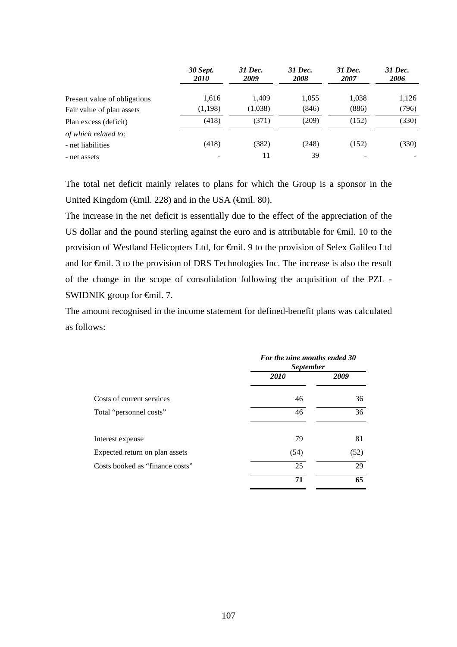|                              | <b>30 Sept.</b><br><i>2010</i> | 31 Dec.<br>2009 | 31 Dec.<br><b>2008</b> | 31 Dec.<br>2007 | 31 Dec.<br>2006 |
|------------------------------|--------------------------------|-----------------|------------------------|-----------------|-----------------|
| Present value of obligations | 1,616                          | 1.409           | 1,055                  | 1,038           | 1,126           |
| Fair value of plan assets    | (1,198)                        | (1,038)         | (846)                  | (886)           | (796)           |
| Plan excess (deficit)        | (418)                          | (371)           | (209)                  | (152)           | (330)           |
| of which related to:         |                                |                 |                        |                 |                 |
| - net liabilities            | (418)                          | (382)           | (248)                  | (152)           | (330)           |
| - net assets                 | ۰                              | 11              | 39                     | -               |                 |

The total net deficit mainly relates to plans for which the Group is a sponsor in the United Kingdom ( $\oplus$ mil. 228) and in the USA ( $\oplus$ mil. 80).

The increase in the net deficit is essentially due to the effect of the appreciation of the US dollar and the pound sterling against the euro and is attributable for  $\epsilon$ mil. 10 to the provision of Westland Helicopters Ltd, for €mil. 9 to the provision of Selex Galileo Ltd and for €mil. 3 to the provision of DRS Technologies Inc. The increase is also the result of the change in the scope of consolidation following the acquisition of the PZL - SWIDNIK group for <del>€</del>mil. 7.

The amount recognised in the income statement for defined-benefit plans was calculated as follows:

|                                 | For the nine months ended 30<br><i>September</i> |      |  |
|---------------------------------|--------------------------------------------------|------|--|
|                                 | <b>2010</b>                                      | 2009 |  |
| Costs of current services       | 46                                               | 36   |  |
| Total "personnel costs"         | 46                                               | 36   |  |
| Interest expense                | 79                                               | 81   |  |
| Expected return on plan assets  | (54)                                             | (52) |  |
| Costs booked as "finance costs" | 25                                               | 29   |  |
|                                 | 71                                               | 65   |  |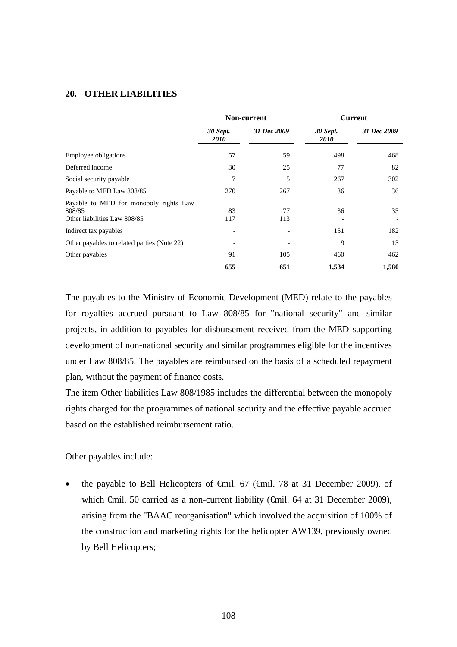#### **20. OTHER LIABILITIES**

|                                                                                  | Non-current                    |             | <b>Current</b>                 |             |
|----------------------------------------------------------------------------------|--------------------------------|-------------|--------------------------------|-------------|
|                                                                                  | <b>30 Sept.</b><br><i>2010</i> | 31 Dec 2009 | <b>30 Sept.</b><br><i>2010</i> | 31 Dec 2009 |
| Employee obligations                                                             | 57                             | 59          | 498                            | 468         |
| Deferred income                                                                  | 30                             | 25          | 77                             | 82          |
| Social security payable                                                          | 7                              | 5           | 267                            | 302         |
| Payable to MED Law 808/85                                                        | 270                            | 267         | 36                             | 36          |
| Payable to MED for monopoly rights Law<br>808/85<br>Other liabilities Law 808/85 | 83<br>117                      | 77<br>113   | 36                             | 35          |
| Indirect tax payables                                                            |                                |             | 151                            | 182         |
| Other payables to related parties (Note 22)                                      |                                |             | 9                              | 13          |
| Other payables                                                                   | 91                             | 105         | 460                            | 462         |
|                                                                                  | 655                            | 651         | 1,534                          | 1,580       |

The payables to the Ministry of Economic Development (MED) relate to the payables for royalties accrued pursuant to Law 808/85 for "national security" and similar projects, in addition to payables for disbursement received from the MED supporting development of non-national security and similar programmes eligible for the incentives under Law 808/85. The payables are reimbursed on the basis of a scheduled repayment plan, without the payment of finance costs.

The item Other liabilities Law 808/1985 includes the differential between the monopoly rights charged for the programmes of national security and the effective payable accrued based on the established reimbursement ratio.

Other payables include:

 the payable to Bell Helicopters of €mil. 67 (€mil. 78 at 31 December 2009), of which €mil. 50 carried as a non-current liability (€mil. 64 at 31 December 2009), arising from the "BAAC reorganisation" which involved the acquisition of 100% of the construction and marketing rights for the helicopter AW139, previously owned by Bell Helicopters;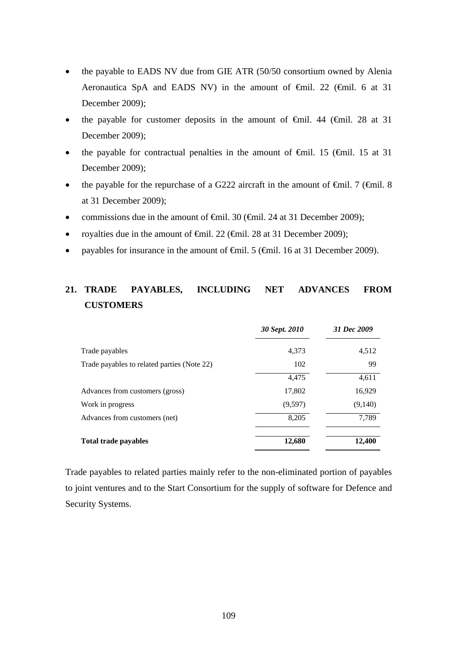- the payable to EADS NV due from GIE ATR (50/50 consortium owned by Alenia Aeronautica SpA and EADS NV) in the amount of €mil. 22 (€mil. 6 at 31 December 2009);
- the payable for customer deposits in the amount of  $\theta$ mil. 44 ( $\theta$ mil. 28 at 31 December 2009);
- the payable for contractual penalties in the amount of  $\theta$ mil. 15 ( $\theta$ mil. 15 at 31 December 2009);
- the payable for the repurchase of a G222 aircraft in the amount of  $\epsilon$ mil. 7 ( $\epsilon$ mil. 8 at 31 December 2009);
- commissions due in the amount of  $\theta$ mil. 30 ( $\theta$ mil. 24 at 31 December 2009);
- royalties due in the amount of €mil. 22 (€mil. 28 at 31 December 2009);
- payables for insurance in the amount of  $\theta$ mil. 5 ( $\theta$ mil. 16 at 31 December 2009).

## **21. TRADE PAYABLES, INCLUDING NET ADVANCES FROM CUSTOMERS**

|                                             | 30 Sept. 2010 | 31 Dec 2009 |
|---------------------------------------------|---------------|-------------|
| Trade payables                              | 4,373         | 4,512       |
| Trade payables to related parties (Note 22) | 102           | 99          |
|                                             | 4,475         | 4,611       |
| Advances from customers (gross)             | 17,802        | 16,929      |
| Work in progress                            | (9,597)       | (9,140)     |
| Advances from customers (net)               | 8,205         | 7,789       |
| <b>Total trade payables</b>                 | 12,680        | 12,400      |

Trade payables to related parties mainly refer to the non-eliminated portion of payables to joint ventures and to the Start Consortium for the supply of software for Defence and Security Systems.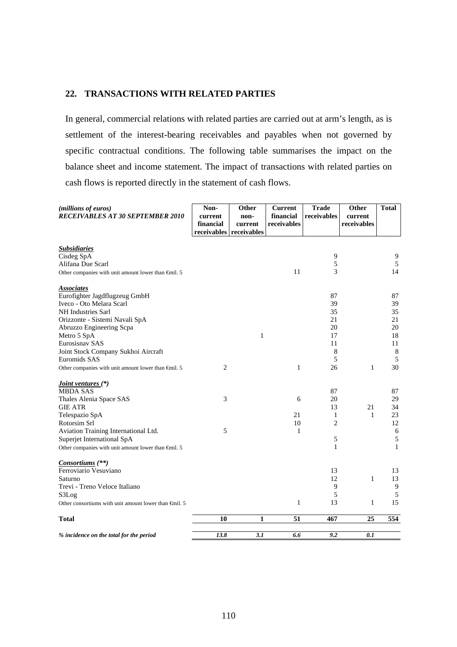### **22. TRANSACTIONS WITH RELATED PARTIES**

In general, commercial relations with related parties are carried out at arm's length, as is settlement of the interest-bearing receivables and payables when not governed by specific contractual conditions. The following table summarises the impact on the balance sheet and income statement. The impact of transactions with related parties on cash flows is reported directly in the statement of cash flows.

| (millions of euros)<br><b>RECEIVABLES AT 30 SEPTEMBER 2010</b>  | Non-<br>current<br>financial<br>receivables receivables | Other<br>non-<br>current | <b>Current</b><br>financial<br>receivables | <b>Trade</b><br>receivables | Other<br>current<br>receivables | <b>Total</b> |
|-----------------------------------------------------------------|---------------------------------------------------------|--------------------------|--------------------------------------------|-----------------------------|---------------------------------|--------------|
| <b>Subsidiaries</b>                                             |                                                         |                          |                                            |                             |                                 |              |
| Cisdeg SpA                                                      |                                                         |                          |                                            | 9                           |                                 | 9            |
| Alifana Due Scarl                                               |                                                         |                          |                                            | 5                           |                                 | 5            |
| Other companies with unit amount lower than $\epsilon$ mil. 5   |                                                         |                          | 11                                         | 3                           |                                 | 14           |
| <b>Associates</b>                                               |                                                         |                          |                                            |                             |                                 |              |
| Eurofighter Jagdflugzeug GmbH                                   |                                                         |                          |                                            | 87                          |                                 | 87           |
| Iveco - Oto Melara Scarl                                        |                                                         |                          |                                            | 39                          |                                 | 39           |
| NH Industries Sarl                                              |                                                         |                          |                                            | 35                          |                                 | 35           |
| Orizzonte - Sistemi Navali SpA                                  |                                                         |                          |                                            | 21                          |                                 | 21           |
| Abruzzo Engineering Scpa                                        |                                                         |                          |                                            | 20                          |                                 | 20           |
| Metro 5 SpA                                                     |                                                         | $\mathbf{1}$             |                                            | 17                          |                                 | 18           |
| Eurosisnav SAS                                                  |                                                         |                          |                                            | 11                          |                                 | 11           |
| Joint Stock Company Sukhoi Aircraft                             |                                                         |                          |                                            | 8                           |                                 | 8            |
| Euromids SAS                                                    |                                                         |                          |                                            | 5                           |                                 | 5            |
| Other companies with unit amount lower than $\bigoplus$ nil. 5  | $\overline{2}$                                          |                          | $\mathbf{1}$                               | 26                          | $\mathbf{1}$                    | 30           |
| <i><u><b>Joint ventures</b></u></i> (*)                         |                                                         |                          |                                            |                             |                                 |              |
| <b>MBDA SAS</b>                                                 |                                                         |                          |                                            | 87                          |                                 | 87           |
| Thales Alenia Space SAS                                         | 3                                                       |                          | 6                                          | 20                          |                                 | 29           |
| <b>GIE ATR</b>                                                  |                                                         |                          |                                            | 13                          | 21                              | 34           |
| Telespazio SpA                                                  |                                                         |                          | 21                                         | 1                           | 1                               | 23           |
| Rotorsim Srl                                                    |                                                         |                          | 10                                         | $\overline{c}$              |                                 | 12           |
| Aviation Training International Ltd.                            | 5                                                       |                          | 1                                          |                             |                                 | $\sqrt{6}$   |
| Superjet International SpA                                      |                                                         |                          |                                            | 5                           |                                 | $\sqrt{5}$   |
| Other companies with unit amount lower than €mil. 5             |                                                         |                          |                                            | $\mathbf{1}$                |                                 | $\mathbf{1}$ |
| Consortiums (**)                                                |                                                         |                          |                                            |                             |                                 |              |
| Ferroviario Vesuviano                                           |                                                         |                          |                                            | 13                          |                                 | 13           |
| Saturno                                                         |                                                         |                          |                                            | 12                          | 1                               | 13           |
| Trevi - Treno Veloce Italiano                                   |                                                         |                          |                                            | 9                           |                                 | 9            |
| S3Log                                                           |                                                         |                          |                                            | 5                           |                                 | 5            |
| Other consortiums with unit amount lower than $\epsilon$ mil. 5 |                                                         |                          | 1                                          | 13                          | $\mathbf{1}$                    | 15           |
| <b>Total</b>                                                    | 10                                                      | 1                        | 51                                         | 467                         | 25                              | 554          |
| % incidence on the total for the period                         | 13.8                                                    | 3.1                      | 6.6                                        | 9.2                         | 0.1                             |              |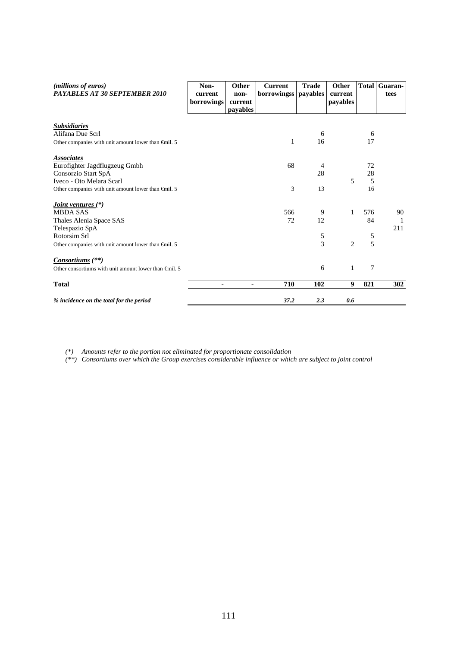| (millions of euros)<br><b>PAYABLES AT 30 SEPTEMBER 2010</b>     | Non-<br>current<br>borrowings | Other<br>non-<br>current<br>payables | <b>Current</b><br>borrowingss | <b>Trade</b><br>payables | Other<br>current<br>payables | <b>Total</b> | Guaran-<br>tees |
|-----------------------------------------------------------------|-------------------------------|--------------------------------------|-------------------------------|--------------------------|------------------------------|--------------|-----------------|
| <b>Subsidiaries</b>                                             |                               |                                      |                               |                          |                              |              |                 |
| Alifana Due Scrl                                                |                               |                                      |                               | 6                        |                              | 6            |                 |
| Other companies with unit amount lower than $\epsilon$ mil. 5   |                               |                                      | 1                             | 16                       |                              | 17           |                 |
| <b>Associates</b>                                               |                               |                                      |                               |                          |                              |              |                 |
| Eurofighter Jagdflugzeug Gmbh                                   |                               |                                      | 68                            | 4                        |                              | 72           |                 |
| Consorzio Start SpA                                             |                               |                                      |                               | 28                       |                              | 28           |                 |
| Iveco - Oto Melara Scarl                                        |                               |                                      |                               |                          | 5                            | 5            |                 |
| Other companies with unit amount lower than $\epsilon$ mil. 5   |                               |                                      | 3                             | 13                       |                              | 16           |                 |
| <i><u><b>Joint ventures</b></u></i> (*)                         |                               |                                      |                               |                          |                              |              |                 |
| <b>MBDA SAS</b>                                                 |                               |                                      | 566                           | 9                        | 1                            | 576          | 90              |
| Thales Alenia Space SAS                                         |                               |                                      | 72                            | 12                       |                              | 84           | 1               |
| Telespazio SpA                                                  |                               |                                      |                               |                          |                              |              | 211             |
| Rotorsim Srl                                                    |                               |                                      |                               | $\sqrt{5}$               |                              | 5            |                 |
| Other companies with unit amount lower than $\epsilon$ mil. 5   |                               |                                      |                               | 3                        | $\overline{c}$               | 5            |                 |
| <i>Consortiums</i> (**)                                         |                               |                                      |                               |                          |                              |              |                 |
| Other consortiums with unit amount lower than $\epsilon$ mil. 5 |                               |                                      |                               | 6                        | 1                            | 7            |                 |
| <b>Total</b>                                                    |                               |                                      | 710                           | 102                      | 9                            | 821          | 302             |
| % incidence on the total for the period                         |                               |                                      | 37.2                          | 2.3                      | 0.6                          |              |                 |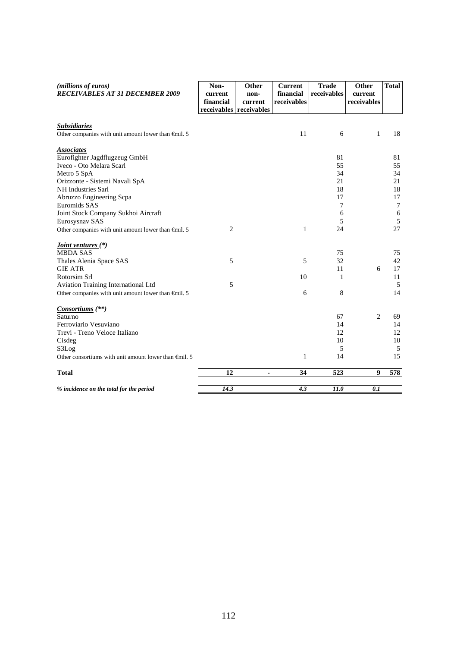| (millions of euros)<br><b>RECEIVABLES AT 31 DECEMBER 2009</b>                                                                                                                                                                                              | Non-<br>current<br>financial<br>receivables | Other<br>non-<br>current<br>receivables | <b>Current</b><br>financial<br>receivables | <b>Trade</b><br>receivables                     | Other<br>current<br>receivables | <b>Total</b>                                                  |
|------------------------------------------------------------------------------------------------------------------------------------------------------------------------------------------------------------------------------------------------------------|---------------------------------------------|-----------------------------------------|--------------------------------------------|-------------------------------------------------|---------------------------------|---------------------------------------------------------------|
| <b>Subsidiaries</b><br>Other companies with unit amount lower than $\bigoplus$ nil. 5                                                                                                                                                                      |                                             |                                         | 11                                         | 6                                               | $\mathbf{1}$                    | 18                                                            |
| <b>Associates</b><br>Eurofighter Jagdflugzeug GmbH<br>Iveco - Oto Melara Scarl<br>Metro 5 SpA<br>Orizzonte - Sistemi Navali SpA<br>NH Industries Sarl<br>Abruzzo Engineering Scpa<br>Euromids SAS<br>Joint Stock Company Sukhoi Aircraft<br>Eurosysnav SAS |                                             |                                         |                                            | 81<br>55<br>34<br>21<br>18<br>17<br>7<br>6<br>5 |                                 | 81<br>55<br>34<br>21<br>18<br>17<br>$\tau$<br>$\sqrt{6}$<br>5 |
| Other companies with unit amount lower than $\epsilon$ mil. 5                                                                                                                                                                                              | $\mathbf{2}$                                |                                         | $\mathbf{1}$                               | 24                                              |                                 | 27                                                            |
| <i><u><b>Joint ventures</b></u></i> (*)<br><b>MBDA SAS</b><br>Thales Alenia Space SAS<br><b>GIE ATR</b>                                                                                                                                                    | 5                                           |                                         | 5                                          | 75<br>32<br>11                                  | 6                               | 75<br>42<br>17                                                |
| Rotorsim Srl<br>Aviation Training International Ltd<br>Other companies with unit amount lower than $\oplus$ nil. 5                                                                                                                                         | 5                                           |                                         | 10<br>6                                    | 1<br>8                                          |                                 | 11<br>5<br>14                                                 |
| <i>Consortiums</i> (**)<br>Saturno<br>Ferroviario Vesuviano<br>Trevi - Treno Veloce Italiano<br>Cisdeg<br>S3Log<br>Other consortiums with unit amount lower than $\epsilon$ mil. 5                                                                         |                                             |                                         | $\mathbf{1}$                               | 67<br>14<br>12<br>10<br>5<br>14                 | 2                               | 69<br>14<br>12<br>10<br>5<br>15                               |
| <b>Total</b>                                                                                                                                                                                                                                               | 12                                          | ۰                                       | 34                                         | 523                                             | 9                               | 578                                                           |
| % incidence on the total for the period                                                                                                                                                                                                                    | 14.3                                        |                                         | 4.3                                        | 11.0                                            | 0.1                             |                                                               |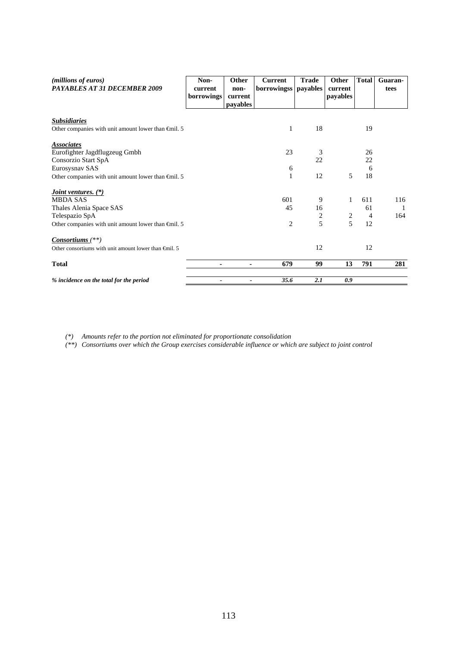| ( <i>millions of euros</i> )<br>PAYABLES AT 31 DECEMBER 2009    | Non-<br>current | Other<br>non-       | <b>Current</b><br>borrowingss payables | <b>Trade</b>     | Other<br>current | <b>Total</b>   | Guaran-<br>tees |
|-----------------------------------------------------------------|-----------------|---------------------|----------------------------------------|------------------|------------------|----------------|-----------------|
|                                                                 | borrowings      | current<br>payables |                                        |                  | payables         |                |                 |
| <b>Subsidiaries</b>                                             |                 |                     |                                        |                  |                  |                |                 |
| Other companies with unit amount lower than $\epsilon$ mil. 5   |                 |                     | 1                                      | 18               |                  | 19             |                 |
| <b>Associates</b>                                               |                 |                     |                                        |                  |                  |                |                 |
| Eurofighter Jagdflugzeug Gmbh                                   |                 |                     | 23                                     | 3                |                  | 26             |                 |
| Consorzio Start SpA                                             |                 |                     |                                        | 22               |                  | 22             |                 |
| Eurosysnav SAS                                                  |                 |                     | 6                                      |                  |                  | 6              |                 |
| Other companies with unit amount lower than $\epsilon$ mil. 5   |                 |                     | $\mathbf{1}$                           | 12               | 5                | 18             |                 |
| <i>Joint ventures.</i> (*)                                      |                 |                     |                                        |                  |                  |                |                 |
| <b>MBDA SAS</b>                                                 |                 |                     | 601                                    | 9                | $\mathbf{1}$     | 611            | 116             |
| Thales Alenia Space SAS                                         |                 |                     | 45                                     | 16               |                  | 61             |                 |
| Telespazio SpA                                                  |                 |                     |                                        | $\boldsymbol{2}$ | $\sqrt{2}$       | $\overline{4}$ | 164             |
| Other companies with unit amount lower than $\epsilon$ mil. 5   |                 |                     | 2                                      | 5                | 5                | 12             |                 |
| Consortiums $(**)$                                              |                 |                     |                                        |                  |                  |                |                 |
| Other consortiums with unit amount lower than $\epsilon$ mil. 5 |                 |                     |                                        | 12               |                  | 12             |                 |
| <b>Total</b>                                                    | ۰               | ٠                   | 679                                    | 99               | 13               | 791            | 281             |
| % incidence on the total for the period                         |                 |                     | 35.6                                   | 2.1              | 0.9              |                |                 |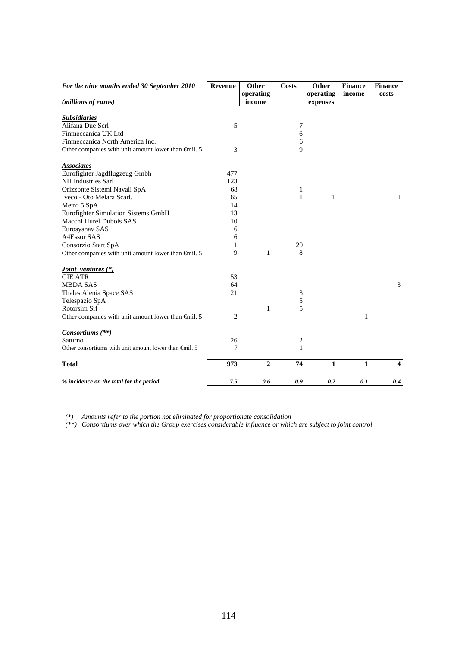| For the nine months ended 30 September 2010                   | Revenue | <b>Other</b>   | <b>Costs</b> | Other        | <b>Finance</b> | <b>Finance</b>          |
|---------------------------------------------------------------|---------|----------------|--------------|--------------|----------------|-------------------------|
|                                                               |         | operating      |              | operating    | income         | costs                   |
| (millions of euros)                                           |         | income         |              | expenses     |                |                         |
| <b>Subsidiaries</b>                                           |         |                |              |              |                |                         |
| Alifana Due Scrl                                              | 5       |                | 7            |              |                |                         |
| Finmeccanica UK Ltd                                           |         |                | 6            |              |                |                         |
| Finmeccanica North America Inc.                               |         |                | 6            |              |                |                         |
| Other companies with unit amount lower than $\epsilon$ mil. 5 | 3       |                | 9            |              |                |                         |
| <b>Associates</b>                                             |         |                |              |              |                |                         |
| Eurofighter Jagdflugzeug Gmbh                                 | 477     |                |              |              |                |                         |
| NH Industries Sarl                                            | 123     |                |              |              |                |                         |
| Orizzonte Sistemi Navali SpA                                  | 68      |                | 1            |              |                |                         |
| Iveco - Oto Melara Scarl.                                     | 65      |                | $\mathbf{1}$ | $\mathbf{1}$ |                | 1                       |
| Metro 5 SpA                                                   | 14      |                |              |              |                |                         |
| Eurofighter Simulation Sistems GmbH                           | 13      |                |              |              |                |                         |
| Macchi Hurel Dubois SAS                                       | 10      |                |              |              |                |                         |
| Eurosysnav SAS                                                | 6       |                |              |              |                |                         |
| A4Essor SAS                                                   | 6       |                |              |              |                |                         |
| Consorzio Start SpA                                           | 1       |                | 20           |              |                |                         |
| Other companies with unit amount lower than $\epsilon$ mil. 5 | 9       | $\mathbf{1}$   | 8            |              |                |                         |
| <i>Joint ventures</i> (*)                                     |         |                |              |              |                |                         |
| <b>GIE ATR</b>                                                | 53      |                |              |              |                |                         |
| <b>MBDA SAS</b>                                               | 64      |                |              |              |                | 3                       |
| Thales Alenia Space SAS                                       | 21      |                | 3            |              |                |                         |
| Telespazio SpA                                                |         |                | 5            |              |                |                         |
| Rotorsim Srl                                                  |         | 1              | 5            |              |                |                         |
| Other companies with unit amount lower than $\epsilon$ mil. 5 | 2       |                |              |              | $\mathbf{1}$   |                         |
| <i>Consortiums</i> (**)                                       |         |                |              |              |                |                         |
| Saturno                                                       | 26      |                | 2            |              |                |                         |
| Other consortiums with unit amount lower than $\oplus$ nil. 5 | 7       |                | $\mathbf{1}$ |              |                |                         |
| <b>Total</b>                                                  | 973     | $\overline{2}$ | 74           | 1            | 1              | $\overline{\mathbf{4}}$ |
| % incidence on the total for the period                       | 7.5     | 0.6            | 0.9          | 0.2          | 0.1            | 0.4                     |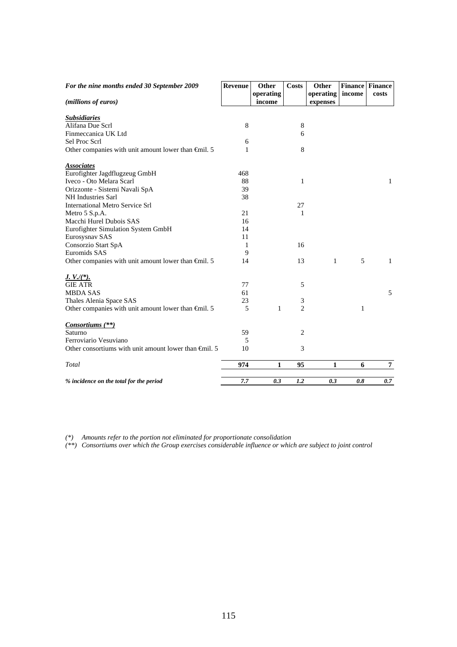| For the nine months ended 30 September 2009                     | Revenue | Other               | <b>Costs</b>   | Other                 | <b>Finance Finance</b> |                |
|-----------------------------------------------------------------|---------|---------------------|----------------|-----------------------|------------------------|----------------|
| (millions of euros)                                             |         | operating<br>income |                | operating<br>expenses | income                 | costs          |
| <b>Subsidiaries</b>                                             |         |                     |                |                       |                        |                |
| Alifana Due Scrl                                                | 8       |                     | 8              |                       |                        |                |
| Finmeccanica UK Ltd                                             |         |                     | 6              |                       |                        |                |
| Sel Proc Scrl                                                   | 6       |                     |                |                       |                        |                |
| Other companies with unit amount lower than $\epsilon$ mil. 5   | 1       |                     | 8              |                       |                        |                |
| <b>Associates</b>                                               |         |                     |                |                       |                        |                |
| Eurofighter Jagdflugzeug GmbH                                   | 468     |                     |                |                       |                        |                |
| Iveco - Oto Melara Scarl                                        | 88      |                     | $\mathbf{1}$   |                       |                        | $\mathbf{1}$   |
| Orizzonte - Sistemi Navali SpA                                  | 39      |                     |                |                       |                        |                |
| NH Industries Sarl                                              | 38      |                     |                |                       |                        |                |
| <b>International Metro Service Srl</b>                          |         |                     | 27             |                       |                        |                |
| Metro 5 S.p.A.                                                  | 21      |                     | 1              |                       |                        |                |
| Macchi Hurel Dubois SAS                                         | 16      |                     |                |                       |                        |                |
| Eurofighter Simulation System GmbH                              | 14      |                     |                |                       |                        |                |
| Eurosysnav SAS                                                  | 11      |                     |                |                       |                        |                |
| Consorzio Start SpA                                             | 1       |                     | 16             |                       |                        |                |
| Euromids SAS                                                    | 9       |                     |                |                       |                        |                |
| Other companies with unit amount lower than $\epsilon$ mil. 5   | 14      |                     | 13             | $\mathbf{1}$          | 5                      | 1              |
| $J. V./(*)$ .                                                   |         |                     |                |                       |                        |                |
| <b>GIE ATR</b>                                                  | 77      |                     | 5              |                       |                        |                |
| <b>MBDA SAS</b>                                                 | 61      |                     |                |                       |                        | 5              |
| Thales Alenia Space SAS                                         | 23      |                     | 3              |                       |                        |                |
| Other companies with unit amount lower than $\epsilon$ mil. 5   | 5       | $\mathbf{1}$        | $\overline{2}$ |                       | $\mathbf{1}$           |                |
| Consortiums (**)                                                |         |                     |                |                       |                        |                |
| Saturno                                                         | 59      |                     | 2              |                       |                        |                |
| Ferroviario Vesuviano                                           | 5       |                     |                |                       |                        |                |
| Other consortiums with unit amount lower than $\epsilon$ mil. 5 | 10      |                     | 3              |                       |                        |                |
| Total                                                           | 974     | 1                   | 95             | 1                     | 6                      | $\overline{7}$ |
| % incidence on the total for the period                         | 7.7     | 0.3                 | 1.2            | 0.3                   | 0.8                    | 0.7            |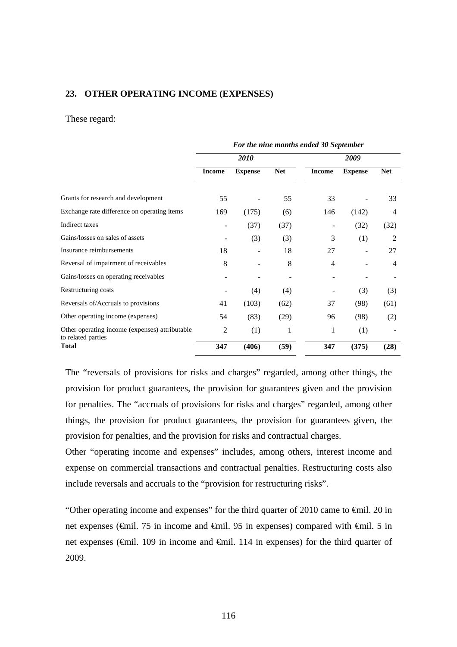#### **23. OTHER OPERATING INCOME (EXPENSES)**

#### These regard:

|                                                                      | For the nine months ended 30 September |                |            |               |                |                |  |
|----------------------------------------------------------------------|----------------------------------------|----------------|------------|---------------|----------------|----------------|--|
|                                                                      |                                        | 2010           |            | 2009          |                |                |  |
|                                                                      | <b>Income</b>                          | <b>Expense</b> | <b>Net</b> | <b>Income</b> | <b>Expense</b> | <b>Net</b>     |  |
| Grants for research and development                                  | 55                                     |                | 55         | 33            |                | 33             |  |
| Exchange rate difference on operating items                          | 169                                    | (175)          | (6)        | 146           | (142)          | $\overline{4}$ |  |
| Indirect taxes                                                       |                                        | (37)           | (37)       |               | (32)           | (32)           |  |
| Gains/losses on sales of assets                                      |                                        | (3)            | (3)        | 3             | (1)            | 2              |  |
| Insurance reimbursements                                             | 18                                     |                | 18         | 27            | -              | 27             |  |
| Reversal of impairment of receivables                                | 8                                      |                | 8          | 4             |                | 4              |  |
| Gains/losses on operating receivables                                |                                        |                |            |               |                |                |  |
| Restructuring costs                                                  |                                        | (4)            | (4)        |               | (3)            | (3)            |  |
| Reversals of/Accruals to provisions                                  | 41                                     | (103)          | (62)       | 37            | (98)           | (61)           |  |
| Other operating income (expenses)                                    | 54                                     | (83)           | (29)       | 96            | (98)           | (2)            |  |
| Other operating income (expenses) attributable<br>to related parties | 2                                      | (1)            | 1          | 1             | (1)            |                |  |
| <b>Total</b>                                                         | 347                                    | (406)          | (59)       | 347           | (375)          | (28)           |  |

The "reversals of provisions for risks and charges" regarded, among other things, the provision for product guarantees, the provision for guarantees given and the provision for penalties. The "accruals of provisions for risks and charges" regarded, among other things, the provision for product guarantees, the provision for guarantees given, the provision for penalties, and the provision for risks and contractual charges.

Other "operating income and expenses" includes, among others, interest income and expense on commercial transactions and contractual penalties. Restructuring costs also include reversals and accruals to the "provision for restructuring risks".

"Other operating income and expenses" for the third quarter of 2010 came to €mil. 20 in net expenses (€mil. 75 in income and €mil. 95 in expenses) compared with €mil. 5 in net expenses (€mil. 109 in income and €mil. 114 in expenses) for the third quarter of 2009.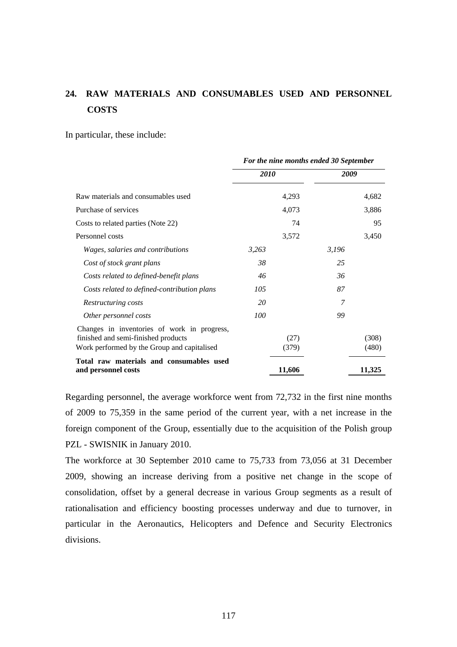# **24. RAW MATERIALS AND CONSUMABLES USED AND PERSONNEL COSTS**

In particular, these include:

|                                                                                                                                   | For the nine months ended 30 September |               |       |                |  |  |
|-----------------------------------------------------------------------------------------------------------------------------------|----------------------------------------|---------------|-------|----------------|--|--|
|                                                                                                                                   | 2010                                   |               | 2009  |                |  |  |
| Raw materials and consumables used                                                                                                |                                        | 4,293         |       | 4,682          |  |  |
| Purchase of services                                                                                                              |                                        | 4,073         |       | 3,886          |  |  |
| Costs to related parties (Note 22)                                                                                                |                                        | 74            |       | 95             |  |  |
| Personnel costs                                                                                                                   |                                        | 3,572         |       | 3,450          |  |  |
| Wages, salaries and contributions                                                                                                 | 3,263                                  |               | 3,196 |                |  |  |
| Cost of stock grant plans                                                                                                         | 38                                     |               | 25    |                |  |  |
| Costs related to defined-benefit plans                                                                                            | 46                                     |               | 36    |                |  |  |
| Costs related to defined-contribution plans                                                                                       | 105                                    |               | 87    |                |  |  |
| Restructuring costs                                                                                                               | 20                                     |               | 7     |                |  |  |
| Other personnel costs                                                                                                             | 100                                    |               | 99    |                |  |  |
| Changes in inventories of work in progress,<br>finished and semi-finished products<br>Work performed by the Group and capitalised |                                        | (27)<br>(379) |       | (308)<br>(480) |  |  |
| Total raw materials and consumables used<br>and personnel costs                                                                   |                                        | 11,606        |       | 11,325         |  |  |

Regarding personnel, the average workforce went from 72,732 in the first nine months of 2009 to 75,359 in the same period of the current year, with a net increase in the foreign component of the Group, essentially due to the acquisition of the Polish group PZL - SWISNIK in January 2010.

The workforce at 30 September 2010 came to 75,733 from 73,056 at 31 December 2009, showing an increase deriving from a positive net change in the scope of consolidation, offset by a general decrease in various Group segments as a result of rationalisation and efficiency boosting processes underway and due to turnover, in particular in the Aeronautics, Helicopters and Defence and Security Electronics divisions.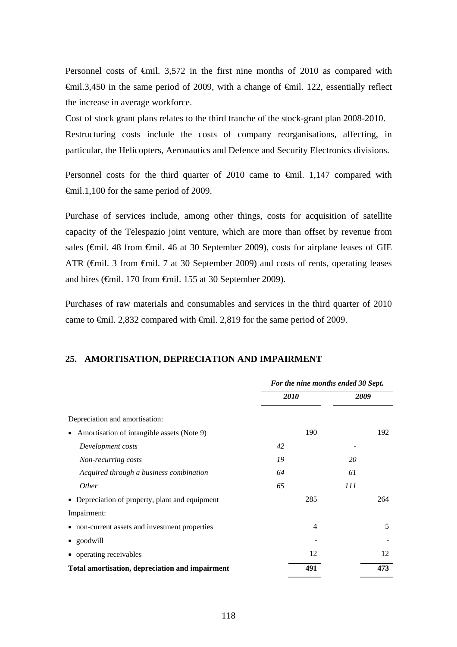Personnel costs of  $\epsilon$ mil. 3,572 in the first nine months of 2010 as compared with  $\theta$ mil.3,450 in the same period of 2009, with a change of  $\theta$ mil. 122, essentially reflect the increase in average workforce.

Cost of stock grant plans relates to the third tranche of the stock-grant plan 2008-2010. Restructuring costs include the costs of company reorganisations, affecting, in particular, the Helicopters, Aeronautics and Defence and Security Electronics divisions.

Personnel costs for the third quarter of 2010 came to  $\epsilon$ mil. 1,147 compared with €mil.1,100 for the same period of 2009.

Purchase of services include, among other things, costs for acquisition of satellite capacity of the Telespazio joint venture, which are more than offset by revenue from sales (€mil. 48 from €mil. 46 at 30 September 2009), costs for airplane leases of GIE ATR (€mil. 3 from €mil. 7 at 30 September 2009) and costs of rents, operating leases and hires (€mil. 170 from €mil. 155 at 30 September 2009).

Purchases of raw materials and consumables and services in the third quarter of 2010 came to €mil. 2,832 compared with €mil. 2,819 for the same period of 2009.

### **25. AMORTISATION, DEPRECIATION AND IMPAIRMENT**

|                                                         | For the nine months ended 30 Sept. |     |            |     |
|---------------------------------------------------------|------------------------------------|-----|------------|-----|
|                                                         | <i>2010</i>                        |     | 2009       |     |
| Depreciation and amortisation:                          |                                    |     |            |     |
| Amortisation of intangible assets (Note 9)<br>$\bullet$ |                                    | 190 |            | 192 |
| Development costs                                       | 42                                 |     |            |     |
| Non-recurring costs                                     | 19                                 |     | 20         |     |
| Acquired through a business combination                 | 64                                 |     | 61         |     |
| <i>Other</i>                                            | 65                                 |     | <i>111</i> |     |
| • Depreciation of property, plant and equipment         |                                    | 285 |            | 264 |
| Impairment:                                             |                                    |     |            |     |
| • non-current assets and investment properties          |                                    | 4   |            | 5   |
| • goodwill                                              |                                    |     |            |     |
| • operating receivables                                 |                                    | 12  |            | 12  |
| Total amortisation, depreciation and impairment         |                                    | 491 |            | 473 |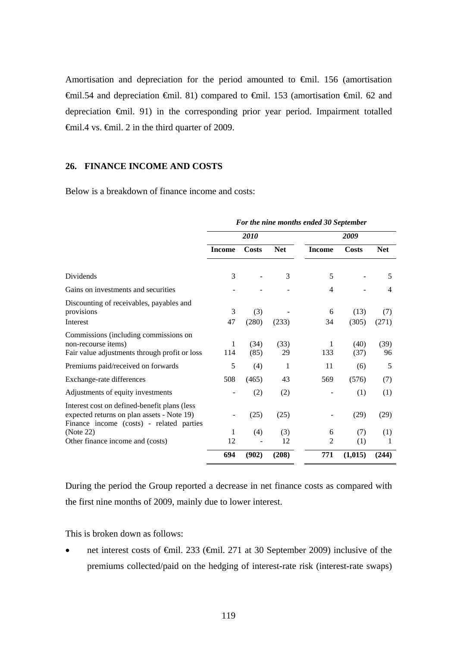Amortisation and depreciation for the period amounted to €mil. 156 (amortisation €mil.54 and depreciation €mil. 81) compared to €mil. 153 (amortisation €mil. 62 and depreciation €mil. 91) in the corresponding prior year period. Impairment totalled €mil.4 vs. €mil. 2 in the third quarter of 2009.

#### **26. FINANCE INCOME AND COSTS**

Below is a breakdown of finance income and costs:

|                                                                                                                                         | For the nine months ended 30 September |              |            |               |               |              |  |
|-----------------------------------------------------------------------------------------------------------------------------------------|----------------------------------------|--------------|------------|---------------|---------------|--------------|--|
|                                                                                                                                         |                                        | 2010         |            |               | 2009          |              |  |
|                                                                                                                                         | <b>Income</b>                          | Costs        | <b>Net</b> | <b>Income</b> | Costs         | <b>Net</b>   |  |
| Dividends                                                                                                                               | 3                                      |              | 3          | 5             |               | 5            |  |
| Gains on investments and securities                                                                                                     |                                        |              |            | 4             |               | 4            |  |
| Discounting of receivables, payables and<br>provisions<br>Interest                                                                      | 3<br>47                                | (3)<br>(280) | (233)      | 6<br>34       | (13)<br>(305) | (7)<br>(271) |  |
| Commissions (including commissions on<br>non-recourse items)<br>Fair value adjustments through profit or loss                           | 1<br>114                               | (34)<br>(85) | (33)<br>29 | 1<br>133      | (40)<br>(37)  | (39)<br>96   |  |
| Premiums paid/received on forwards                                                                                                      | 5                                      | (4)          | 1          | 11            | (6)           | 5            |  |
| Exchange-rate differences                                                                                                               | 508                                    | (465)        | 43         | 569           | (576)         | (7)          |  |
| Adjustments of equity investments                                                                                                       |                                        | (2)          | (2)        |               | (1)           | (1)          |  |
| Interest cost on defined-benefit plans (less)<br>expected returns on plan assets - Note 19)<br>Finance income (costs) - related parties |                                        | (25)         | (25)       |               | (29)          | (29)         |  |
| (Note 22)                                                                                                                               | 1                                      | (4)          | (3)        | 6             | (7)           | (1)          |  |
| Other finance income and (costs)                                                                                                        | 12                                     |              | 12         | 2             | (1)           | 1            |  |
|                                                                                                                                         | 694                                    | (902)        | (208)      | 771           | (1,015)       | (244)        |  |

During the period the Group reported a decrease in net finance costs as compared with the first nine months of 2009, mainly due to lower interest.

This is broken down as follows:

 net interest costs of €mil. 233 (€mil. 271 at 30 September 2009) inclusive of the premiums collected/paid on the hedging of interest-rate risk (interest-rate swaps)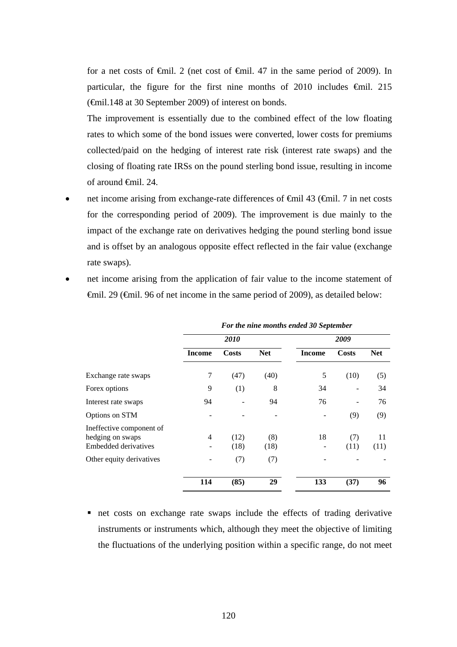for a net costs of  $\theta$ mil. 2 (net cost of  $\theta$ mil. 47 in the same period of 2009). In particular, the figure for the first nine months of 2010 includes  $\epsilon$ mil. 215 (€mil.148 at 30 September 2009) of interest on bonds.

The improvement is essentially due to the combined effect of the low floating rates to which some of the bond issues were converted, lower costs for premiums collected/paid on the hedging of interest rate risk (interest rate swaps) and the closing of floating rate IRSs on the pound sterling bond issue, resulting in income of around €mil. 24.

 net income arising from exchange-rate differences of €mil 43 (€mil. 7 in net costs for the corresponding period of 2009). The improvement is due mainly to the impact of the exchange rate on derivatives hedging the pound sterling bond issue and is offset by an analogous opposite effect reflected in the fair value (exchange rate swaps).

|                                                                      |                               | For the nine months ended 30 September |             |               |             |            |  |  |  |  |  |
|----------------------------------------------------------------------|-------------------------------|----------------------------------------|-------------|---------------|-------------|------------|--|--|--|--|--|
|                                                                      |                               | 2010                                   |             |               | 2009        |            |  |  |  |  |  |
|                                                                      | <b>Income</b>                 | <b>Costs</b>                           | <b>Net</b>  | <b>Income</b> | Costs       | <b>Net</b> |  |  |  |  |  |
| Exchange rate swaps                                                  | 7                             | (47)                                   | (40)        | 5             | (10)        | (5)        |  |  |  |  |  |
| Forex options                                                        | 9                             | (1)                                    | 8           | 34            |             | 34         |  |  |  |  |  |
| Interest rate swaps                                                  | 94                            |                                        | 94          | 76            |             | 76         |  |  |  |  |  |
| Options on STM                                                       |                               |                                        |             |               | (9)         | (9)        |  |  |  |  |  |
| Ineffective component of<br>hedging on swaps<br>Embedded derivatives | 4<br>$\overline{\phantom{0}}$ | (12)<br>(18)                           | (8)<br>(18) | 18            | (7)<br>(11) | 11<br>(11) |  |  |  |  |  |
| Other equity derivatives                                             |                               | (7)                                    | (7)         |               |             |            |  |  |  |  |  |
|                                                                      | 114                           | (85)                                   | 29          | 133           | (37)        | 96         |  |  |  |  |  |

 net income arising from the application of fair value to the income statement of €mil. 29 (€mil. 96 of net income in the same period of 2009), as detailed below:

net costs on exchange rate swaps include the effects of trading derivative instruments or instruments which, although they meet the objective of limiting the fluctuations of the underlying position within a specific range, do not meet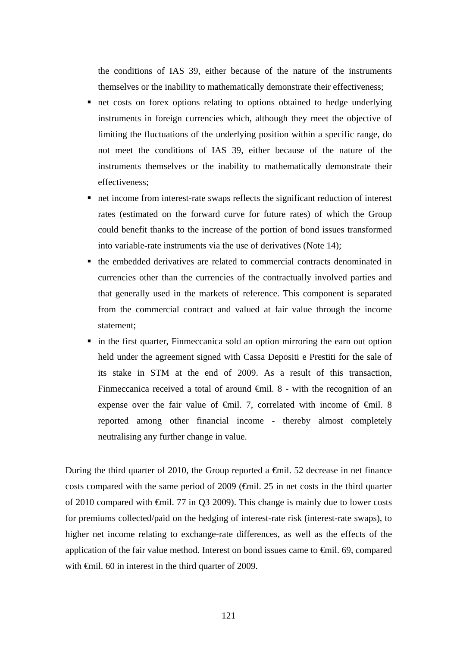the conditions of IAS 39, either because of the nature of the instruments themselves or the inability to mathematically demonstrate their effectiveness;

- net costs on forex options relating to options obtained to hedge underlying instruments in foreign currencies which, although they meet the objective of limiting the fluctuations of the underlying position within a specific range, do not meet the conditions of IAS 39, either because of the nature of the instruments themselves or the inability to mathematically demonstrate their effectiveness;
- net income from interest-rate swaps reflects the significant reduction of interest rates (estimated on the forward curve for future rates) of which the Group could benefit thanks to the increase of the portion of bond issues transformed into variable-rate instruments via the use of derivatives (Note 14);
- the embedded derivatives are related to commercial contracts denominated in currencies other than the currencies of the contractually involved parties and that generally used in the markets of reference. This component is separated from the commercial contract and valued at fair value through the income statement;
- in the first quarter, Finmeccanica sold an option mirroring the earn out option held under the agreement signed with Cassa Depositi e Prestiti for the sale of its stake in STM at the end of 2009. As a result of this transaction, Finmeccanica received a total of around €mil. 8 - with the recognition of an expense over the fair value of  $\oplus$ mil. 7, correlated with income of  $\oplus$ mil. 8 reported among other financial income - thereby almost completely neutralising any further change in value.

During the third quarter of 2010, the Group reported a  $\epsilon$ mil. 52 decrease in net finance costs compared with the same period of  $2009$  ( $\theta$ mil. 25 in net costs in the third quarter of 2010 compared with €mil. 77 in Q3 2009). This change is mainly due to lower costs for premiums collected/paid on the hedging of interest-rate risk (interest-rate swaps), to higher net income relating to exchange-rate differences, as well as the effects of the application of the fair value method. Interest on bond issues came to €mil. 69, compared with  $\epsilon$ mil. 60 in interest in the third quarter of 2009.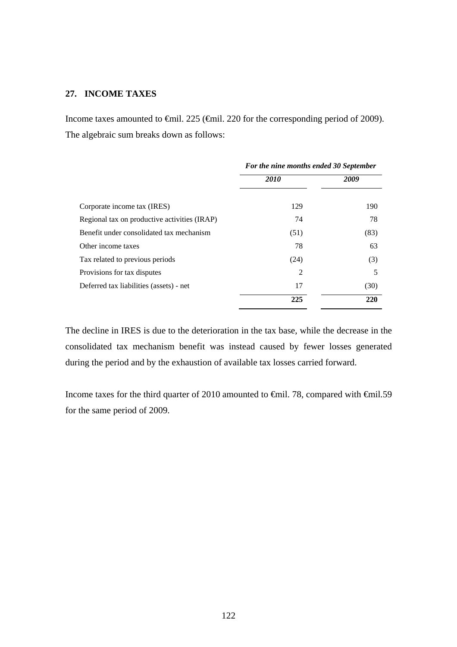## **27. INCOME TAXES**

Income taxes amounted to €mil. 225 (€mil. 220 for the corresponding period of 2009). The algebraic sum breaks down as follows:

|                                              | For the nine months ended 30 September |      |
|----------------------------------------------|----------------------------------------|------|
|                                              | <b>2010</b>                            | 2009 |
| Corporate income tax (IRES)                  | 129                                    | 190  |
| Regional tax on productive activities (IRAP) | 74                                     | 78   |
| Benefit under consolidated tax mechanism     | (51)                                   | (83) |
| Other income taxes                           | 78                                     | 63   |
| Tax related to previous periods              | (24)                                   | (3)  |
| Provisions for tax disputes                  | 2                                      | 5    |
| Deferred tax liabilities (assets) - net      | 17                                     | (30) |
|                                              | 225                                    | 220  |

The decline in IRES is due to the deterioration in the tax base, while the decrease in the consolidated tax mechanism benefit was instead caused by fewer losses generated during the period and by the exhaustion of available tax losses carried forward.

Income taxes for the third quarter of 2010 amounted to €mil. 78, compared with €mil.59 for the same period of 2009.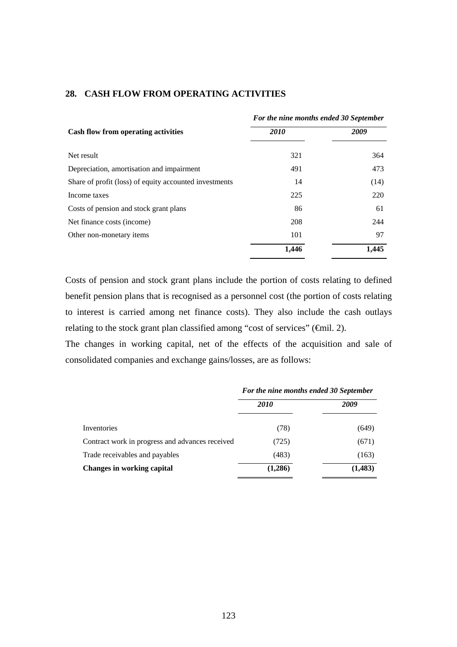|                                                        | For the nine months ended 30 September |       |
|--------------------------------------------------------|----------------------------------------|-------|
| Cash flow from operating activities                    | 2010                                   | 2009  |
| Net result                                             | 321                                    | 364   |
| Depreciation, amortisation and impairment              | 491                                    | 473   |
| Share of profit (loss) of equity accounted investments | 14                                     | (14)  |
| Income taxes                                           | 225                                    | 220   |
| Costs of pension and stock grant plans                 | 86                                     | 61    |
| Net finance costs (income)                             | 208                                    | 244   |
| Other non-monetary items                               | 101                                    | 97    |
|                                                        | 1,446                                  | 1,445 |

## **28. CASH FLOW FROM OPERATING ACTIVITIES**

Costs of pension and stock grant plans include the portion of costs relating to defined benefit pension plans that is recognised as a personnel cost (the portion of costs relating to interest is carried among net finance costs). They also include the cash outlays relating to the stock grant plan classified among "cost of services" (€mil. 2).

The changes in working capital, net of the effects of the acquisition and sale of consolidated companies and exchange gains/losses, are as follows:

|                                                 | For the nine months ended 30 September |          |  |
|-------------------------------------------------|----------------------------------------|----------|--|
|                                                 | <i>2010</i>                            | 2009     |  |
| Inventories                                     | (78)                                   | (649)    |  |
| Contract work in progress and advances received | (725)                                  | (671)    |  |
| Trade receivables and payables                  | (483)                                  | (163)    |  |
| <b>Changes in working capital</b>               | (1,286)                                | (1, 483) |  |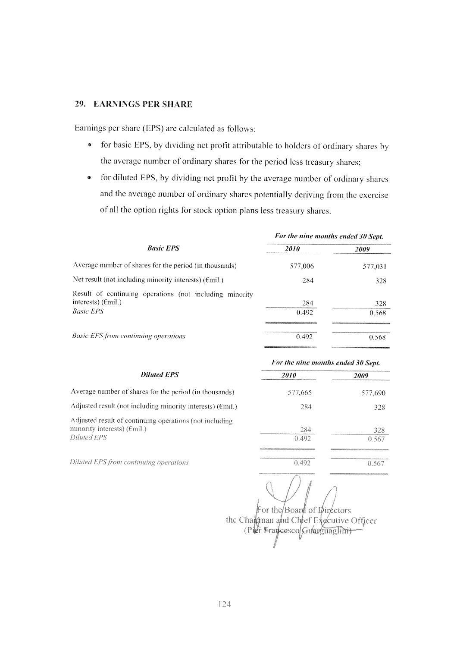#### 29. EARNINGS PER SHARE

Earnings per share (EPS) are calculated as follows:

- for basic EPS, by dividing net profit attributable to holders of ordinary shares by  $\bullet$ the average number of ordinary shares for the period less treasury shares;
- for diluted EPS, by dividing net profit by the average number of ordinary shares  $\bullet$ and the average number of ordinary shares potentially deriving from the exercise of all the option rights for stock option plans less treasury shares.

|                                                                                                             | For the nine months ended 30 Sept. |              |
|-------------------------------------------------------------------------------------------------------------|------------------------------------|--------------|
| <b>Basic EPS</b>                                                                                            | <i>2010</i>                        | <i>2009</i>  |
| Average number of shares for the period (in thousands)                                                      | 577,006                            | 577,031      |
| Net result (not including minority interests) $(\text{Emil.})$                                              | 284                                | 328          |
| Result of continuing operations (not including minority<br>interests) $(\epsilon$ mil.)<br><b>Basic EPS</b> | 284<br>0.492                       | 328<br>0.568 |
| <b>Basic EPS from continuing operations</b>                                                                 | 0.492                              | 0.568        |

| <b>Diluted EPS</b>                                                                             | For the nine months ended 30 Sept. |         |
|------------------------------------------------------------------------------------------------|------------------------------------|---------|
|                                                                                                | <i>2010</i>                        | 2009    |
| Average number of shares for the period (in thousands)                                         | 577,665                            | 577,690 |
| Adjusted result (not including minority interests) ( $\epsilon$ mil.)                          | 284                                | 328     |
| Adjusted result of continuing operations (not including<br>minority interests) $(\text{emit})$ | 284                                | 328     |
| Diluted EPS                                                                                    | 0.492                              | 0.567   |
| Diluted EPS from continuing operations                                                         | 0.492                              | 0.567   |

For the Board of Directors the Chaiman and Chief Executive Officer (Pier Francesco/Guarguaglini)